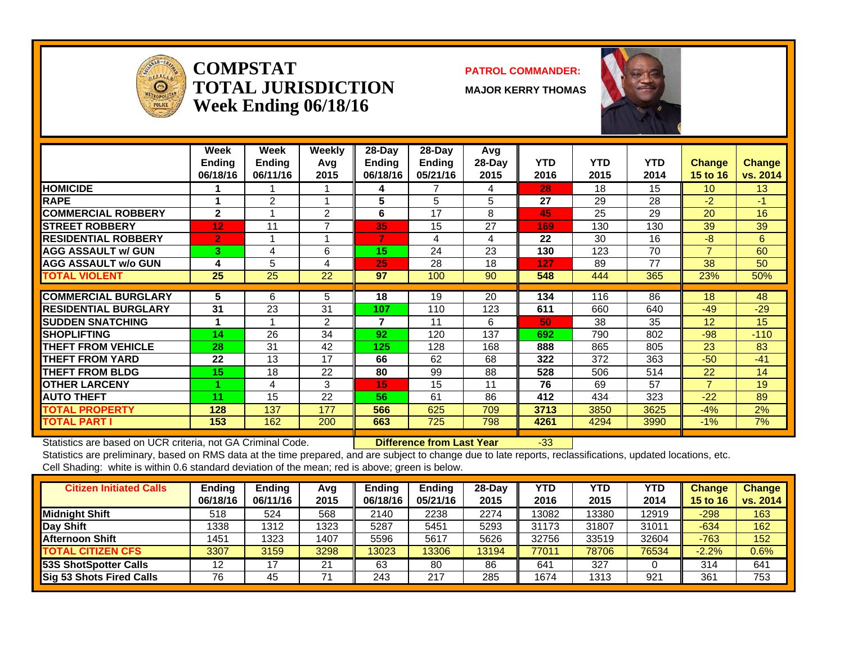

### **COMPSTATTOTAL JURISDICTIONWeek Ending 06/18/16**

### **PATROL COMMANDER:**

**MAJOR KERRY THOMAS**



|                             | Week<br><b>Ending</b><br>06/18/16 | <b>Week</b><br><b>Endina</b><br>06/11/16 | Weekly<br>Avq<br>2015 | 28-Dav<br>Endina<br>06/18/16 | 28-Dav<br>Ending<br>05/21/16 | Avg<br>$28-Day$<br>2015 | <b>YTD</b><br>2016 | <b>YTD</b><br>2015 | <b>YTD</b><br>2014 | <b>Change</b><br><b>15 to 16</b> | <b>Change</b><br>vs. 2014 |
|-----------------------------|-----------------------------------|------------------------------------------|-----------------------|------------------------------|------------------------------|-------------------------|--------------------|--------------------|--------------------|----------------------------------|---------------------------|
| <b>HOMICIDE</b>             |                                   |                                          |                       | 4                            |                              | 4                       | 28                 | 18                 | 15                 | 10 <sup>1</sup>                  | 13 <sup>2</sup>           |
| <b>RAPE</b>                 |                                   | 2                                        |                       | 5                            | 5                            | 5                       | 27                 | 29                 | 28                 | $-2$                             | $-1$                      |
| <b>COMMERCIAL ROBBERY</b>   | $\mathbf{2}$                      | 4                                        | 2                     | 6                            | 17                           | 8                       | 45                 | 25                 | 29                 | 20                               | 16                        |
| <b>ISTREET ROBBERY</b>      | 12                                | 11                                       | 7                     | 35                           | 15                           | 27                      | 169                | 130                | 130                | 39                               | 39                        |
| <b>RESIDENTIAL ROBBERY</b>  | $\overline{2}$                    |                                          |                       | 7                            | 4                            | 4                       | 22                 | 30                 | 16                 | $-8$                             | 6                         |
| <b>AGG ASSAULT w/ GUN</b>   | 3                                 | 4                                        | 6                     | 15                           | 24                           | 23                      | 130                | 123                | 70                 | 7                                | 60                        |
| <b>AGG ASSAULT w/o GUN</b>  | 4                                 | 5                                        | 4                     | 25                           | 28                           | 18                      | 127                | 89                 | 77                 | 38                               | 50                        |
| <b>TOTAL VIOLENT</b>        | 25                                | 25                                       | 22                    | 97                           | 100                          | 90                      | 548                | 444                | 365                | 23%                              | 50%                       |
|                             |                                   |                                          |                       |                              |                              |                         |                    |                    |                    |                                  |                           |
| <b>COMMERCIAL BURGLARY</b>  | 5                                 | 6                                        | 5                     | 18                           | 19                           | 20                      | 134                | 116                | 86                 | 18                               | 48                        |
| <b>RESIDENTIAL BURGLARY</b> | 31                                | 23                                       | 31                    | 107                          | 110                          | 123                     | 611                | 660                | 640                | $-49$                            | $-29$                     |
| <b>ISUDDEN SNATCHING</b>    |                                   |                                          | 2                     | 7                            | 11                           | 6                       | 50                 | 38                 | 35                 | 12                               | 15                        |
| <b>ISHOPLIFTING</b>         | 14                                | 26                                       | 34                    | 92                           | 120                          | 137                     | 692                | 790                | 802                | $-98$                            | $-110$                    |
| <b>THEFT FROM VEHICLE</b>   | 28                                | 31                                       | 42                    | 125                          | 128                          | 168                     | 888                | 865                | 805                | 23                               | 83                        |
| <b>THEFT FROM YARD</b>      | 22                                | 13                                       | 17                    | 66                           | 62                           | 68                      | 322                | 372                | 363                | $-50$                            | $-41$                     |
| <b>THEFT FROM BLDG</b>      | 15                                | 18                                       | 22                    | 80                           | 99                           | 88                      | 528                | 506                | 514                | 22                               | 14                        |
| <b>OTHER LARCENY</b>        |                                   | 4                                        | 3                     | 15                           | 15                           | 11                      | 76                 | 69                 | 57                 | $\overline{7}$                   | 19                        |
| <b>AUTO THEFT</b>           | 11                                | 15                                       | 22                    | 56                           | 61                           | 86                      | 412                | 434                | 323                | $-22$                            | 89                        |
| <b>TOTAL PROPERTY</b>       | 128                               | 137                                      | 177                   | 566                          | 625                          | 709                     | 3713               | 3850               | 3625               | $-4%$                            | 2%                        |
| <b>TOTAL PART I</b>         | 153                               | 162                                      | 200                   | 663                          | 725                          | 798                     | 4261               | 4294               | 3990               | $-1\%$                           | 7%                        |

Statistics are based on UCR criteria, not GA Criminal Code. **Difference from Last Year** -33

| <b>Citizen Initiated Calls</b> | Ending   | <b>Ending</b> | Avg  | <b>Endina</b> | Ending   | 28-Dav | YTD   | YTD   | YTD   | <b>Change</b>   | <b>Change</b> |
|--------------------------------|----------|---------------|------|---------------|----------|--------|-------|-------|-------|-----------------|---------------|
|                                | 06/18/16 | 06/11/16      | 2015 | 06/18/16      | 05/21/16 | 2015   | 2016  | 2015  | 2014  | <b>15 to 16</b> | vs. 2014      |
| <b>Midnight Shift</b>          | 518      | 524           | 568  | 2140          | 2238     | 2274   | 13082 | 3380  | 12919 | -298            | 163           |
| <b>Day Shift</b>               | 1338     | 1312          | 1323 | 5287          | 5451     | 5293   | 31173 | 31807 | 31011 | $-634$          | 162           |
| Afternoon Shift                | 1451     | 1323          | 1407 | 5596          | 5617     | 5626   | 32756 | 33519 | 32604 | $-763$          | 152           |
| <b>TOTAL CITIZEN CFS</b>       | 3307     | 3159          | 3298 | 13023         | 13306    | 13194  | 77011 | 78706 | 76534 | $-2.2%$         | $0.6\%$       |
| 53S ShotSpotter Calls          | 12       | 17            | 21   | 63            | 80       | 86     | 641   | 327   |       | 314             | 641           |
| Sig 53 Shots Fired Calls       | 76       | 45            |      | 243           | 217      | 285    | 1674  | 1313  | 921   | 361             | 753           |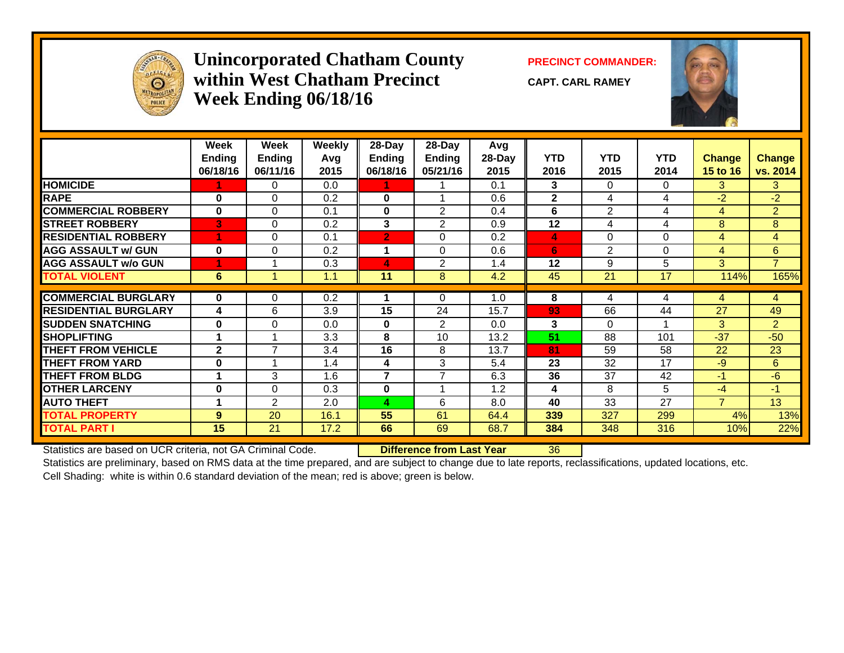

### **Unincorporated Chatham County PRECINCT COMMANDER: within West Chatham PrecinctWeek Ending 06/18/16**

**CAPT. CARL RAMEY**



|                             | Week<br><b>Ending</b><br>06/18/16 | Week<br>Ending<br>06/11/16 | <b>Weekly</b><br>Avg<br>2015 | $28-Day$<br><b>Ending</b><br>06/18/16 | $28-Day$<br><b>Ending</b><br>05/21/16 | Avg<br>28-Day<br>2015 | <b>YTD</b><br>2016 | <b>YTD</b><br>2015 | <b>YTD</b><br>2014 | <b>Change</b><br><b>15 to 16</b> | <b>Change</b><br>vs. 2014 |
|-----------------------------|-----------------------------------|----------------------------|------------------------------|---------------------------------------|---------------------------------------|-----------------------|--------------------|--------------------|--------------------|----------------------------------|---------------------------|
| <b>HOMICIDE</b>             |                                   | 0                          | 0.0                          |                                       |                                       | 0.1                   | 3                  | 0                  | $\Omega$           | 3                                | 3                         |
| <b>RAPE</b>                 | $\bf{0}$                          | $\Omega$                   | 0.2                          | $\mathbf{0}$                          |                                       | 0.6                   | $\mathbf{2}$       | 4                  | 4                  | $-2$                             | $-2$                      |
| <b>COMMERCIAL ROBBERY</b>   | $\bf{0}$                          | $\Omega$                   | 0.1                          | $\mathbf{0}$                          | 2                                     | 0.4                   | 6                  | $\overline{2}$     | 4                  | 4                                | $\overline{2}$            |
| <b>ISTREET ROBBERY</b>      | B                                 | $\Omega$                   | 0.2                          | 3                                     | 2                                     | 0.9                   | 12                 | 4                  | 4                  | 8                                | 8                         |
| <b>RESIDENTIAL ROBBERY</b>  |                                   | $\Omega$                   | 0.1                          | $\overline{2}$                        | $\Omega$                              | 0.2                   | 4                  | 0                  | $\Omega$           | 4                                | 4                         |
| <b>AGG ASSAULT w/ GUN</b>   | $\bf{0}$                          | $\Omega$                   | 0.2                          |                                       | $\Omega$                              | 0.6                   | 6                  | $\overline{2}$     | $\Omega$           | 4                                | 6                         |
| <b>AGG ASSAULT w/o GUN</b>  |                                   |                            | 0.3                          | 4                                     | 2                                     | 1.4                   | 12                 | 9                  | 5                  | 3                                | $\overline{7}$            |
| <b>TOTAL VIOLENT</b>        | 6                                 |                            | 1.1                          | 11                                    | 8                                     | 4.2                   | 45                 | 21                 | 17                 | 114%                             | 165%                      |
|                             |                                   |                            |                              |                                       |                                       |                       |                    |                    |                    |                                  |                           |
| <b>COMMERCIAL BURGLARY</b>  | $\bf{0}$                          | 0                          | 0.2                          |                                       | $\Omega$                              | 1.0                   | 8                  | 4                  | 4                  | 4                                | 4                         |
| <b>RESIDENTIAL BURGLARY</b> | 4                                 | 6                          | 3.9                          | 15                                    | 24                                    | 15.7                  | 93                 | 66                 | 44                 | 27                               | 49                        |
| <b>SUDDEN SNATCHING</b>     | $\bf{0}$                          | $\Omega$                   | 0.0                          | $\bf{0}$                              | 2                                     | 0.0                   | 3                  | $\Omega$           |                    | 3                                | $\overline{2}$            |
| <b>SHOPLIFTING</b>          | 4                                 |                            | 3.3                          | 8                                     | 10                                    | 13.2                  | 51                 | 88                 | 101                | $-37$                            | $-50$                     |
| <b>THEFT FROM VEHICLE</b>   | $\mathbf{2}$                      | 7                          | 3.4                          | 16                                    | 8                                     | 13.7                  | 81                 | 59                 | 58                 | 22                               | 23                        |
| <b>THEFT FROM YARD</b>      | 0                                 |                            | 1.4                          | 4                                     | 3                                     | 5.4                   | 23                 | 32                 | 17                 | $-9$                             | 6                         |
| <b>THEFT FROM BLDG</b>      | 4                                 | 3                          | 1.6                          | $\overline{\phantom{a}}$              | $\overline{\phantom{a}}$              | 6.3                   | 36                 | 37                 | 42                 | $-1$                             | -6                        |
| <b>OTHER LARCENY</b>        | 0                                 | $\Omega$                   | 0.3                          | $\bf{0}$                              |                                       | 1.2                   | 4                  | 8                  | 5                  | $-4$                             | $-1$                      |
| <b>AUTO THEFT</b>           | 4                                 | 2                          | 2.0                          | 4                                     | 6                                     | 8.0                   | 40                 | 33                 | 27                 | $\overline{7}$                   | 13                        |
| <b>TOTAL PROPERTY</b>       | 9                                 | 20                         | 16.1                         | 55                                    | 61                                    | 64.4                  | 339                | 327                | 299                | 4%                               | 13%                       |
| <b>TOTAL PART I</b>         | 15                                | 21                         | 17.2                         | 66                                    | 69                                    | 68.7                  | 384                | 348                | 316                | 10%                              | 22%                       |

Statistics are based on UCR criteria, not GA Criminal Code. **Difference from Last Year** 36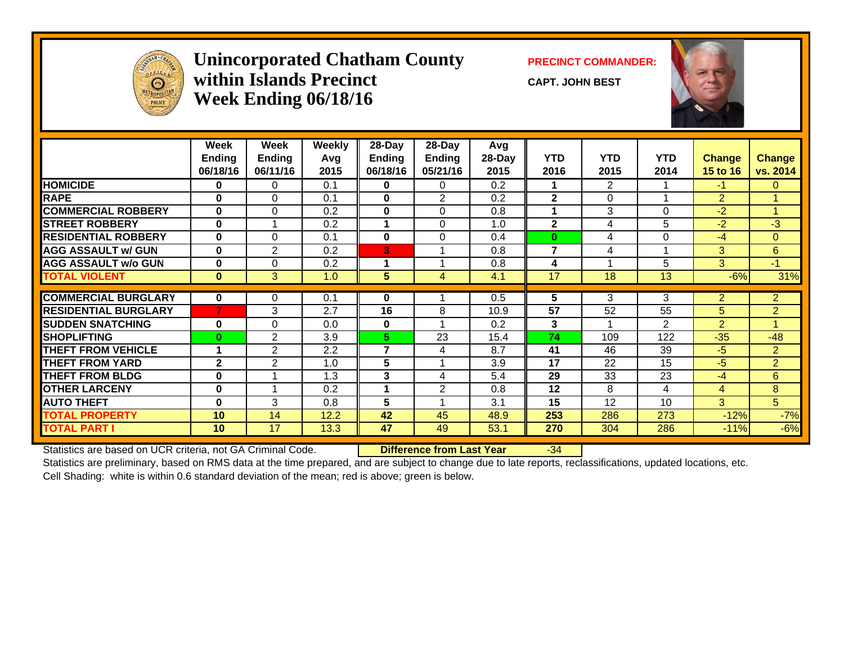

### **Unincorporated Chatham County PRECINCT COMMANDER: within Islands PrecinctWeek Ending 06/18/16**

**CAPT. JOHN BEST**



|                             | Week<br><b>Ending</b><br>06/18/16 | Week<br><b>Ending</b><br>06/11/16 | <b>Weekly</b><br>Avg<br>2015 | $28-Day$<br><b>Ending</b><br>06/18/16 | $28$ -Day<br><b>Ending</b><br>05/21/16 | Avg<br>28-Day<br>2015 | <b>YTD</b><br>2016 | <b>YTD</b><br>2015 | <b>YTD</b><br>2014      | Change<br>15 to 16 | <b>Change</b><br>vs. 2014 |
|-----------------------------|-----------------------------------|-----------------------------------|------------------------------|---------------------------------------|----------------------------------------|-----------------------|--------------------|--------------------|-------------------------|--------------------|---------------------------|
| <b>HOMICIDE</b>             | 0                                 | 0                                 | 0.1                          | $\mathbf{0}$                          | 0                                      | 0.2                   | 1                  | $\overline{2}$     |                         | $-1$               | $\mathbf{0}$              |
| <b>RAPE</b>                 | 0                                 | $\Omega$                          | 0.1                          | $\mathbf{0}$                          | $\overline{2}$                         | 0.2                   | $\mathbf{2}$       | $\Omega$           |                         | $\overline{2}$     |                           |
| <b>COMMERCIAL ROBBERY</b>   | $\bf{0}$                          | $\Omega$                          | 0.2                          | $\bf{0}$                              | $\Omega$                               | 0.8                   | 1                  | 3                  | $\Omega$                | $-2$               | 4                         |
| <b>STREET ROBBERY</b>       | $\bf{0}$                          |                                   | 0.2                          |                                       | $\Omega$                               | 1.0                   | $\mathbf{2}$       | 4                  | 5                       | $-2$               | $-3$                      |
| <b>RESIDENTIAL ROBBERY</b>  | $\bf{0}$                          | $\Omega$                          | 0.1                          | $\bf{0}$                              | $\Omega$                               | 0.4                   | $\bf{0}$           | 4                  | $\Omega$                | $-4$               | $\overline{0}$            |
| <b>AGG ASSAULT w/ GUN</b>   | $\bf{0}$                          | 2                                 | 0.2                          | 3                                     |                                        | 0.8                   | $\overline{7}$     | 4                  | $\overline{\mathbf{A}}$ | 3                  | 6                         |
| <b>AGG ASSAULT w/o GUN</b>  | $\bf{0}$                          | $\Omega$                          | 0.2                          | 1                                     |                                        | 0.8                   | 4                  |                    | 5                       | 3                  | $-1$                      |
| <b>TOTAL VIOLENT</b>        | $\mathbf{0}$                      | 3                                 | 1.0                          | 5                                     | 4                                      | 4.1                   | 17                 | 18                 | 13                      | $-6%$              | 31%                       |
|                             |                                   |                                   |                              |                                       |                                        |                       |                    |                    |                         |                    |                           |
| <b>COMMERCIAL BURGLARY</b>  | $\mathbf{0}$                      | 0                                 | 0.1                          | 0                                     |                                        | 0.5                   | 5                  | 3                  | 3                       | $\overline{2}$     | $\overline{2}$            |
| <b>RESIDENTIAL BURGLARY</b> | 7                                 | 3                                 | 2.7                          | 16                                    | 8                                      | 10.9                  | 57                 | 52                 | 55                      | 5                  | $\overline{2}$            |
| <b>SUDDEN SNATCHING</b>     | $\bf{0}$                          | $\Omega$                          | 0.0                          | $\bf{0}$                              |                                        | $0.2^{\circ}$         | 3                  |                    | 2                       | $\overline{2}$     | 1                         |
| <b>SHOPLIFTING</b>          | $\bf{0}$                          | 2                                 | 3.9                          | 5.                                    | 23                                     | 15.4                  | 74                 | 109                | 122                     | $-35$              | $-48$                     |
| <b>THEFT FROM VEHICLE</b>   | 1                                 | 2                                 | 2.2                          | $\overline{7}$                        | 4                                      | 8.7                   | 41                 | 46                 | 39                      | $-5$               | $\overline{2}$            |
| <b>THEFT FROM YARD</b>      | $\mathbf{2}$                      | $\overline{2}$                    | 1.0                          | 5                                     |                                        | 3.9                   | 17                 | 22                 | 15                      | $-5$               | $\overline{2}$            |
| <b>THEFT FROM BLDG</b>      | $\bf{0}$                          |                                   | 1.3                          | 3                                     | 4                                      | 5.4                   | 29                 | 33                 | 23                      | $-4$               | 6                         |
| <b>OTHER LARCENY</b>        | 0                                 |                                   | 0.2                          |                                       | 2                                      | 0.8                   | 12                 | 8                  | 4                       | 4                  | 8                         |
| <b>AUTO THEFT</b>           | $\bf{0}$                          | 3                                 | 0.8                          | 5                                     |                                        | 3.1                   | 15                 | 12                 | 10                      | 3                  | 5                         |
| <b>TOTAL PROPERTY</b>       | 10                                | 14                                | 12.2                         | 42                                    | 45                                     | 48.9                  | 253                | 286                | 273                     | $-12%$             | $-7%$                     |
| <b>TOTAL PART I</b>         | 10 <sup>°</sup>                   | 17                                | 13.3                         | 47                                    | 49                                     | 53.1                  | 270                | 304                | 286                     | $-11%$             | $-6%$                     |

Statistics are based on UCR criteria, not GA Criminal Code. **Difference from Last Year** -34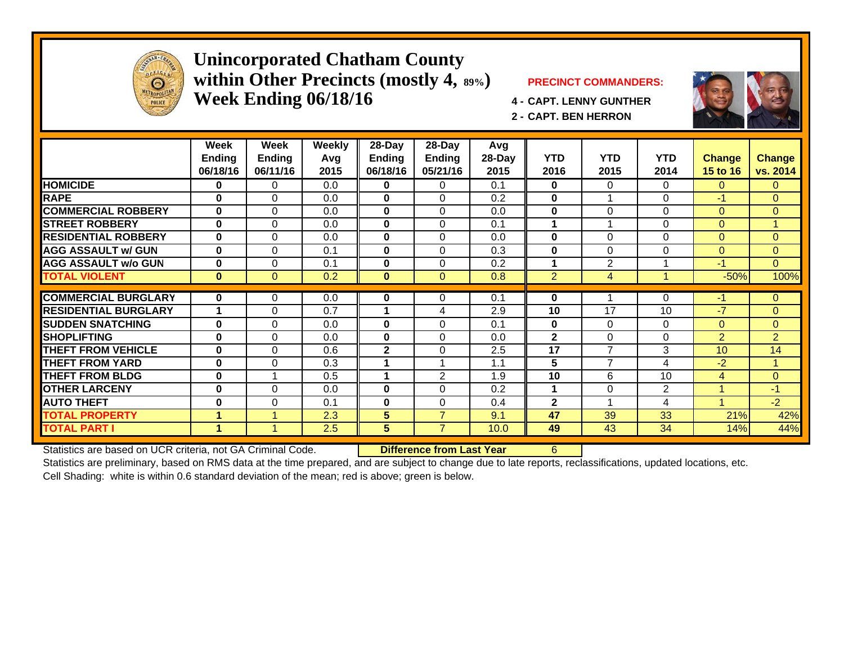

### **Unincorporated Chatham County within Other Precincts (mostly 4, 89%) PRECINCT COMMANDERS: Week Ending 06/18/16 4 - CAPT. LENNY GUNTHER**



**2 - CAPT. BEN HERRON**



Statistics are based on UCR criteria, not GA Criminal Code. **Difference from Last Year** 6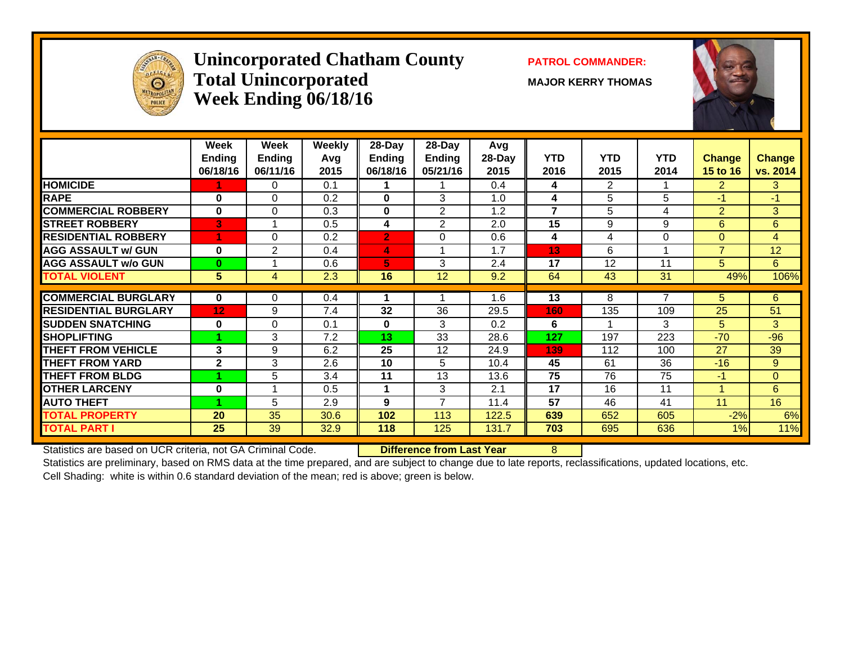![](_page_4_Picture_0.jpeg)

### **Unincorporated Chatham County PATROL COMMANDER:** Total Unincorporated MAJOR KERRY THOMAS **Week Ending 06/18/16**

![](_page_4_Picture_4.jpeg)

|                             | Week<br><b>Ending</b><br>06/18/16 | Week<br><b>Ending</b><br>06/11/16 | <b>Weekly</b><br>Avg<br>2015 | 28-Day<br>Ending<br>06/18/16 | 28-Day<br>Ending<br>05/21/16 | Avg<br>28-Day<br>2015 | <b>YTD</b><br>2016 | <b>YTD</b><br>2015 | <b>YTD</b><br>2014      | <b>Change</b><br>15 to 16 | <b>Change</b><br>vs. 2014 |
|-----------------------------|-----------------------------------|-----------------------------------|------------------------------|------------------------------|------------------------------|-----------------------|--------------------|--------------------|-------------------------|---------------------------|---------------------------|
| <b>HOMICIDE</b>             |                                   | 0                                 | 0.1                          |                              |                              | 0.4                   | 4                  | $\overline{2}$     |                         | $\overline{2}$            | 3                         |
| <b>RAPE</b>                 | 0                                 | $\Omega$                          | 0.2                          | $\bf{0}$                     | 3                            | 1.0                   | 4                  | 5                  | 5                       | $-1$                      | $-1$                      |
| <b>COMMERCIAL ROBBERY</b>   | 0                                 | 0                                 | 0.3                          | 0                            | 2                            | 1.2                   | $\overline{ }$     | 5                  | 4                       | $\overline{2}$            | 3                         |
| <b>STREET ROBBERY</b>       | 3                                 |                                   | 0.5                          | 4                            | $\overline{2}$               | 2.0                   | 15                 | 9                  | 9                       | 6                         | 6                         |
| <b>RESIDENTIAL ROBBERY</b>  | 4                                 | $\Omega$                          | 0.2                          | $\overline{2}$               | $\Omega$                     | 0.6                   | 4                  | 4                  | $\Omega$                | $\overline{0}$            | 4                         |
| <b>AGG ASSAULT w/ GUN</b>   | 0                                 | $\overline{2}$                    | 0.4                          | 4                            | 1                            | 1.7                   | 13                 | 6                  | $\overline{\mathbf{A}}$ | $\overline{7}$            | 12                        |
| <b>AGG ASSAULT w/o GUN</b>  | $\bf{0}$                          |                                   | 0.6                          | 5                            | 3                            | 2.4                   | 17                 | 12                 | 11                      | 5                         | 6                         |
| <b>TOTAL VIOLENT</b>        | 5 <sup>5</sup>                    | $\overline{4}$                    | 2.3                          | 16                           | 12                           | 9.2                   | 64                 | 43                 | 31                      | 49%                       | 106%                      |
|                             |                                   |                                   |                              |                              |                              |                       |                    |                    |                         |                           |                           |
| <b>COMMERCIAL BURGLARY</b>  | 0                                 | 0                                 | 0.4                          |                              |                              | 1.6                   | 13                 | 8                  | 7                       | 5.                        | 6                         |
| <b>RESIDENTIAL BURGLARY</b> | 12                                | 9                                 | 7.4                          | 32                           | 36                           | 29.5                  | 160                | 135                | 109                     | 25                        | 51                        |
| <b>SUDDEN SNATCHING</b>     | 0                                 | $\Omega$                          | 0.1                          | $\mathbf{0}$                 | 3                            | 0.2                   | 6                  |                    | 3                       | 5                         | 3                         |
| <b>ISHOPLIFTING</b>         |                                   | 3                                 | 7.2                          | 13                           | 33                           | 28.6                  | 127                | 197                | 223                     | $-70$                     | $-96$                     |
| <b>THEFT FROM VEHICLE</b>   | 3                                 | 9                                 | 6.2                          | 25                           | 12                           | 24.9                  | 139                | 112                | 100                     | 27                        | 39                        |
| <b>THEFT FROM YARD</b>      | $\mathbf{2}$                      | 3                                 | 2.6                          | 10                           | 5                            | 10.4                  | 45                 | 61                 | 36                      | $-16$                     | 9                         |
| <b>THEFT FROM BLDG</b>      |                                   | 5                                 | 3.4                          | 11                           | 13                           | 13.6                  | 75                 | 76                 | 75                      | $-1$                      | $\Omega$                  |
| <b>OTHER LARCENY</b>        | 0                                 |                                   | 0.5                          | 1                            | 3                            | 2.1                   | 17                 | 16                 | 11                      |                           | 6                         |
| <b>AUTO THEFT</b>           |                                   | 5                                 | 2.9                          | 9                            | 7                            | 11.4                  | 57                 | 46                 | 41                      | 11                        | 16                        |
| <b>TOTAL PROPERTY</b>       | 20                                | 35                                | 30.6                         | 102                          | 113                          | 122.5                 | 639                | 652                | 605                     | $-2%$                     | 6%                        |
| <b>TOTAL PART I</b>         | 25                                | 39                                | 32.9                         | 118                          | 125                          | 131.7                 | 703                | 695                | 636                     | 1%                        | 11%                       |

Statistics are based on UCR criteria, not GA Criminal Code. **Difference from Last Year** 8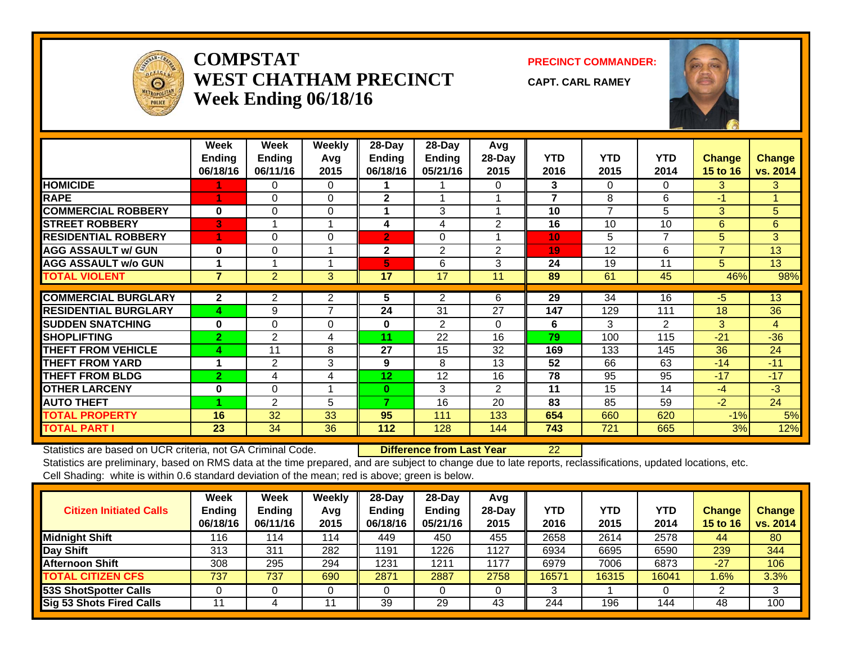![](_page_5_Picture_0.jpeg)

### **COMPSTATWEST CHATHAM PRECINCTWeek Ending 06/18/16**

**PRECINCT COMMANDER:**

**CAPT. CARL RAMEY**

![](_page_5_Picture_4.jpeg)

|                             | Week<br><b>Ending</b><br>06/18/16 | Week<br><b>Ending</b><br>06/11/16 | <b>Weekly</b><br>Avg<br>2015 | $28$ -Day<br>Ending<br>06/18/16 | $28$ -Day<br>Ending<br>05/21/16 | Avg<br>28-Day<br>2015 | <b>YTD</b><br>2016 | <b>YTD</b><br>2015 | <b>YTD</b><br>2014 | Change<br><b>15 to 16</b> | <b>Change</b><br>vs. 2014 |
|-----------------------------|-----------------------------------|-----------------------------------|------------------------------|---------------------------------|---------------------------------|-----------------------|--------------------|--------------------|--------------------|---------------------------|---------------------------|
| <b>HOMICIDE</b>             |                                   | 0                                 | 0                            |                                 |                                 | 0                     | 3                  | 0                  | $\Omega$           | 3                         | 3                         |
| <b>RAPE</b>                 |                                   | 0                                 | $\Omega$                     | $\mathbf{2}$                    |                                 |                       | 7                  | 8                  | 6                  | $-1$                      |                           |
| <b>COMMERCIAL ROBBERY</b>   | $\bf{0}$                          | $\Omega$                          | $\Omega$                     | 1                               | 3                               |                       | 10                 | $\overline{7}$     | 5                  | 3                         | 5                         |
| <b>STREET ROBBERY</b>       | IЗ                                |                                   |                              | 4                               | 4                               | $\overline{2}$        | 16                 | 10                 | 10                 | 6                         | 6                         |
| <b>RESIDENTIAL ROBBERY</b>  |                                   | $\Omega$                          | $\Omega$                     | $\overline{2}$                  | $\Omega$                        |                       | 10                 | 5                  | 7                  | 5                         | 3                         |
| <b>AGG ASSAULT w/ GUN</b>   | $\bf{0}$                          | $\Omega$                          |                              | $\mathbf{2}$                    | $\overline{2}$                  | $\overline{2}$        | 19                 | 12                 | 6                  | $\overline{7}$            | 13                        |
| <b>AGG ASSAULT w/o GUN</b>  |                                   |                                   |                              | 5                               | 6                               | 3                     | 24                 | 19                 | 11                 | 5                         | 13                        |
| <b>TOTAL VIOLENT</b>        | $\overline{7}$                    | $\overline{2}$                    | 3                            | 17                              | 17                              | 11                    | 89                 | 61                 | 45                 | 46%                       | 98%                       |
|                             |                                   |                                   |                              |                                 |                                 |                       |                    |                    |                    |                           |                           |
| <b>COMMERCIAL BURGLARY</b>  | $\mathbf{2}$                      | 2                                 | 2                            | 5                               | 2                               | 6                     | 29                 | 34                 | $\overline{16}$    | $-5$                      | 13                        |
| <b>RESIDENTIAL BURGLARY</b> | 4                                 | 9                                 | $\overline{7}$               | 24                              | 31                              | 27                    | 147                | 129                | 111                | 18                        | 36                        |
| <b>SUDDEN SNATCHING</b>     | $\bf{0}$                          | 0                                 | $\Omega$                     | $\bf{0}$                        | $\overline{2}$                  | 0                     | 6                  | 3                  | $\overline{2}$     | 3                         | 4                         |
| <b>SHOPLIFTING</b>          | $\overline{2}$                    | 2                                 | 4                            | 11                              | 22                              | 16                    | 79                 | 100                | 115                | $-21$                     | $-36$                     |
| <b>THEFT FROM VEHICLE</b>   | 4                                 | 11                                | 8                            | 27                              | 15                              | 32                    | 169                | 133                | 145                | 36                        | 24                        |
| <b>THEFT FROM YARD</b>      |                                   | $\overline{2}$                    | 3                            | 9                               | 8                               | 13                    | 52                 | 66                 | 63                 | $-14$                     | $-11$                     |
| <b>THEFT FROM BLDG</b>      | $\overline{2}$                    | 4                                 | 4                            | 12                              | 12                              | 16                    | 78                 | 95                 | 95                 | $-17$                     | $-17$                     |
| <b>OTHER LARCENY</b>        | $\bf{0}$                          | 0                                 |                              | $\bf{0}$                        | 3                               | $\overline{2}$        | 11                 | 15                 | 14                 | $-4$                      | $-3$                      |
| <b>AUTO THEFT</b>           |                                   | $\overline{2}$                    | 5                            | 7                               | 16                              | 20                    | 83                 | 85                 | 59                 | $-2$                      | 24                        |
| <b>TOTAL PROPERTY</b>       | 16                                | 32                                | 33                           | 95                              | 111                             | 133                   | 654                | 660                | 620                | $-1%$                     | 5%                        |
| <b>TOTAL PART I</b>         | 23                                | 34                                | 36                           | 112                             | 128                             | 144                   | 743                | 721                | 665                | 3%                        | 12%                       |

Statistics are based on UCR criteria, not GA Criminal Code. **Difference from Last Year** 22

| <b>Citizen Initiated Calls</b>  | <b>Week</b><br><b>Ending</b><br>06/18/16 | <b>Week</b><br><b>Ending</b><br>06/11/16 | Weekly<br>Avg<br>2015 | $28$ -Day<br><b>Endina</b><br>06/18/16 | $28-Dav$<br><b>Ending</b><br>05/21/16 | Avg<br>$28$ -Day<br>2015 | YTD<br>2016 | <b>YTD</b><br>2015 | YTD<br>2014 | <b>Change</b><br>15 to 16 | <b>Change</b><br>vs. 2014 |
|---------------------------------|------------------------------------------|------------------------------------------|-----------------------|----------------------------------------|---------------------------------------|--------------------------|-------------|--------------------|-------------|---------------------------|---------------------------|
| <b>Midnight Shift</b>           | 116                                      | 114                                      | 114                   | 449                                    | 450                                   | 455                      | 2658        | 2614               | 2578        | 44                        | 80                        |
| Day Shift                       | 313                                      | 311                                      | 282                   | 1191                                   | 1226                                  | 1127                     | 6934        | 6695               | 6590        | 239                       | 344                       |
| <b>Afternoon Shift</b>          | 308                                      | 295                                      | 294                   | 1231                                   | 1211                                  | 1177                     | 6979        | 7006               | 6873        | $-27$                     | 106                       |
| <b>TOTAL CITIZEN CFS</b>        | 737                                      | 737                                      | 690                   | 2871                                   | 2887                                  | 2758                     | 16571       | 16315              | 16041       | .6%                       | 3.3%                      |
| 53S ShotSpotter Calls           |                                          |                                          |                       |                                        |                                       |                          |             |                    |             |                           |                           |
| <b>Sig 53 Shots Fired Calls</b> |                                          |                                          |                       | 39                                     | 29                                    | 43                       | 244         | 196                | 144         | 48                        | 100                       |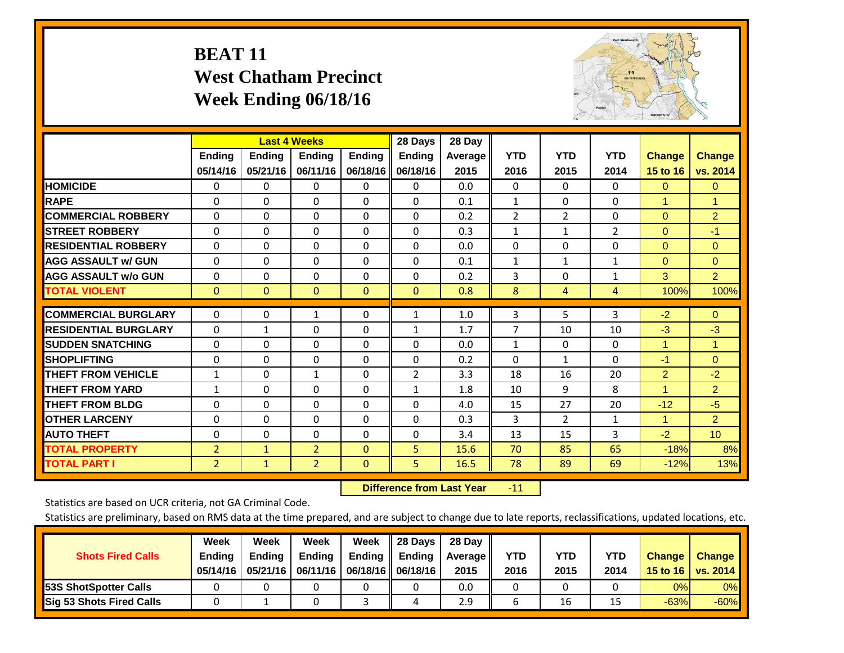# **BEAT 11 West Chatham Precinct Week Ending 06/18/16**

![](_page_6_Picture_1.jpeg)

|                             |                | <b>Last 4 Weeks</b> |                |               | 28 Days       | 28 Day  |                |                |                |                      |                      |
|-----------------------------|----------------|---------------------|----------------|---------------|---------------|---------|----------------|----------------|----------------|----------------------|----------------------|
|                             | <b>Ending</b>  | <b>Ending</b>       | <b>Endina</b>  | <b>Ending</b> | <b>Ending</b> | Average | <b>YTD</b>     | <b>YTD</b>     | <b>YTD</b>     | <b>Change</b>        | <b>Change</b>        |
|                             | 05/14/16       | 05/21/16            | 06/11/16       | 06/18/16      | 06/18/16      | 2015    | 2016           | 2015           | 2014           | 15 to 16             | vs. 2014             |
| <b>HOMICIDE</b>             | 0              | 0                   | $\Omega$       | 0             | 0             | 0.0     | $\mathbf{0}$   | 0              | 0              | $\mathbf{0}$         | $\mathbf{0}$         |
| <b>RAPE</b>                 | 0              | $\Omega$            | $\Omega$       | $\Omega$      | $\Omega$      | 0.1     | 1              | $\Omega$       | $\Omega$       | 1                    | $\blacktriangleleft$ |
| <b>COMMERCIAL ROBBERY</b>   | $\Omega$       | 0                   | $\Omega$       | 0             | $\Omega$      | 0.2     | $\overline{2}$ | $\overline{2}$ | 0              | $\mathbf{0}$         | $\overline{2}$       |
| <b>ISTREET ROBBERY</b>      | $\Omega$       | $\Omega$            | $\Omega$       | $\Omega$      | $\Omega$      | 0.3     | $\mathbf{1}$   | $\mathbf{1}$   | $\overline{2}$ | $\mathbf{0}$         | $-1$                 |
| <b>RESIDENTIAL ROBBERY</b>  | $\Omega$       | $\Omega$            | $\Omega$       | $\mathbf{0}$  | $\Omega$      | 0.0     | $\Omega$       | $\Omega$       | 0              | $\mathbf{0}$         | $\Omega$             |
| <b>AGG ASSAULT w/ GUN</b>   | $\Omega$       | $\Omega$            | $\Omega$       | $\Omega$      | $\Omega$      | 0.1     | $\mathbf{1}$   | 1              | 1              | $\Omega$             | $\Omega$             |
| <b>AGG ASSAULT w/o GUN</b>  | 0              | 0                   | $\Omega$       | 0             | $\Omega$      | 0.2     | 3              | 0              | 1              | 3                    | $\overline{2}$       |
| <b>TOTAL VIOLENT</b>        | $\Omega$       | $\Omega$            | $\mathbf{0}$   | $\mathbf{0}$  | $\mathbf{0}$  | 0.8     | 8              | 4              | 4              | 100%                 | 100%                 |
|                             |                |                     |                |               |               |         |                |                |                |                      |                      |
| <b>COMMERCIAL BURGLARY</b>  | $\Omega$       | $\Omega$            | 1              | 0             | 1             | 1.0     | 3              | 5              | 3              | $-2$                 | $\Omega$             |
| <b>RESIDENTIAL BURGLARY</b> | $\Omega$       | 1                   | $\mathbf{0}$   | $\mathbf{0}$  | 1             | 1.7     | $\overline{7}$ | 10             | 10             | $-3$                 | $-3$                 |
| <b>SUDDEN SNATCHING</b>     | 0              | 0                   | $\mathbf{0}$   | $\mathbf{0}$  | $\Omega$      | 0.0     | $\mathbf{1}$   | $\Omega$       | 0              | $\overline{1}$       | 1                    |
| <b>SHOPLIFTING</b>          | $\Omega$       | $\Omega$            | $\Omega$       | $\Omega$      | $\Omega$      | 0.2     | $\Omega$       | $\mathbf{1}$   | 0              | $-1$                 | $\mathbf{0}$         |
| <b>THEFT FROM VEHICLE</b>   | 1              | 0                   | $\mathbf{1}$   | 0             | 2             | 3.3     | 18             | 16             | 20             | $\overline{2}$       | $-2$                 |
| <b>THEFT FROM YARD</b>      | 1              | $\Omega$            | $\Omega$       | 0             | 1             | 1.8     | 10             | 9              | 8              | $\blacktriangleleft$ | $\overline{2}$       |
| <b>THEFT FROM BLDG</b>      | $\Omega$       | $\Omega$            | $\Omega$       | $\mathbf{0}$  | $\Omega$      | 4.0     | 15             | 27             | 20             | $-12$                | $-5$                 |
| <b>OTHER LARCENY</b>        | $\Omega$       | 0                   | $\Omega$       | $\Omega$      | $\Omega$      | 0.3     | 3              | $\overline{2}$ | $\mathbf{1}$   | $\mathbf{1}$         | $\overline{2}$       |
| <b>AUTO THEFT</b>           | 0              | 0                   | 0              | 0             | $\Omega$      | 3.4     | 13             | 15             | 3              | $-2$                 | 10 <sub>1</sub>      |
| <b>TOTAL PROPERTY</b>       | $\overline{2}$ | $\mathbf{1}$        | $\overline{2}$ | $\mathbf{0}$  | 5             | 15.6    | 70             | 85             | 65             | $-18%$               | 8%                   |
| <b>TOTAL PART I</b>         | $\overline{2}$ | $\mathbf{1}$        | $\overline{2}$ | $\mathbf{0}$  | 5             | 16.5    | 78             | 89             | 69             | $-12%$               | 13%                  |

 **Difference from Last Year**r -11

Statistics are based on UCR criteria, not GA Criminal Code.

| <b>Shots Fired Calls</b>        | Week<br><b>Ending</b><br>05/14/16 | Week<br><b>Endina</b><br>05/21/16 | Week<br><b>Ending</b> | Week<br>Ending<br>06/11/16   06/18/16    06/18/16 | 28 Days<br><b>Ending</b> | 28 Day<br>Average II<br>2015 | YTD<br>2016 | YTD<br>2015 | YTD<br>2014 | <b>Change</b><br>15 to 16 $\vert$ | <b>Change</b><br>vs. 2014 |
|---------------------------------|-----------------------------------|-----------------------------------|-----------------------|---------------------------------------------------|--------------------------|------------------------------|-------------|-------------|-------------|-----------------------------------|---------------------------|
| <b>153S ShotSpotter Calls</b>   |                                   |                                   |                       |                                                   |                          | 0.0                          |             |             |             | 0%                                | 0%                        |
| <b>Sig 53 Shots Fired Calls</b> |                                   |                                   |                       |                                                   |                          | 2.9                          |             | 16          |             | $-63%$                            | $-60%$                    |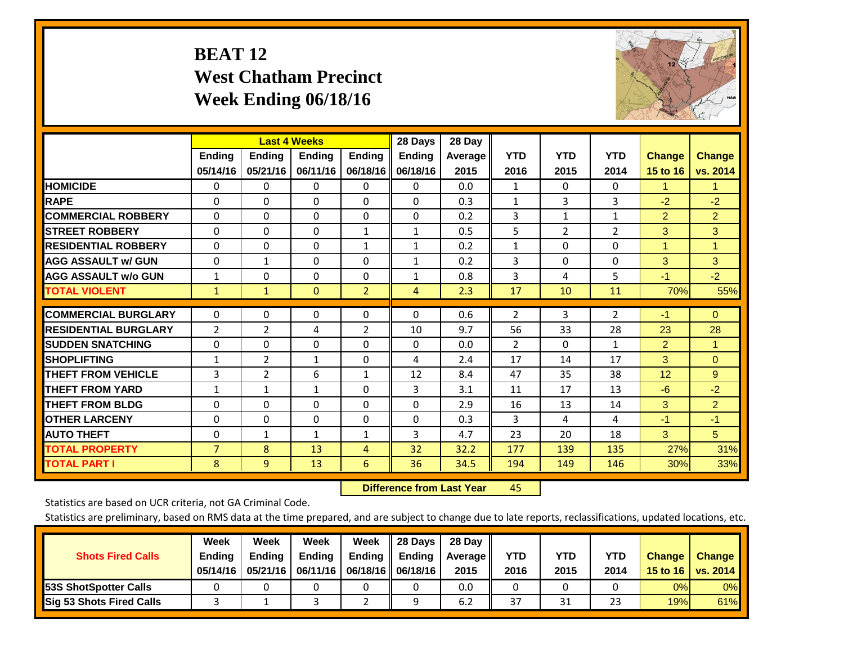# **BEAT 12 West Chatham Precinct Week Ending 06/18/16**

![](_page_7_Picture_1.jpeg)

|                             |                | <b>Last 4 Weeks</b> |               |                | 28 Days       | 28 Day  |                |                |                |                |                |
|-----------------------------|----------------|---------------------|---------------|----------------|---------------|---------|----------------|----------------|----------------|----------------|----------------|
|                             | <b>Ending</b>  | <b>Ending</b>       | <b>Ending</b> | <b>Ending</b>  | <b>Ending</b> | Average | <b>YTD</b>     | <b>YTD</b>     | <b>YTD</b>     | <b>Change</b>  | <b>Change</b>  |
|                             | 05/14/16       | 05/21/16            | 06/11/16      | 06/18/16       | 06/18/16      | 2015    | 2016           | 2015           | 2014           | 15 to 16       | vs. 2014       |
| <b>HOMICIDE</b>             | $\Omega$       | 0                   | $\Omega$      | $\Omega$       | 0             | 0.0     | 1              | $\mathbf{0}$   | $\Omega$       | 1              | 1.             |
| <b>RAPE</b>                 | $\Omega$       | $\Omega$            | $\Omega$      | 0              | 0             | 0.3     | 1              | 3              | 3              | $-2$           | $-2$           |
| <b>COMMERCIAL ROBBERY</b>   | $\Omega$       | $\Omega$            | $\mathbf{0}$  | $\Omega$       | $\Omega$      | 0.2     | 3              | 1              | 1              | $\overline{2}$ | $\overline{2}$ |
| <b>STREET ROBBERY</b>       | $\Omega$       | $\Omega$            | $\Omega$      | $\mathbf{1}$   | $\mathbf{1}$  | 0.5     | 5              | $\overline{2}$ | $\overline{2}$ | 3              | 3              |
| <b>RESIDENTIAL ROBBERY</b>  | $\Omega$       | $\Omega$            | $\mathbf{0}$  | $\mathbf{1}$   | $\mathbf{1}$  | 0.2     | $\mathbf{1}$   | $\Omega$       | 0              | $\overline{1}$ | 1              |
| <b>AGG ASSAULT w/ GUN</b>   | $\Omega$       | $\mathbf{1}$        | $\Omega$      | $\Omega$       | $\mathbf{1}$  | 0.2     | 3              | $\Omega$       | 0              | 3              | 3              |
| <b>AGG ASSAULT w/o GUN</b>  | $\mathbf{1}$   | $\Omega$            | $\mathbf{0}$  | $\Omega$       | $\mathbf{1}$  | 0.8     | 3              | 4              | 5              | $-1$           | $-2$           |
| <b>TOTAL VIOLENT</b>        | $\mathbf{1}$   | $\mathbf{1}$        | $\mathbf{0}$  | $\overline{2}$ | 4             | 2.3     | 17             | 10             | 11             | 70%            | 55%            |
|                             |                |                     |               |                |               |         |                |                |                |                |                |
| <b>COMMERCIAL BURGLARY</b>  | $\Omega$       | $\Omega$            | $\Omega$      | $\Omega$       | $\Omega$      | 0.6     | $\overline{2}$ | 3              | 2              | $-1$           | $\mathbf{0}$   |
| <b>RESIDENTIAL BURGLARY</b> | 2              | $\overline{2}$      | 4             | 2              | 10            | 9.7     | 56             | 33             | 28             | 23             | 28             |
| <b>SUDDEN SNATCHING</b>     | $\Omega$       | 0                   | $\Omega$      | $\Omega$       | 0             | 0.0     | 2              | $\Omega$       | $\mathbf{1}$   | 2              | 1              |
| <b>ISHOPLIFTING</b>         | $\mathbf{1}$   | $\overline{2}$      | 1             | $\Omega$       | 4             | 2.4     | 17             | 14             | 17             | 3              | $\Omega$       |
| <b>THEFT FROM VEHICLE</b>   | 3              | 2                   | 6             | 1              | 12            | 8.4     | 47             | 35             | 38             | 12             | 9              |
| <b>THEFT FROM YARD</b>      | $\mathbf{1}$   | 1                   | 1             | 0              | 3             | 3.1     | 11             | 17             | 13             | $-6$           | $-2$           |
| <b>THEFT FROM BLDG</b>      | 0              | 0                   | $\Omega$      | $\Omega$       | $\Omega$      | 2.9     | 16             | 13             | 14             | 3              | $\overline{2}$ |
| <b>OTHER LARCENY</b>        | $\Omega$       | $\Omega$            | $\Omega$      | 0              | 0             | 0.3     | 3              | 4              | 4              | $-1$           | $-1$           |
| <b>AUTO THEFT</b>           | $\mathbf 0$    | $\mathbf{1}$        | $\mathbf{1}$  | $\mathbf{1}$   | 3             | 4.7     | 23             | 20             | 18             | 3              | 5 <sup>5</sup> |
| <b>TOTAL PROPERTY</b>       | $\overline{7}$ | 8                   | 13            | $\overline{4}$ | 32            | 32.2    | 177            | 139            | 135            | 27%            | 31%            |
| <b>TOTAL PART I</b>         | 8              | $\overline{9}$      | 13            | 6              | 36            | 34.5    | 194            | 149            | 146            | 30%            | 33%            |

 **Difference from Last Yearr** 45

Statistics are based on UCR criteria, not GA Criminal Code.

| <b>Shots Fired Calls</b>        | Week<br><b>Ending</b><br>05/14/16 | Week<br><b>Endina</b><br>05/21/16 | Week<br><b>Ending</b> | Week<br>Ending | 28 Days<br><b>Ending</b><br>06/11/16   06/18/16   06/18/16 | 28 Day<br>Average II<br>2015 | YTD<br>2016 | YTD<br>2015 | YTD<br>2014 | <b>Change</b><br>15 to 16 $\vert$ | <b>Change</b><br>vs. 2014 |
|---------------------------------|-----------------------------------|-----------------------------------|-----------------------|----------------|------------------------------------------------------------|------------------------------|-------------|-------------|-------------|-----------------------------------|---------------------------|
| <b>153S ShotSpotter Calls</b>   |                                   |                                   |                       |                |                                                            | 0.0                          |             |             |             | 0%                                | 0%                        |
| <b>Sig 53 Shots Fired Calls</b> |                                   |                                   |                       |                |                                                            | 6.2                          | 37          | 31          | 23          | 19%                               | 61%                       |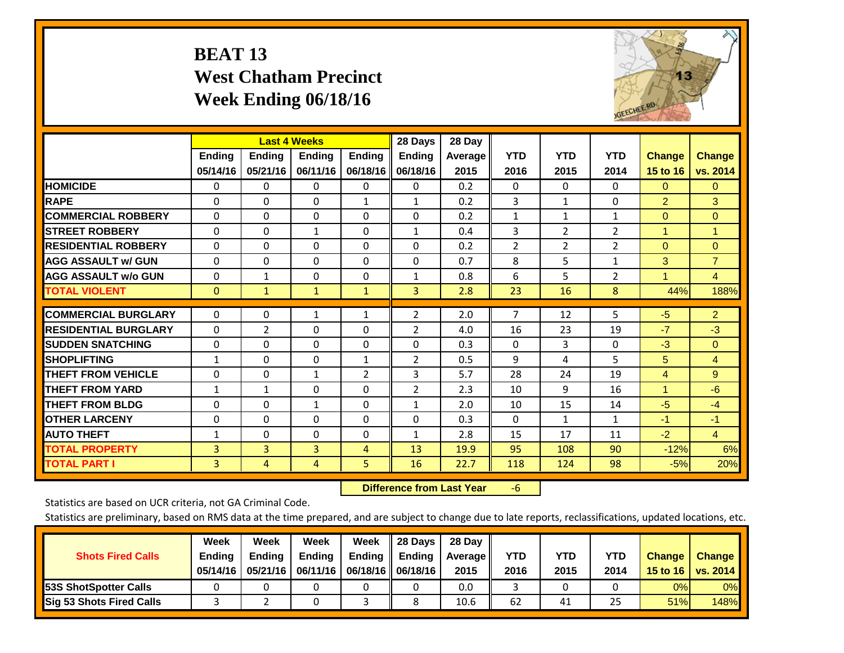# **BEAT 13 West Chatham Precinct Week Ending 06/18/16**

![](_page_8_Picture_1.jpeg)

|                             |                           | <b>Last 4 Weeks</b>       |                           |                           | 28 Days                   | 28 Day            |                    |                    |                    |                           |                           |
|-----------------------------|---------------------------|---------------------------|---------------------------|---------------------------|---------------------------|-------------------|--------------------|--------------------|--------------------|---------------------------|---------------------------|
|                             | <b>Ending</b><br>05/14/16 | <b>Ending</b><br>05/21/16 | <b>Endina</b><br>06/11/16 | <b>Ending</b><br>06/18/16 | <b>Ending</b><br>06/18/16 | Average  <br>2015 | <b>YTD</b><br>2016 | <b>YTD</b><br>2015 | <b>YTD</b><br>2014 | <b>Change</b><br>15 to 16 | <b>Change</b><br>vs. 2014 |
| <b>HOMICIDE</b>             | 0                         | 0                         | $\Omega$                  | $\mathbf{0}$              | 0                         | 0.2               | $\Omega$           | 0                  | 0                  | $\Omega$                  | $\mathbf{0}$              |
| <b>RAPE</b>                 | $\Omega$                  | $\Omega$                  | $\mathbf{0}$              | 1                         | $\mathbf{1}$              | 0.2               | 3                  | $\mathbf{1}$       | 0                  | $\overline{2}$            | 3                         |
| <b>COMMERCIAL ROBBERY</b>   | $\Omega$                  | 0                         | $\mathbf{0}$              | 0                         | 0                         | 0.2               | $\mathbf{1}$       | 1                  | $\mathbf{1}$       | $\Omega$                  | $\mathbf{0}$              |
| <b>ISTREET ROBBERY</b>      | $\Omega$                  | $\Omega$                  | $\mathbf{1}$              | $\Omega$                  | $\mathbf{1}$              | 0.4               | 3                  | $\overline{2}$     | $\overline{2}$     | $\overline{1}$            | 1                         |
| <b>RESIDENTIAL ROBBERY</b>  | $\Omega$                  | $\Omega$                  | $\mathbf{0}$              | $\Omega$                  | 0                         | 0.2               | 2                  | $\overline{2}$     | $\overline{2}$     | $\Omega$                  | $\Omega$                  |
| <b>AGG ASSAULT w/ GUN</b>   | $\Omega$                  | 0                         | $\Omega$                  | $\Omega$                  | 0                         | 0.7               | 8                  | 5.                 | $\mathbf{1}$       | 3                         | $\overline{7}$            |
| <b>AGG ASSAULT w/o GUN</b>  | $\Omega$                  | 1                         | $\Omega$                  | 0                         | $\mathbf{1}$              | 0.8               | 6                  | 5                  | $\overline{2}$     | $\blacktriangleleft$      | 4                         |
| <b>TOTAL VIOLENT</b>        | $\Omega$                  | 1                         | $\mathbf{1}$              | $\mathbf{1}$              | 3                         | 2.8               | 23                 | 16                 | 8                  | 44%                       | 188%                      |
| <b>COMMERCIAL BURGLARY</b>  | $\Omega$                  | 0                         | 1                         | 1                         | 2                         | 2.0               | $\overline{7}$     | 12                 | 5                  | $-5$                      | 2 <sup>1</sup>            |
| <b>RESIDENTIAL BURGLARY</b> | $\Omega$                  | 2                         | $\mathbf{0}$              | 0                         | $\overline{2}$            | 4.0               | 16                 | 23                 | 19                 | $-7$                      | $-3$                      |
| <b>ISUDDEN SNATCHING</b>    | $\Omega$                  | 0                         | $\mathbf{0}$              | $\Omega$                  | 0                         | 0.3               | $\Omega$           | 3                  | 0                  | $-3$                      | $\mathbf{0}$              |
| <b>SHOPLIFTING</b>          | $\mathbf{1}$              | $\Omega$                  | $\mathbf{0}$              | $\mathbf{1}$              | $\overline{2}$            | 0.5               | 9                  | 4                  | 5                  | 5                         | 4                         |
| <b>THEFT FROM VEHICLE</b>   | $\Omega$                  | $\Omega$                  | $\mathbf{1}$              | $\overline{2}$            | 3                         | 5.7               | 28                 | 24                 | 19                 | 4                         | 9                         |
| <b>THEFT FROM YARD</b>      | 1                         | $\mathbf{1}$              | $\mathbf{0}$              | $\Omega$                  | $\overline{2}$            | 2.3               | 10                 | 9                  | 16                 | $\blacktriangleleft$      | $-6$                      |
| <b>THEFT FROM BLDG</b>      | $\Omega$                  | 0                         | 1                         | 0                         | $\mathbf{1}$              | 2.0               | 10                 | 15                 | 14                 | $-5$                      | $-4$                      |
| <b>OTHER LARCENY</b>        | 0                         | 0                         | $\mathbf{0}$              | 0                         | 0                         | 0.3               | $\Omega$           | 1                  | 1                  | $-1$                      | $-1$                      |
| <b>AUTO THEFT</b>           | $\mathbf{1}$              | 0                         | $\mathbf{0}$              | $\Omega$                  | $\mathbf{1}$              | 2.8               | 15                 | 17                 | 11                 | $-2$                      | $\overline{4}$            |
| <b>TOTAL PROPERTY</b>       | 3                         | 3                         | 3                         | $\overline{4}$            | 13                        | 19.9              | 95                 | 108                | 90                 | $-12%$                    | 6%                        |
| <b>TOTAL PART I</b>         | 3                         | 4                         | 4                         | 5                         | 16                        | 22.7              | 118                | 124                | 98                 | $-5%$                     | 20%                       |

 **Difference from Last Year**‐6

Statistics are based on UCR criteria, not GA Criminal Code.

| <b>Shots Fired Calls</b>        | Week<br><b>Ending</b><br>05/14/16 | Week<br><b>Endina</b><br>05/21/16 | Week<br><b>Ending</b> | Week<br>Ending<br>06/11/16   06/18/16   06/18/16 | 28 Days<br><b>Ending</b> | 28 Day<br>Average II<br>2015 | YTD<br>2016 | YTD<br>2015 | <b>YTD</b><br>2014 | <b>Change</b><br>15 to 16 $\vert$ | <b>Change</b><br>vs. 2014 |
|---------------------------------|-----------------------------------|-----------------------------------|-----------------------|--------------------------------------------------|--------------------------|------------------------------|-------------|-------------|--------------------|-----------------------------------|---------------------------|
| <b>153S ShotSpotter Calls</b>   |                                   |                                   |                       |                                                  |                          | 0.0                          |             |             |                    | 0%                                | 0%                        |
| <b>Sig 53 Shots Fired Calls</b> |                                   |                                   |                       |                                                  |                          | 10.6                         | 62          | 41          | 25                 | 51%                               | 148%                      |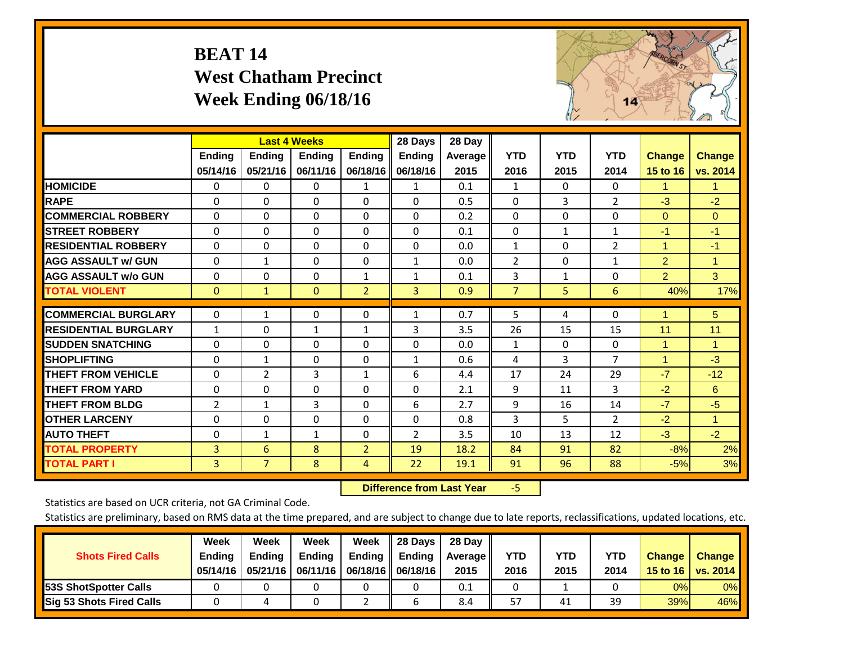# **BEAT 14 West Chatham Precinct Week Ending 06/18/16**

![](_page_9_Picture_1.jpeg)

|                             |                | <b>Last 4 Weeks</b> |               |                | 28 Days        | 28 Day         |                |              |                |                |                |
|-----------------------------|----------------|---------------------|---------------|----------------|----------------|----------------|----------------|--------------|----------------|----------------|----------------|
|                             | Ending         | Ending              | <b>Ending</b> | <b>Ending</b>  | <b>Ending</b>  | <b>Average</b> | <b>YTD</b>     | <b>YTD</b>   | <b>YTD</b>     | <b>Change</b>  | <b>Change</b>  |
|                             | 05/14/16       | 05/21/16            | 06/11/16      | 06/18/16       | 06/18/16       | 2015           | 2016           | 2015         | 2014           | 15 to 16       | vs. 2014       |
| <b>HOMICIDE</b>             | 0              | 0                   | $\Omega$      | 1              | 1              | 0.1            | 1              | $\Omega$     | $\Omega$       | 1.             | 1.             |
| <b>RAPE</b>                 | $\Omega$       | $\Omega$            | $\mathbf{0}$  | 0              | $\Omega$       | 0.5            | $\Omega$       | 3            | $\overline{2}$ | $-3$           | $-2$           |
| <b>COMMERCIAL ROBBERY</b>   | $\Omega$       | $\Omega$            | 0             | $\Omega$       | $\Omega$       | 0.2            | $\mathbf{0}$   | $\Omega$     | $\Omega$       | $\mathbf{0}$   | $\mathbf{0}$   |
| <b>ISTREET ROBBERY</b>      | $\Omega$       | $\Omega$            | $\Omega$      | $\Omega$       | $\Omega$       | 0.1            | $\Omega$       | $\mathbf{1}$ | $\mathbf{1}$   | $-1$           | $-1$           |
| <b>RESIDENTIAL ROBBERY</b>  | $\Omega$       | $\Omega$            | 0             | $\Omega$       | $\Omega$       | 0.0            | $\mathbf{1}$   | $\Omega$     | 2              | $\mathbf{1}$   | $-1$           |
| <b>AGG ASSAULT w/ GUN</b>   | $\Omega$       | 1                   | $\mathbf{0}$  | $\Omega$       | $\mathbf{1}$   | 0.0            | $\overline{2}$ | 0            | $\mathbf{1}$   | $\overline{2}$ | 1              |
| <b>AGG ASSAULT w/o GUN</b>  | $\Omega$       | $\Omega$            | $\mathbf{0}$  | $\mathbf{1}$   | $\mathbf{1}$   | 0.1            | 3              | $\mathbf{1}$ | $\Omega$       | $\overline{2}$ | 3              |
| <b>TOTAL VIOLENT</b>        | $\mathbf{0}$   | $\mathbf{1}$        | $\mathbf{0}$  | $\overline{2}$ | 3              | 0.9            | $\overline{7}$ | 5            | 6              | 40%            | 17%            |
| <b>COMMERCIAL BURGLARY</b>  | 0              | 1                   | 0             | 0              |                | 0.7            | 5              | 4            | 0              | 1              | 5 <sup>5</sup> |
|                             |                |                     |               |                | 1              |                |                |              |                |                |                |
| <b>RESIDENTIAL BURGLARY</b> | $\mathbf{1}$   | $\Omega$            | 1             | $\mathbf{1}$   | 3              | 3.5            | 26             | 15           | 15             | 11             | 11             |
| <b>ISUDDEN SNATCHING</b>    | $\Omega$       | 0                   | $\mathbf{0}$  | $\Omega$       | $\Omega$       | 0.0            | 1              | 0            | $\Omega$       | 1              | 1.             |
| <b>SHOPLIFTING</b>          | $\Omega$       | 1                   | $\mathbf 0$   | 0              | $\mathbf{1}$   | 0.6            | 4              | 3            | $\overline{7}$ | 1              | $-3$           |
| <b>THEFT FROM VEHICLE</b>   | $\Omega$       | $\overline{2}$      | 3             | $\mathbf{1}$   | 6              | 4.4            | 17             | 24           | 29             | $-7$           | $-12$          |
| <b>THEFT FROM YARD</b>      | 0              | $\Omega$            | $\mathbf 0$   | $\Omega$       | $\Omega$       | 2.1            | 9              | 11           | 3              | $-2$           | 6              |
| <b>THEFT FROM BLDG</b>      | $\overline{2}$ | 1                   | 3             | $\Omega$       | 6              | 2.7            | 9              | 16           | 14             | $-7$           | $-5$           |
| <b>OTHER LARCENY</b>        | $\Omega$       | 0                   | $\mathbf{0}$  | $\Omega$       | $\Omega$       | 0.8            | 3              | 5            | 2              | $-2$           | $\mathbf{1}$   |
| <b>AUTO THEFT</b>           | 0              | $\mathbf{1}$        | $\mathbf{1}$  | 0              | $\overline{2}$ | 3.5            | 10             | 13           | 12             | $-3$           | $-2$           |
| <b>TOTAL PROPERTY</b>       | 3              | 6                   | 8             | $\overline{2}$ | 19             | 18.2           | 84             | 91           | 82             | $-8%$          | 2%             |
| <b>TOTAL PART I</b>         | 3              | $\overline{7}$      | 8             | $\overline{4}$ | 22             | 19.1           | 91             | 96           | 88             | $-5%$          | 3%             |

 **Difference from Last Year**‐5

Statistics are based on UCR criteria, not GA Criminal Code.

| <b>Shots Fired Calls</b>        | Week<br><b>Ending</b><br>05/14/16 | Week<br><b>Endina</b><br>05/21/16 | Week<br><b>Ending</b> | Week<br>Ending<br>06/11/16   06/18/16    06/18/16 | 28 Days<br><b>Ending</b> | 28 Day<br>Average II<br>2015 | YTD<br>2016 | YTD<br>2015 | YTD<br>2014 | <b>Change</b><br>15 to 16 $\vert$ | <b>Change</b><br>vs. 2014 |
|---------------------------------|-----------------------------------|-----------------------------------|-----------------------|---------------------------------------------------|--------------------------|------------------------------|-------------|-------------|-------------|-----------------------------------|---------------------------|
| <b>153S ShotSpotter Calls</b>   |                                   |                                   |                       |                                                   |                          | 0.1                          |             |             |             | 0%                                | 0%                        |
| <b>Sig 53 Shots Fired Calls</b> |                                   |                                   |                       |                                                   |                          | 8.4                          | 57          | 41          | 39          | 39%                               | 46%                       |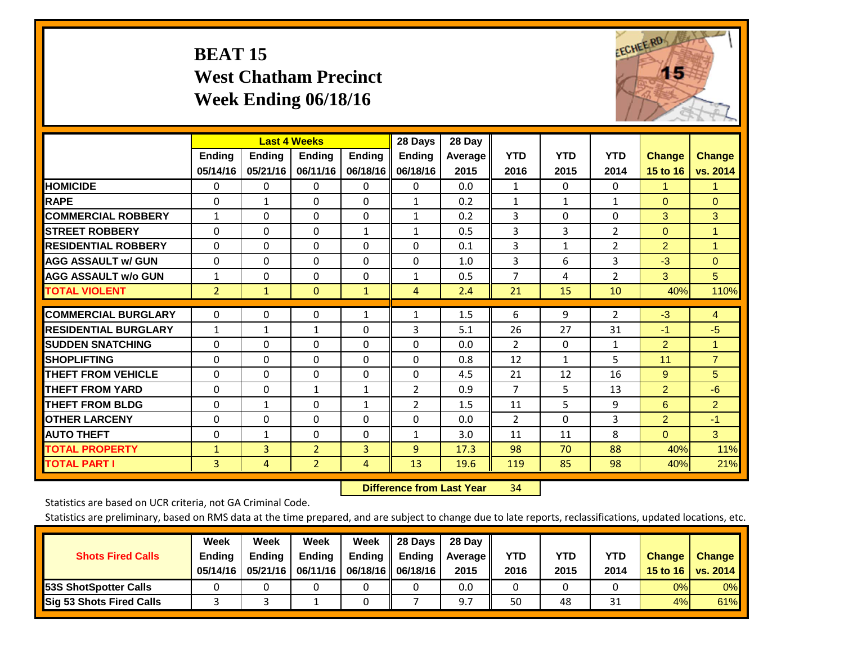# **BEAT 15 West Chatham Precinct Week Ending 06/18/16**

![](_page_10_Picture_1.jpeg)

|                             |                | <b>Last 4 Weeks</b> |                |               | 28 Days        | 28 Day  |                |            |                |                |                |
|-----------------------------|----------------|---------------------|----------------|---------------|----------------|---------|----------------|------------|----------------|----------------|----------------|
|                             | <b>Ending</b>  | <b>Ending</b>       | <b>Endina</b>  | <b>Endina</b> | <b>Endina</b>  | Average | <b>YTD</b>     | <b>YTD</b> | <b>YTD</b>     | <b>Change</b>  | <b>Change</b>  |
|                             | 05/14/16       | 05/21/16            | 06/11/16       | 06/18/16      | 06/18/16       | 2015    | 2016           | 2015       | 2014           | 15 to 16       | vs. 2014       |
| <b>HOMICIDE</b>             | 0              | 0                   | $\Omega$       | 0             | $\Omega$       | 0.0     | 1              | 0          | 0              | 1.             | 1.             |
| <b>RAPE</b>                 | 0              | $\mathbf{1}$        | $\Omega$       | 0             | $\mathbf{1}$   | 0.2     | $\mathbf{1}$   | 1          | $\mathbf{1}$   | $\Omega$       | $\Omega$       |
| <b>COMMERCIAL ROBBERY</b>   | $\mathbf{1}$   | $\Omega$            | $\Omega$       | $\Omega$      | $\mathbf{1}$   | 0.2     | 3              | $\Omega$   | $\Omega$       | 3              | 3              |
| <b>ISTREET ROBBERY</b>      | $\Omega$       | $\Omega$            | $\Omega$       | $\mathbf{1}$  | $\mathbf{1}$   | 0.5     | 3              | 3          | $\overline{2}$ | $\mathbf{0}$   | $\mathbf{1}$   |
| <b>RESIDENTIAL ROBBERY</b>  | $\Omega$       | $\Omega$            | $\mathbf{0}$   | 0             | 0              | 0.1     | 3              | 1          | $\overline{2}$ | $\overline{2}$ | $\mathbf{1}$   |
| <b>AGG ASSAULT w/ GUN</b>   | $\Omega$       | $\Omega$            | $\Omega$       | 0             | 0              | 1.0     | 3              | 6          | 3              | $-3$           | $\Omega$       |
| <b>AGG ASSAULT w/o GUN</b>  | $\mathbf{1}$   | 0                   | $\Omega$       | $\Omega$      | $\mathbf{1}$   | 0.5     | 7              | 4          | $\overline{2}$ | 3              | 5              |
| <b>TOTAL VIOLENT</b>        | $\overline{2}$ | $\mathbf{1}$        | $\mathbf{0}$   | $\mathbf{1}$  | 4              | 2.4     | 21             | 15         | 10             | 40%            | 110%           |
|                             |                |                     |                |               |                |         |                |            |                |                |                |
| <b>COMMERCIAL BURGLARY</b>  | $\Omega$       | $\Omega$            | $\Omega$       | $\mathbf{1}$  | 1              | 1.5     | 6              | 9          | $\overline{2}$ | $-3$           | $\overline{4}$ |
| <b>RESIDENTIAL BURGLARY</b> | 1              | $\mathbf{1}$        | 1              | 0             | 3              | 5.1     | 26             | 27         | 31             | $-1$           | $-5$           |
| <b>SUDDEN SNATCHING</b>     | $\Omega$       | 0                   | $\Omega$       | 0             | $\Omega$       | 0.0     | 2              | 0          | 1              | 2              | $\mathbf{1}$   |
| <b>SHOPLIFTING</b>          | $\Omega$       | $\Omega$            | $\Omega$       | 0             | 0              | 0.8     | 12             | 1          | 5              | 11             | $\overline{7}$ |
| <b>THEFT FROM VEHICLE</b>   | $\Omega$       | $\Omega$            | $\Omega$       | $\Omega$      | 0              | 4.5     | 21             | 12         | 16             | 9              | 5              |
| <b>THEFT FROM YARD</b>      | $\Omega$       | $\Omega$            | $\mathbf{1}$   | $\mathbf{1}$  | 2              | 0.9     | 7              | 5.         | 13             | 2              | $-6$           |
| <b>THEFT FROM BLDG</b>      | $\Omega$       | $\mathbf{1}$        | $\Omega$       | 1             | $\overline{2}$ | 1.5     | 11             | 5          | 9              | 6              | $\overline{2}$ |
| <b>IOTHER LARCENY</b>       | 0              | $\Omega$            | $\Omega$       | 0             | 0              | 0.0     | $\overline{2}$ | 0          | 3              | $\overline{2}$ | $-1$           |
| <b>AUTO THEFT</b>           | 0              | 1                   | 0              | 0             | $\mathbf{1}$   | 3.0     | 11             | 11         | 8              | $\mathbf{0}$   | 3              |
| <b>TOTAL PROPERTY</b>       | $\mathbf{1}$   | 3                   | $\overline{2}$ | 3             | 9              | 17.3    | 98             | 70         | 88             | 40%            | 11%            |
| <b>TOTAL PART I</b>         | 3              | 4                   | $\overline{2}$ | 4             | 13             | 19.6    | 119            | 85         | 98             | 40%            | 21%            |

 **Difference from Last Year**r 34

Statistics are based on UCR criteria, not GA Criminal Code.

| <b>Shots Fired Calls</b>        | Week<br><b>Ending</b><br>05/14/16 | Week<br><b>Endina</b><br>05/21/16 | Week<br><b>Ending</b> | Week<br>Ending<br>06/11/16   06/18/16    06/18/16 | 28 Days<br><b>Ending</b> | 28 Day<br>Average II<br>2015 | YTD<br>2016 | YTD<br>2015 | YTD<br>2014 | <b>Change</b><br>15 to 16 $\vert$ | <b>Change</b><br>vs. 2014 |
|---------------------------------|-----------------------------------|-----------------------------------|-----------------------|---------------------------------------------------|--------------------------|------------------------------|-------------|-------------|-------------|-----------------------------------|---------------------------|
| <b>153S ShotSpotter Calls</b>   |                                   |                                   |                       |                                                   |                          | 0.0                          |             |             |             | 0%                                | 0%                        |
| <b>Sig 53 Shots Fired Calls</b> |                                   |                                   |                       |                                                   |                          |                              | 50          | 48          | 21<br>⊥ر    | 4%                                | 61%                       |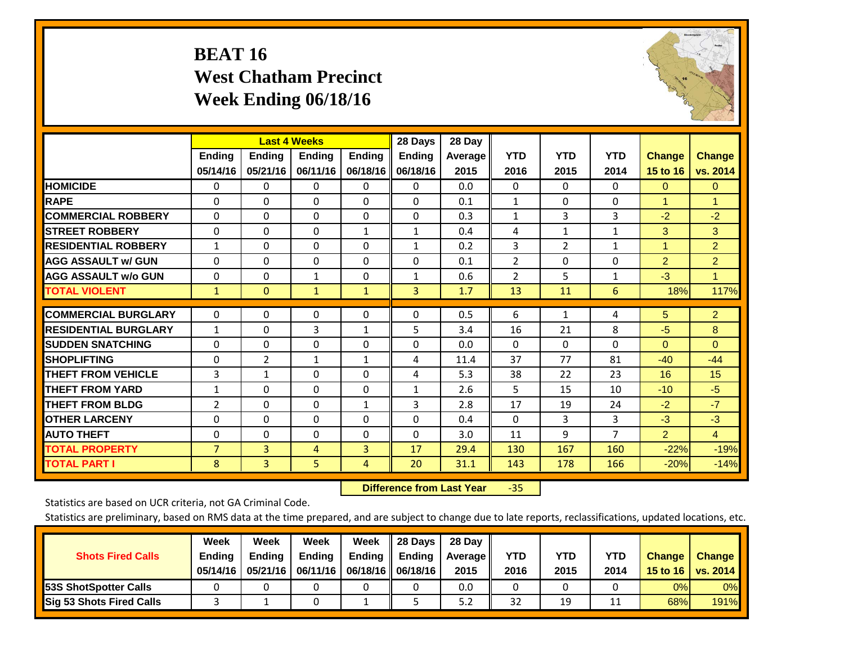# **BEAT 16 West Chatham Precinct Week Ending 06/18/16**

![](_page_11_Picture_1.jpeg)

|                             |                           | <b>Last 4 Weeks</b>       |                           |                           | 28 Days                   | 28 Day            |                    |                    |                    |                           |                           |
|-----------------------------|---------------------------|---------------------------|---------------------------|---------------------------|---------------------------|-------------------|--------------------|--------------------|--------------------|---------------------------|---------------------------|
|                             | <b>Ending</b><br>05/14/16 | <b>Ending</b><br>05/21/16 | <b>Endina</b><br>06/11/16 | <b>Endina</b><br>06/18/16 | <b>Endina</b><br>06/18/16 | Average  <br>2015 | <b>YTD</b><br>2016 | <b>YTD</b><br>2015 | <b>YTD</b><br>2014 | <b>Change</b><br>15 to 16 | <b>Change</b><br>vs. 2014 |
|                             |                           |                           |                           |                           |                           |                   |                    |                    |                    |                           |                           |
| <b>HOMICIDE</b>             | 0                         | 0                         | $\Omega$                  | 0                         | 0                         | 0.0               | 0                  | $\Omega$           | 0                  | $\mathbf{0}$              | $\Omega$                  |
| <b>RAPE</b>                 | 0                         | $\Omega$                  | $\Omega$                  | $\Omega$                  | $\Omega$                  | 0.1               | $\mathbf{1}$       | $\Omega$           | $\Omega$           | 1                         | 1                         |
| <b>COMMERCIAL ROBBERY</b>   | $\Omega$                  | $\Omega$                  | $\Omega$                  | 0                         | $\Omega$                  | 0.3               | $\mathbf{1}$       | 3                  | 3                  | $-2$                      | $-2$                      |
| <b>STREET ROBBERY</b>       | $\Omega$                  | $\Omega$                  | $\Omega$                  | $\mathbf{1}$              | $\mathbf{1}$              | 0.4               | 4                  | $\mathbf{1}$       | $\mathbf{1}$       | 3                         | 3                         |
| <b>RESIDENTIAL ROBBERY</b>  | 1                         | $\Omega$                  | $\Omega$                  | $\mathbf{0}$              | 1                         | 0.2               | 3                  | $\overline{2}$     | $\mathbf{1}$       | 1                         | $\overline{2}$            |
| <b>AGG ASSAULT w/ GUN</b>   | $\Omega$                  | $\Omega$                  | $\Omega$                  | $\Omega$                  | $\Omega$                  | 0.1               | $\overline{2}$     | 0                  | $\Omega$           | $\overline{2}$            | $\overline{2}$            |
| <b>AGG ASSAULT w/o GUN</b>  | $\Omega$                  | 0                         | 1                         | 0                         | 1                         | 0.6               | $\overline{2}$     | 5                  | 1                  | $-3$                      | $\mathbf{1}$              |
| <b>TOTAL VIOLENT</b>        | $\mathbf{1}$              | $\mathbf{0}$              | $\mathbf{1}$              | $\mathbf{1}$              | 3                         | 1.7               | 13                 | 11                 | 6                  | 18%                       | 117%                      |
|                             |                           |                           |                           |                           |                           |                   |                    |                    |                    |                           |                           |
| <b>COMMERCIAL BURGLARY</b>  | $\Omega$                  | 0                         | $\mathbf{0}$              | $\mathbf{0}$              | $\Omega$                  | 0.5               | 6                  | $\mathbf{1}$       | 4                  | 5                         | $\overline{2}$            |
| <b>RESIDENTIAL BURGLARY</b> | 1                         | $\Omega$                  | 3                         | 1                         | 5                         | 3.4               | 16                 | 21                 | 8                  | -5                        | 8                         |
| <b>SUDDEN SNATCHING</b>     | $\Omega$                  | $\Omega$                  | $\Omega$                  | $\mathbf{0}$              | $\Omega$                  | 0.0               | $\Omega$           | $\Omega$           | $\Omega$           | $\Omega$                  | $\Omega$                  |
| <b>SHOPLIFTING</b>          | $\Omega$                  | $\overline{2}$            | $\mathbf{1}$              | 1                         | 4                         | 11.4              | 37                 | 77                 | 81                 | $-40$                     | $-44$                     |
| <b>THEFT FROM VEHICLE</b>   | 3                         | $\mathbf{1}$              | $\mathbf{0}$              | $\mathbf{0}$              | 4                         | 5.3               | 38                 | 22                 | 23                 | 16                        | 15                        |
| <b>THEFT FROM YARD</b>      | $\mathbf{1}$              | 0                         | $\mathbf{0}$              | $\Omega$                  | $\mathbf{1}$              | 2.6               | 5                  | 15                 | 10                 | $-10$                     | $-5$                      |
| <b>THEFT FROM BLDG</b>      | 2                         | 0                         | $\Omega$                  | 1                         | 3                         | 2.8               | 17                 | 19                 | 24                 | $-2$                      | $-7$                      |
| <b>IOTHER LARCENY</b>       | 0                         | 0                         | $\Omega$                  | $\Omega$                  | 0                         | 0.4               | $\Omega$           | 3                  | 3                  | $-3$                      | $-3$                      |
| <b>AUTO THEFT</b>           | 0                         | 0                         | $\Omega$                  | 0                         | $\Omega$                  | 3.0               | 11                 | 9                  | $\overline{7}$     | $\overline{2}$            | $\overline{4}$            |
| <b>TOTAL PROPERTY</b>       | $\overline{7}$            | 3                         | 4                         | 3                         | 17                        | 29.4              | 130                | 167                | 160                | $-22%$                    | $-19%$                    |
| <b>TOTAL PART I</b>         | 8                         | 3                         | 5                         | 4                         | 20                        | 31.1              | 143                | 178                | 166                | $-20%$                    | $-14%$                    |

 **Difference from Last Year**‐35

Statistics are based on UCR criteria, not GA Criminal Code.

| <b>Shots Fired Calls</b>        | Week<br><b>Ending</b><br>05/14/16 | Week<br><b>Endina</b><br>05/21/16 | Week<br><b>Ending</b> | Week<br>Ending | 28 Days<br><b>Ending</b><br>06/11/16   06/18/16   06/18/16 | 28 Day<br>Average II<br>2015 | YTD<br>2016 | YTD<br>2015 | YTD<br>2014 | <b>Change</b><br>15 to 16 $\vert$ | <b>Change</b><br>vs. 2014 |
|---------------------------------|-----------------------------------|-----------------------------------|-----------------------|----------------|------------------------------------------------------------|------------------------------|-------------|-------------|-------------|-----------------------------------|---------------------------|
| <b>153S ShotSpotter Calls</b>   |                                   |                                   |                       |                |                                                            | 0.0                          |             |             |             | 0%                                | 0%                        |
| <b>Sig 53 Shots Fired Calls</b> |                                   |                                   |                       |                |                                                            | 5.2                          | 32          | 19          |             | 68%                               | 191%                      |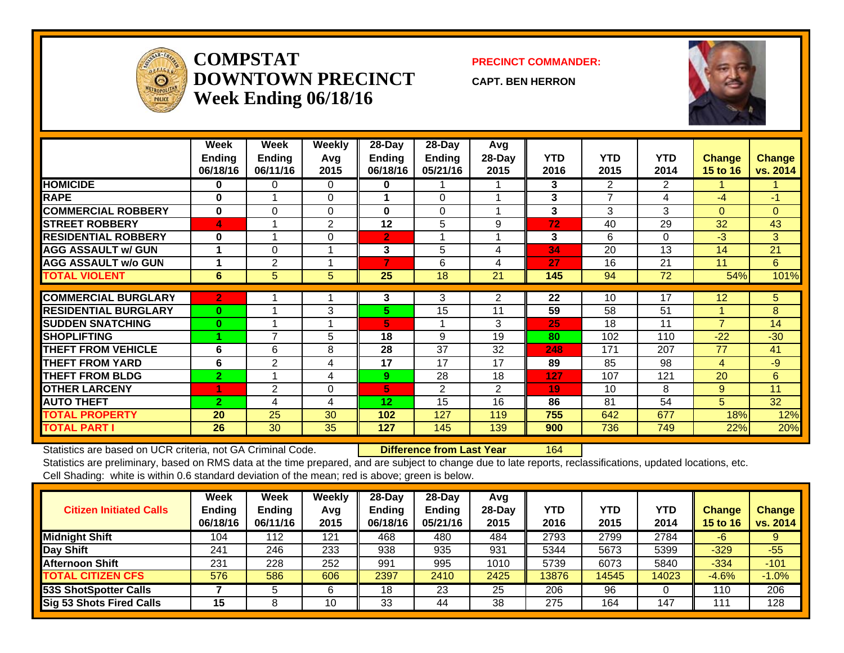![](_page_12_Picture_0.jpeg)

### **COMPSTATDOWNTOWN PRECINCTWeek Ending 06/18/16**

### **PRECINCT COMMANDER:**

**CAPT. BEN HERRON**

![](_page_12_Picture_4.jpeg)

|                             | Week           | Week           | Weekly   | 28-Day         | 28-Day         | Avg            |            |                           |                |                |               |
|-----------------------------|----------------|----------------|----------|----------------|----------------|----------------|------------|---------------------------|----------------|----------------|---------------|
|                             | <b>Ending</b>  | <b>Ending</b>  | Avg      | <b>Ending</b>  | <b>Ending</b>  | $28-Day$       | <b>YTD</b> | <b>YTD</b>                | <b>YTD</b>     | <b>Change</b>  | <b>Change</b> |
|                             | 06/18/16       | 06/11/16       | 2015     | 06/18/16       | 05/21/16       | 2015           | 2016       | 2015                      | 2014           | 15 to 16       | vs. 2014      |
| <b>HOMICIDE</b>             | $\bf{0}$       | 0              | $\Omega$ | 0              |                |                | 3          | $\mathbf{2}^{\mathsf{I}}$ | $\overline{2}$ |                |               |
| <b>RAPE</b>                 | $\bf{0}$       |                | 0        |                | $\Omega$       |                | 3          | $\overline{ }$            | 4              | $-4$           | $-1$          |
| <b>COMMERCIAL ROBBERY</b>   | $\bf{0}$       | $\Omega$       | $\Omega$ | 0              | $\Omega$       |                | 3          | 3                         | 3              | $\Omega$       | $\Omega$      |
| <b>STREET ROBBERY</b>       | 4              |                | 2        | 12             | 5              | 9              | 72         | 40                        | 29             | 32             | 43            |
| <b>RESIDENTIAL ROBBERY</b>  | $\bf{0}$       |                | $\Omega$ | $\overline{2}$ |                |                | 3          | 6                         | $\Omega$       | $-3$           | 3             |
| <b>AGG ASSAULT w/ GUN</b>   |                | $\Omega$       |          | 3              | 5              | 4              | 34         | 20                        | 13             | 14             | 21            |
| <b>AGG ASSAULT w/o GUN</b>  |                | $\overline{2}$ |          | 7              | 6              | 4              | 27         | 16                        | 21             | 11             | $6^{\circ}$   |
| <b>TOTAL VIOLENT</b>        | 6              | 5              | 5        | 25             | 18             | 21             | 145        | 94                        | 72             | 54%            | 101%          |
|                             |                |                |          |                |                |                |            |                           |                |                |               |
| <b>COMMERCIAL BURGLARY</b>  | $\overline{2}$ |                |          | 3              | 3              | $\overline{2}$ | 22         | 10                        | 17             | 12             | 5             |
| <b>RESIDENTIAL BURGLARY</b> | $\bf{0}$       |                | 3        | 5.             | 15             | 11             | 59         | 58                        | 51             |                | 8             |
| <b>SUDDEN SNATCHING</b>     | $\bf{0}$       |                |          | 5.             |                | 3              | 25         | 18                        | 11             | 7              | 14            |
| <b>SHOPLIFTING</b>          |                | $\overline{ }$ | 5        | 18             | 9              | 19             | 80         | 102                       | 110            | $-22$          | $-30$         |
| <b>THEFT FROM VEHICLE</b>   | 6              | 6              | 8        | 28             | 37             | 32             | 248        | 171                       | 207            | 77             | 41            |
| <b>THEFT FROM YARD</b>      | 6              | $\overline{2}$ | 4        | 17             | 17             | 17             | 89         | 85                        | 98             | $\overline{4}$ | $-9$          |
| <b>THEFT FROM BLDG</b>      | $\overline{2}$ |                | 4        | 9              | 28             | 18             | 127        | 107                       | 121            | 20             | 6             |
| <b>OTHER LARCENY</b>        | 4              | $\overline{2}$ | 0        | 5              | $\overline{2}$ | $\overline{2}$ | 19         | 10                        | 8              | 9              | 11            |
| <b>AUTO THEFT</b>           | $\overline{2}$ | 4              | 4        | 12             | 15             | 16             | 86         | 81                        | 54             | 5              | 32            |
| <b>TOTAL PROPERTY</b>       | 20             | 25             | 30       | 102            | 127            | 119            | 755        | 642                       | 677            | 18%            | 12%           |
| <b>TOTAL PART I</b>         | 26             | 30             | 35       | 127            | 145            | 139            | 900        | 736                       | 749            | 22%            | 20%           |

Statistics are based on UCR criteria, not GA Criminal Code. **Difference from Last Year** 164

| <b>Citizen Initiated Calls</b>  | <b>Week</b><br><b>Ending</b><br>06/18/16 | <b>Week</b><br><b>Ending</b><br>06/11/16 | Weekly<br>Avg<br>2015 | $28$ -Day<br><b>Ending</b><br>06/18/16 | 28-Day<br><b>Ending</b><br>05/21/16 | Avg<br>28-Day<br>2015 | YTD<br>2016 | <b>YTD</b><br>2015 | YTD<br>2014 | <b>Change</b><br><b>15 to 16</b> | <b>Change</b><br>vs. 2014 |
|---------------------------------|------------------------------------------|------------------------------------------|-----------------------|----------------------------------------|-------------------------------------|-----------------------|-------------|--------------------|-------------|----------------------------------|---------------------------|
| <b>Midnight Shift</b>           | 104                                      | '12                                      | 121                   | 468                                    | 480                                 | 484                   | 2793        | 2799               | 2784        | -6                               |                           |
| Day Shift                       | 241                                      | 246                                      | 233                   | 938                                    | 935                                 | 931                   | 5344        | 5673               | 5399        | $-329$                           | $-55$                     |
| <b>Afternoon Shift</b>          | 231                                      | 228                                      | 252                   | 991                                    | 995                                 | 1010                  | 5739        | 6073               | 5840        | $-334$                           | $-101$                    |
| <b>TOTAL CITIZEN CFS</b>        | 576                                      | 586                                      | 606                   | 2397                                   | 2410                                | 2425                  | 13876       | 14545              | 14023       | $-4.6%$                          | $-1.0%$                   |
| <b>53S ShotSpotter Calls</b>    |                                          |                                          | 6                     | 18                                     | 23                                  | 25                    | 206         | 96                 |             | 110                              | 206                       |
| <b>Sig 53 Shots Fired Calls</b> | 15                                       |                                          | 10                    | 33                                     | 44                                  | 38                    | 275         | 164                | 147         | 11'                              | 128                       |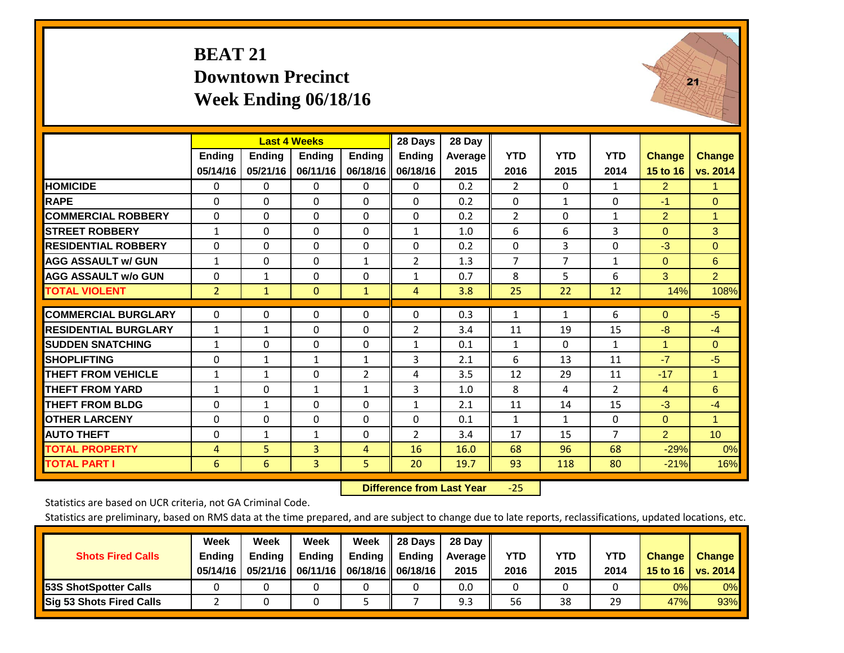# **BEAT 21 Downtown Precinct Week Ending 06/18/16**

![](_page_13_Picture_1.jpeg)

|                             |                | <b>Last 4 Weeks</b> |                |                | 28 Days        | 28 Day  |                |              |                |                      |                 |
|-----------------------------|----------------|---------------------|----------------|----------------|----------------|---------|----------------|--------------|----------------|----------------------|-----------------|
|                             | <b>Ending</b>  | <b>Ending</b>       | <b>Endina</b>  | <b>Ending</b>  | <b>Ending</b>  | Average | <b>YTD</b>     | <b>YTD</b>   | <b>YTD</b>     | <b>Change</b>        | <b>Change</b>   |
|                             | 05/14/16       | 05/21/16            | 06/11/16       | 06/18/16       | 06/18/16       | 2015    | 2016           | 2015         | 2014           | 15 to 16             | vs. 2014        |
| <b>HOMICIDE</b>             | $\Omega$       | $\Omega$            | 0              | 0              | $\Omega$       | 0.2     | $\overline{2}$ | $\Omega$     | $\mathbf{1}$   | $\overline{2}$       | 1.              |
| <b>RAPE</b>                 | $\Omega$       | 0                   | $\Omega$       | 0              | 0              | 0.2     | $\Omega$       | $\mathbf{1}$ | 0              | $-1$                 | $\Omega$        |
| <b>COMMERCIAL ROBBERY</b>   | $\Omega$       | $\Omega$            | $\Omega$       | $\Omega$       | $\Omega$       | 0.2     | 2              | $\Omega$     | $\mathbf{1}$   | $\overline{2}$       | $\mathbf{1}$    |
| <b>STREET ROBBERY</b>       | $\mathbf{1}$   | $\Omega$            | $\Omega$       | $\Omega$       | $\mathbf{1}$   | 1.0     | 6              | 6            | 3              | $\Omega$             | 3               |
| <b>RESIDENTIAL ROBBERY</b>  | $\Omega$       | $\Omega$            | $\Omega$       | $\Omega$       | $\Omega$       | 0.2     | $\mathbf{0}$   | 3            | 0              | $-3$                 | $\mathbf{0}$    |
| <b>AGG ASSAULT w/ GUN</b>   | $\mathbf{1}$   | $\Omega$            | $\Omega$       | $\mathbf{1}$   | 2              | 1.3     | 7              | 7            | 1              | $\Omega$             | 6               |
| <b>AGG ASSAULT w/o GUN</b>  | $\Omega$       | $\mathbf{1}$        | $\Omega$       | 0              | $\mathbf{1}$   | 0.7     | 8              | 5            | 6              | 3                    | $\overline{2}$  |
| <b>TOTAL VIOLENT</b>        | $\overline{2}$ | $\mathbf{1}$        | $\mathbf{0}$   | $\mathbf{1}$   | 4              | 3.8     | 25             | 22           | 12             | 14%                  | 108%            |
| <b>COMMERCIAL BURGLARY</b>  | 0              | $\Omega$            | 0              | 0              | 0              | 0.3     | 1              |              | 6              |                      | $-5$            |
|                             |                |                     |                |                |                |         |                | $\mathbf{1}$ |                | $\mathbf{0}$         |                 |
| <b>RESIDENTIAL BURGLARY</b> | $\mathbf{1}$   | $\mathbf{1}$        | $\Omega$       | $\Omega$       | 2              | 3.4     | 11             | 19           | 15             | $-8$                 | $-4$            |
| <b>SUDDEN SNATCHING</b>     | $\mathbf{1}$   | $\Omega$            | $\Omega$       | $\Omega$       | $\mathbf{1}$   | 0.1     | $\mathbf{1}$   | $\Omega$     | $\mathbf{1}$   | $\blacktriangleleft$ | $\Omega$        |
| <b>SHOPLIFTING</b>          | $\Omega$       | $\mathbf{1}$        | 1              | $\mathbf{1}$   | 3              | 2.1     | 6              | 13           | 11             | $-7$                 | $-5$            |
| <b>THEFT FROM VEHICLE</b>   | $\mathbf{1}$   | $\mathbf{1}$        | $\Omega$       | $\overline{2}$ | 4              | 3.5     | 12             | 29           | 11             | $-17$                | 1               |
| <b>THEFT FROM YARD</b>      | $\mathbf{1}$   | $\mathbf 0$         | $\mathbf{1}$   | $\mathbf{1}$   | 3              | 1.0     | 8              | 4            | $\overline{2}$ | $\overline{4}$       | 6               |
| <b>THEFT FROM BLDG</b>      | $\Omega$       | $\mathbf{1}$        | $\Omega$       | $\Omega$       | $\mathbf{1}$   | 2.1     | 11             | 14           | 15             | $-3$                 | $-4$            |
| <b>OTHER LARCENY</b>        | $\Omega$       | $\Omega$            | $\Omega$       | $\Omega$       | $\Omega$       | 0.1     | $\mathbf{1}$   | $\mathbf{1}$ | $\Omega$       | $\mathbf{0}$         | 1.              |
| <b>AUTO THEFT</b>           | $\Omega$       | $\mathbf{1}$        | 1              | $\Omega$       | $\overline{2}$ | 3.4     | 17             | 15           | $\overline{7}$ | $\overline{2}$       | 10 <sup>°</sup> |
| <b>TOTAL PROPERTY</b>       | 4              | 5                   | 3              | 4              | 16             | 16.0    | 68             | 96           | 68             | $-29%$               | 0%              |
| <b>TOTAL PART I</b>         | 6              | 6                   | $\overline{3}$ | 5              | 20             | 19.7    | 93             | 118          | 80             | $-21%$               | 16%             |

 **Difference from Last Year**‐25

Statistics are based on UCR criteria, not GA Criminal Code.

| <b>Shots Fired Calls</b>        | Week<br><b>Ending</b><br>05/14/16 | Week<br><b>Endina</b><br>05/21/16 | Week<br><b>Ending</b> | Week<br>Ending<br>06/11/16   06/18/16    06/18/16 | 28 Days<br><b>Ending</b> | 28 Day<br>Average II<br>2015 | YTD<br>2016 | YTD<br>2015 | YTD<br>2014 | <b>Change</b><br>15 to 16 $\vert$ | <b>Change</b><br>vs. 2014 |
|---------------------------------|-----------------------------------|-----------------------------------|-----------------------|---------------------------------------------------|--------------------------|------------------------------|-------------|-------------|-------------|-----------------------------------|---------------------------|
| <b>153S ShotSpotter Calls</b>   |                                   |                                   |                       |                                                   |                          | 0.0                          |             |             |             | 0%                                | 0%                        |
| <b>Sig 53 Shots Fired Calls</b> |                                   |                                   |                       |                                                   |                          | 9.3                          | 56          | 38          | 29          | 47%                               | 93%                       |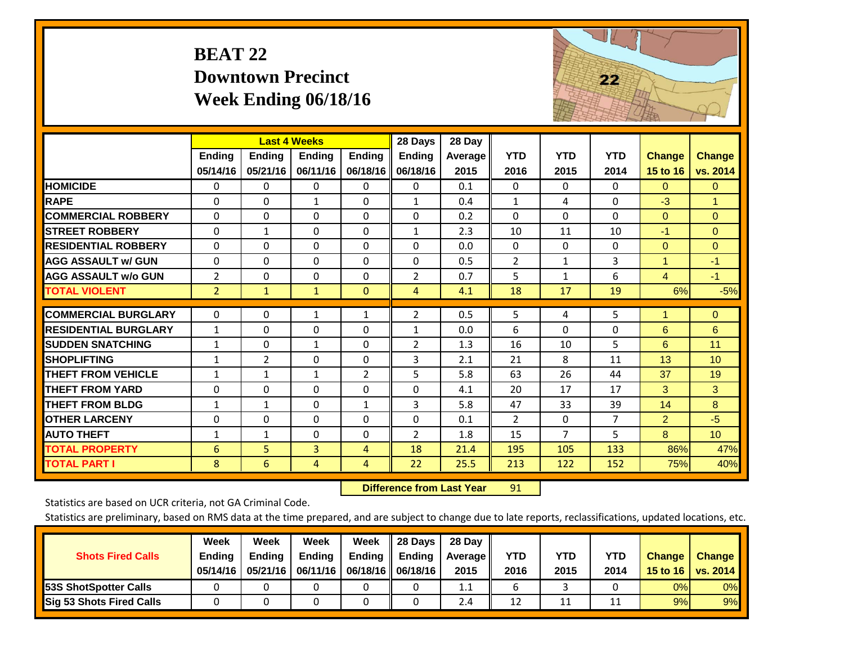# **BEAT 22 Downtown Precinct Week Ending 06/18/16**

![](_page_14_Picture_1.jpeg)

|                             |                | <b>Last 4 Weeks</b> |                |                | 28 Days        | 28 Day         |                |                |                |                      |                 |
|-----------------------------|----------------|---------------------|----------------|----------------|----------------|----------------|----------------|----------------|----------------|----------------------|-----------------|
|                             | Ending         | <b>Ending</b>       | <b>Endina</b>  | <b>Ending</b>  | <b>Ending</b>  | <b>Average</b> | <b>YTD</b>     | <b>YTD</b>     | <b>YTD</b>     | <b>Change</b>        | <b>Change</b>   |
|                             | 05/14/16       | 05/21/16            | 06/11/16       | 06/18/16       | 06/18/16       | 2015           | 2016           | 2015           | 2014           | 15 to 16             | vs. 2014        |
| <b>HOMICIDE</b>             | 0              | 0                   | 0              | $\Omega$       | 0              | 0.1            | $\Omega$       | $\Omega$       | $\Omega$       | $\mathbf{0}$         | $\mathbf{0}$    |
| <b>RAPE</b>                 | $\Omega$       | 0                   | 1              | $\Omega$       | $\mathbf{1}$   | 0.4            | 1              | 4              | 0              | $-3$                 | 1.              |
| <b>COMMERCIAL ROBBERY</b>   | $\Omega$       | 0                   | $\Omega$       | $\Omega$       | $\Omega$       | 0.2            | $\Omega$       | $\Omega$       | $\Omega$       | $\Omega$             | $\Omega$        |
| <b>STREET ROBBERY</b>       | $\Omega$       | $\mathbf{1}$        | $\Omega$       | $\Omega$       | $\mathbf{1}$   | 2.3            | 10             | 11             | 10             | $-1$                 | $\overline{0}$  |
| <b>RESIDENTIAL ROBBERY</b>  | $\Omega$       | 0                   | $\mathbf{0}$   | $\Omega$       | $\Omega$       | 0.0            | $\mathbf{0}$   | $\Omega$       | 0              | $\Omega$             | $\mathbf{0}$    |
| <b>AGG ASSAULT W/ GUN</b>   | $\Omega$       | 0                   | $\Omega$       | $\Omega$       | $\Omega$       | 0.5            | $\overline{2}$ | 1              | 3              | $\blacktriangleleft$ | $-1$            |
| <b>AGG ASSAULT w/o GUN</b>  | $\overline{2}$ | 0                   | $\Omega$       | $\Omega$       | $\overline{2}$ | 0.7            | 5              | $\mathbf{1}$   | 6              | $\overline{4}$       | $-1$            |
| <b>TOTAL VIOLENT</b>        | $\overline{2}$ | $\mathbf{1}$        | $\mathbf{1}$   | $\mathbf{0}$   | 4              | 4.1            | 18             | 17             | 19             | 6%                   | $-5%$           |
|                             |                |                     |                |                |                |                |                |                |                | 4                    |                 |
| <b>COMMERCIAL BURGLARY</b>  | 0              | 0                   | 1              | $\mathbf{1}$   | $\overline{2}$ | 0.5            | 5              | 4              | 5              |                      | $\overline{0}$  |
| <b>RESIDENTIAL BURGLARY</b> | $\mathbf{1}$   | 0                   | $\Omega$       | $\Omega$       | $\mathbf{1}$   | 0.0            | 6              | $\Omega$       | $\Omega$       | 6                    | 6               |
| <b>SUDDEN SNATCHING</b>     | $\mathbf{1}$   | 0                   | $\mathbf{1}$   | $\Omega$       | $\overline{2}$ | 1.3            | 16             | 10             | 5              | 6                    | 11              |
| <b>SHOPLIFTING</b>          | $\mathbf{1}$   | $\overline{2}$      | $\Omega$       | $\Omega$       | 3              | 2.1            | 21             | 8              | 11             | 13                   | 10 <sup>1</sup> |
| <b>THEFT FROM VEHICLE</b>   | $\mathbf{1}$   | 1                   | 1              | $\overline{2}$ | 5              | 5.8            | 63             | 26             | 44             | 37                   | 19              |
| <b>THEFT FROM YARD</b>      | $\mathbf 0$    | 0                   | $\mathbf 0$    | $\Omega$       | $\mathbf 0$    | 4.1            | 20             | 17             | 17             | 3                    | 3               |
| <b>THEFT FROM BLDG</b>      | $\mathbf{1}$   | 1                   | $\Omega$       | $\mathbf{1}$   | 3              | 5.8            | 47             | 33             | 39             | 14                   | 8               |
| <b>OTHER LARCENY</b>        | $\Omega$       | $\Omega$            | $\Omega$       | $\Omega$       | $\Omega$       | 0.1            | $\overline{2}$ | $\Omega$       | $\overline{7}$ | $\overline{2}$       | $-5$            |
| <b>AUTO THEFT</b>           | $\mathbf{1}$   | 1                   | $\mathbf{0}$   | $\Omega$       | 2              | 1.8            | 15             | $\overline{7}$ | 5              | 8                    | 10 <sup>°</sup> |
| <b>TOTAL PROPERTY</b>       | 6              | 5                   | $\overline{3}$ | $\overline{4}$ | 18             | 21.4           | 195            | 105            | 133            | 86%                  | 47%             |
| <b>TOTAL PART I</b>         | 8              | 6                   | 4              | $\overline{4}$ | 22             | 25.5           | 213            | 122            | 152            | 75%                  | 40%             |

 **Difference from Last Year**r 91

Statistics are based on UCR criteria, not GA Criminal Code.

| <b>Shots Fired Calls</b>        | Week<br><b>Ending</b><br>05/14/16 | Week<br><b>Endina</b><br>05/21/16 | Week<br><b>Ending</b> | Week<br>Ending<br>06/11/16   06/18/16    06/18/16 | 28 Days<br><b>Ending</b> | 28 Day<br>Average II<br>2015 | YTD<br>2016 | YTD<br>2015 | YTD<br>2014 | <b>Change</b><br>15 to 16 $\vert$ | <b>Change</b><br>vs. 2014 |
|---------------------------------|-----------------------------------|-----------------------------------|-----------------------|---------------------------------------------------|--------------------------|------------------------------|-------------|-------------|-------------|-----------------------------------|---------------------------|
| <b>153S ShotSpotter Calls</b>   |                                   |                                   |                       |                                                   |                          | 1.1                          |             |             |             | 0%                                | 0%                        |
| <b>Sig 53 Shots Fired Calls</b> |                                   |                                   |                       |                                                   |                          | 2.4                          | 12          | 11          |             | 9%                                | 9%                        |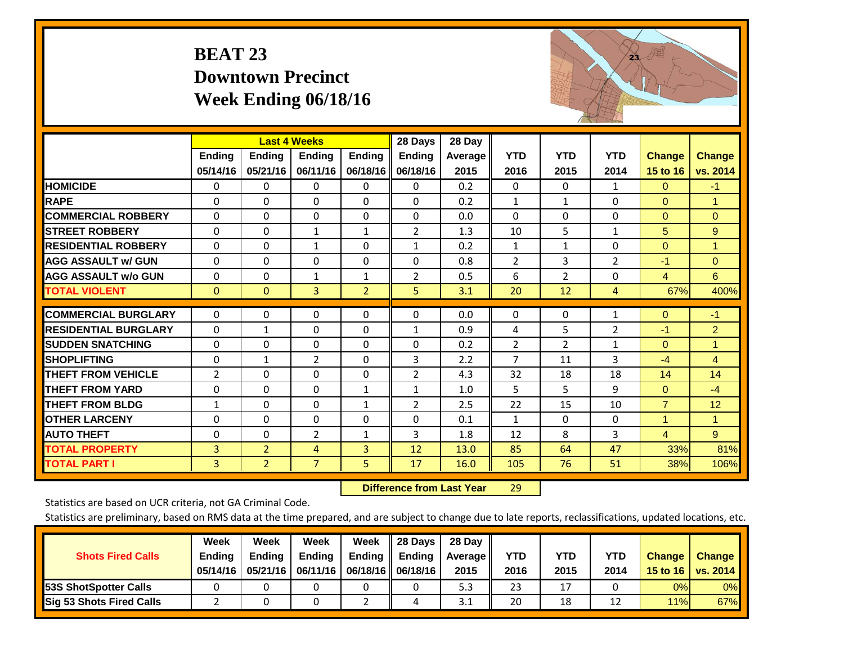# **BEAT 23 Downtown Precinct Week Ending 06/18/16**

![](_page_15_Picture_1.jpeg)

|                             |                    | <b>Last 4 Weeks</b>       |                           |                           | 28 Days                   | 28 Day          |                    |                    |                    |                           |                    |
|-----------------------------|--------------------|---------------------------|---------------------------|---------------------------|---------------------------|-----------------|--------------------|--------------------|--------------------|---------------------------|--------------------|
|                             | Ending<br>05/14/16 | <b>Endina</b><br>05/21/16 | <b>Endina</b><br>06/11/16 | <b>Ending</b><br>06/18/16 | <b>Ending</b><br>06/18/16 | Average<br>2015 | <b>YTD</b><br>2016 | <b>YTD</b><br>2015 | <b>YTD</b><br>2014 | <b>Change</b><br>15 to 16 | Change<br>vs. 2014 |
| <b>HOMICIDE</b>             | 0                  | 0                         | 0                         | $\Omega$                  | $\Omega$                  | 0.2             | $\mathbf{0}$       | $\Omega$           | $\mathbf{1}$       | $\Omega$                  | $-1$               |
| <b>RAPE</b>                 | $\Omega$           | 0                         | $\mathbf{0}$              | 0                         | 0                         | 0.2             | 1                  | 1                  | $\Omega$           | $\Omega$                  | 1                  |
| <b>COMMERCIAL ROBBERY</b>   | $\Omega$           | 0                         | $\mathbf{0}$              | $\Omega$                  | $\Omega$                  | 0.0             | 0                  | 0                  | $\Omega$           | $\Omega$                  | $\Omega$           |
| <b>STREET ROBBERY</b>       | 0                  | $\Omega$                  | 1                         | 1                         | $\overline{2}$            | 1.3             | 10                 | 5                  | $\mathbf{1}$       | 5                         | 9                  |
| <b>RESIDENTIAL ROBBERY</b>  | $\Omega$           | $\Omega$                  | 1                         | $\Omega$                  | $\mathbf{1}$              | 0.2             | $\mathbf{1}$       | 1                  | $\Omega$           | $\Omega$                  | 1                  |
| <b>AGG ASSAULT w/ GUN</b>   | $\Omega$           | $\Omega$                  | $\Omega$                  | $\Omega$                  | $\Omega$                  | 0.8             | $\overline{2}$     | 3                  | 2                  | $-1$                      | $\Omega$           |
| <b>AGG ASSAULT w/o GUN</b>  | $\Omega$           | 0                         | 1                         | $\mathbf{1}$              | $\overline{2}$            | 0.5             | 6                  | $\overline{2}$     | $\Omega$           | $\overline{4}$            | 6                  |
| <b>TOTAL VIOLENT</b>        | $\mathbf 0$        | $\mathbf{0}$              | $\overline{3}$            | $\overline{2}$            | 5                         | 3.1             | 20                 | 12                 | 4                  | 67%                       | 400%               |
| <b>COMMERCIAL BURGLARY</b>  | $\Omega$           | $\Omega$                  | $\mathbf 0$               | $\Omega$                  | $\Omega$                  | 0.0             | $\mathbf 0$        | 0                  | 1                  | $\mathbf{0}$              | $-1$               |
| <b>RESIDENTIAL BURGLARY</b> | $\Omega$           | 1                         | $\mathbf{0}$              | $\Omega$                  | $\mathbf{1}$              | 0.9             | 4                  | 5                  | $\overline{2}$     | $-1$                      | $\overline{2}$     |
| <b>ISUDDEN SNATCHING</b>    | $\Omega$           | 0                         | $\Omega$                  | $\Omega$                  | $\Omega$                  | 0.2             | $\overline{2}$     | $\overline{2}$     | $\mathbf{1}$       | $\Omega$                  | 1                  |
| <b>SHOPLIFTING</b>          | 0                  | 1                         | $\overline{2}$            | 0                         | 3                         | 2.2             | 7                  | 11                 | 3                  | $-4$                      | $\overline{4}$     |
| <b>THEFT FROM VEHICLE</b>   | $\overline{2}$     | $\Omega$                  | $\Omega$                  | $\Omega$                  | $\overline{2}$            | 4.3             | 32                 | 18                 | 18                 | 14                        | 14                 |
| <b>THEFT FROM YARD</b>      | 0                  | $\Omega$                  | $\mathbf 0$               | 1                         | $\mathbf{1}$              | 1.0             | 5                  | 5                  | 9                  | $\Omega$                  | $-4$               |
| <b>THEFT FROM BLDG</b>      | $\mathbf{1}$       | 0                         | $\Omega$                  | $\mathbf{1}$              | $\overline{2}$            | 2.5             | 22                 | 15                 | 10                 | $\overline{7}$            | 12                 |
| <b>OTHER LARCENY</b>        | $\Omega$           | $\Omega$                  | $\mathbf 0$               | 0                         | $\Omega$                  | 0.1             | $\mathbf{1}$       | 0                  | $\Omega$           | 1                         | $\mathbf{1}$       |
| <b>AUTO THEFT</b>           | $\Omega$           | $\Omega$                  | 2                         | $\mathbf{1}$              | 3                         | 1.8             | 12                 | 8                  | 3                  | $\overline{4}$            | 9                  |
| <b>TOTAL PROPERTY</b>       | 3                  | $\overline{2}$            | 4                         | $\overline{3}$            | 12                        | 13.0            | 85                 | 64                 | 47                 | 33%                       | 81%                |
| <b>TOTAL PART I</b>         | 3                  | $\overline{2}$            | $\overline{7}$            | 5.                        | 17                        | 16.0            | 105                | 76                 | 51                 | 38%                       | 106%               |

 **Difference from Last Year**r 29

Statistics are based on UCR criteria, not GA Criminal Code.

| <b>Shots Fired Calls</b>        | Week<br><b>Ending</b><br>05/14/16 | Week<br><b>Endina</b><br>05/21/16 | Week<br>Ending | Week<br>Ending | 28 Days<br><b>Ending</b><br>06/11/16   06/18/16   06/18/16 | 28 Day<br>Average II<br>2015 | YTD<br>2016 | YTD<br>2015 | YTD<br>2014 | <b>Change</b><br>15 to 16 | <b>Change</b><br>vs. 2014 |
|---------------------------------|-----------------------------------|-----------------------------------|----------------|----------------|------------------------------------------------------------|------------------------------|-------------|-------------|-------------|---------------------------|---------------------------|
| <b>153S ShotSpotter Calls</b>   |                                   |                                   |                |                |                                                            | 5.3                          | 23          | 17          |             | 0%                        | 0%                        |
| <b>Sig 53 Shots Fired Calls</b> |                                   |                                   |                |                |                                                            | 3.1                          | 20          | 18          | 12          | 11%                       | 67%                       |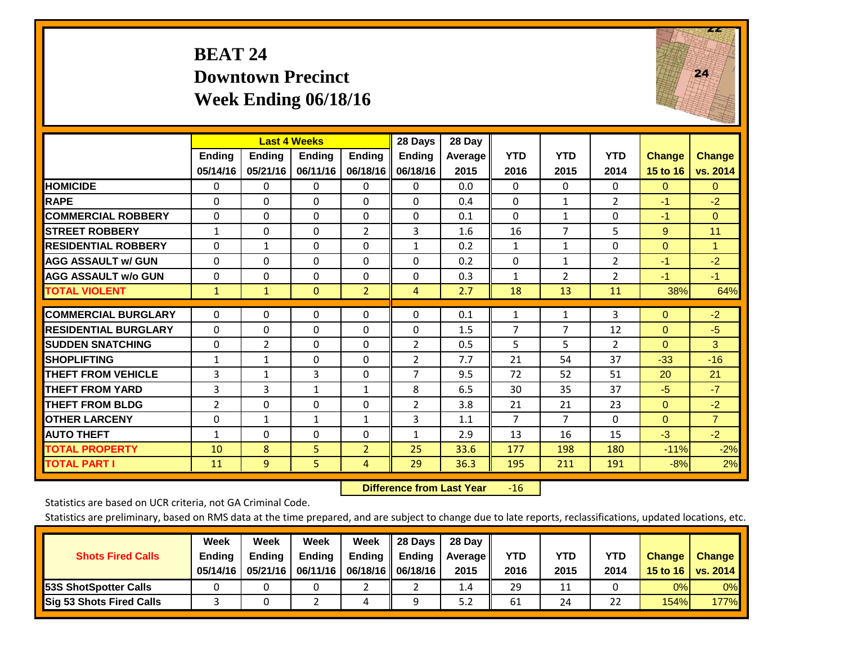# **BEAT 24 Downtown Precinct Week Ending 06/18/16**

![](_page_16_Picture_1.jpeg)

|                             |               | <b>Last 4 Weeks</b> |               |                | 28 Days        | 28 Day         |                |              |                |               |                |
|-----------------------------|---------------|---------------------|---------------|----------------|----------------|----------------|----------------|--------------|----------------|---------------|----------------|
|                             | <b>Ending</b> | <b>Endina</b>       | <b>Endina</b> | <b>Endina</b>  | <b>Endina</b>  | <b>Average</b> | <b>YTD</b>     | <b>YTD</b>   | <b>YTD</b>     | <b>Change</b> | <b>Change</b>  |
|                             | 05/14/16      | 05/21/16            | 06/11/16      | 06/18/16       | 06/18/16       | 2015           | 2016           | 2015         | 2014           | 15 to 16      | vs. 2014       |
| <b>HOMICIDE</b>             | 0             | $\mathbf{0}$        | $\Omega$      | 0              | 0              | 0.0            | $\Omega$       | 0            | 0              | $\Omega$      | $\mathbf{0}$   |
| <b>RAPE</b>                 | $\Omega$      | $\Omega$            | $\Omega$      | 0              | $\Omega$       | 0.4            | $\mathbf{0}$   | $\mathbf{1}$ | $\overline{2}$ | $-1$          | $-2$           |
| <b>COMMERCIAL ROBBERY</b>   | $\Omega$      | $\Omega$            | $\mathbf{0}$  | $\Omega$       | $\Omega$       | 0.1            | $\Omega$       | $\mathbf{1}$ | 0              | $-1$          | $\Omega$       |
| <b>STREET ROBBERY</b>       | $\mathbf{1}$  | 0                   | $\mathbf 0$   | 2              | 3              | 1.6            | 16             | 7            | 5              | 9             | 11             |
| <b>RESIDENTIAL ROBBERY</b>  | $\Omega$      | 1                   | $\mathbf{0}$  | 0              | $\mathbf{1}$   | 0.2            | $\mathbf{1}$   | $\mathbf{1}$ | 0              | $\Omega$      | 1              |
| <b>AGG ASSAULT w/ GUN</b>   | $\Omega$      | 0                   | $\mathbf{0}$  | $\Omega$       | $\Omega$       | 0.2            | $\Omega$       | $\mathbf{1}$ | $\overline{2}$ | $-1$          | $-2$           |
| <b>AGG ASSAULT w/o GUN</b>  | $\Omega$      | $\Omega$            | $\Omega$      | $\Omega$       | 0              | 0.3            | $\mathbf{1}$   | 2            | $\overline{2}$ | $-1$          | $-1$           |
| <b>TOTAL VIOLENT</b>        | $\mathbf{1}$  | $\mathbf{1}$        | $\mathbf{0}$  | $\overline{2}$ | $\overline{4}$ | 2.7            | 18             | 13           | 11             | 38%           | 64%            |
|                             |               |                     |               |                |                |                |                |              |                |               |                |
| <b>COMMERCIAL BURGLARY</b>  | $\Omega$      | 0                   | $\mathbf{0}$  | 0              | 0              | 0.1            | 1              | $\mathbf{1}$ | 3              | $\Omega$      | $-2$           |
| <b>RESIDENTIAL BURGLARY</b> | $\Omega$      | 0                   | $\mathbf{0}$  | 0              | 0              | 1.5            | 7              | 7            | 12             | $\Omega$      | $-5$           |
| <b>SUDDEN SNATCHING</b>     | $\Omega$      | $\overline{2}$      | $\mathbf{0}$  | $\Omega$       | $\overline{2}$ | 0.5            | 5              | 5.           | $\overline{2}$ | $\Omega$      | 3              |
| <b>SHOPLIFTING</b>          | 1             | 1                   | $\Omega$      | 0              | $\overline{2}$ | 7.7            | 21             | 54           | 37             | $-33$         | $-16$          |
| <b>THEFT FROM VEHICLE</b>   | 3             | $\mathbf{1}$        | 3             | $\Omega$       | $\overline{7}$ | 9.5            | 72             | 52           | 51             | 20            | 21             |
| <b>THEFT FROM YARD</b>      | 3             | 3                   | $\mathbf{1}$  | $\mathbf{1}$   | 8              | 6.5            | 30             | 35           | 37             | $-5$          | $-7$           |
| <b>THEFT FROM BLDG</b>      | 2             | $\Omega$            | $\Omega$      | 0              | $\overline{2}$ | 3.8            | 21             | 21           | 23             | $\Omega$      | $-2$           |
| <b>OTHER LARCENY</b>        | 0             | 1                   | $\mathbf{1}$  | $\mathbf{1}$   | 3              | 1.1            | $\overline{7}$ | 7            | $\Omega$       | $\Omega$      | $\overline{7}$ |
| <b>AUTO THEFT</b>           | $\mathbf{1}$  | $\Omega$            | $\Omega$      | 0              | $\mathbf{1}$   | 2.9            | 13             | 16           | 15             | $-3$          | $-2$           |
| <b>TOTAL PROPERTY</b>       | 10            | 8                   | 5             | $\overline{2}$ | 25             | 33.6           | 177            | 198          | 180            | $-11%$        | $-2%$          |
| <b>TOTAL PART I</b>         | 11            | 9                   | 5             | 4              | 29             | 36.3           | 195            | 211          | 191            | $-8%$         | 2%             |

 **Difference from Last Year**r -16

Statistics are based on UCR criteria, not GA Criminal Code.

| <b>Shots Fired Calls</b>        | Week<br><b>Ending</b><br>05/14/16 | Week<br><b>Endina</b><br>05/21/16 | Week<br>Ending | Week<br>Ending<br>06/11/16   06/18/16   06/18/16 | 28 Days<br><b>Ending</b> | 28 Day<br>Average II<br>2015 | YTD<br>2016 | YTD<br>2015 | <b>YTD</b><br>2014 | <b>Change</b><br>15 to 16 | <b>Change</b><br>vs. 2014 |
|---------------------------------|-----------------------------------|-----------------------------------|----------------|--------------------------------------------------|--------------------------|------------------------------|-------------|-------------|--------------------|---------------------------|---------------------------|
| <b>153S ShotSpotter Calls</b>   |                                   |                                   |                |                                                  |                          | 1.4                          | 29          | 11          |                    | 0%                        | 0%                        |
| <b>Sig 53 Shots Fired Calls</b> |                                   |                                   |                | ப                                                |                          | 5.2                          | 61          | 24          | 22                 | 154%                      | <b>177%</b>               |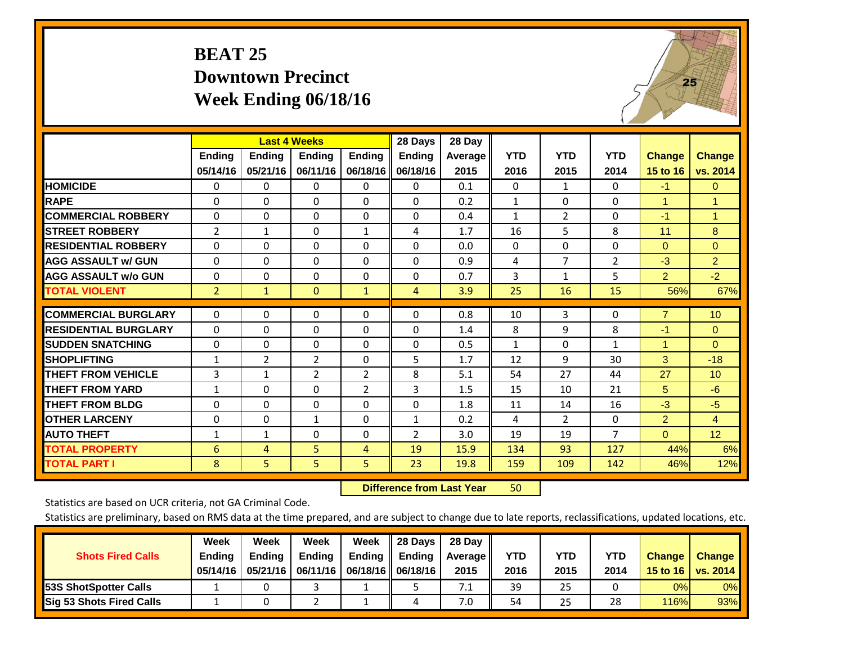# **BEAT 25 Downtown Precinct Week Ending 06/18/16**

![](_page_17_Picture_1.jpeg)

|                             |                | <b>Last 4 Weeks</b> |                |                | 28 Days        | 28 Day  |              |                |                |                |                |
|-----------------------------|----------------|---------------------|----------------|----------------|----------------|---------|--------------|----------------|----------------|----------------|----------------|
|                             | <b>Ending</b>  | <b>Ending</b>       | <b>Ending</b>  | <b>Endina</b>  | Ending         | Average | <b>YTD</b>   | <b>YTD</b>     | <b>YTD</b>     | <b>Change</b>  | <b>Change</b>  |
|                             | 05/14/16       | 05/21/16            | 06/11/16       | 06/18/16       | 06/18/16       | 2015    | 2016         | 2015           | 2014           | 15 to 16       | vs. 2014       |
| <b>HOMICIDE</b>             | 0              | 0                   | 0              | $\Omega$       | $\Omega$       | 0.1     | $\mathbf{0}$ | $\mathbf{1}$   | 0              | $-1$           | $\mathbf{0}$   |
| <b>RAPE</b>                 | 0              | $\Omega$            | $\Omega$       | 0              | 0              | 0.2     | 1            | 0              | 0              | 1              | $\mathbf{1}$   |
| <b>COMMERCIAL ROBBERY</b>   | $\Omega$       | $\Omega$            | $\mathbf{0}$   | $\Omega$       | $\Omega$       | 0.4     | $\mathbf{1}$ | $\overline{2}$ | 0              | $-1$           | $\mathbf{1}$   |
| <b>STREET ROBBERY</b>       | 2              | $\mathbf{1}$        | $\Omega$       | 1              | 4              | 1.7     | 16           | 5              | 8              | 11             | 8              |
| <b>RESIDENTIAL ROBBERY</b>  | $\Omega$       | $\Omega$            | $\mathbf{0}$   | $\Omega$       | $\Omega$       | 0.0     | $\mathbf{0}$ | 0              | 0              | $\mathbf{0}$   | $\mathbf{0}$   |
| <b>AGG ASSAULT w/ GUN</b>   | $\Omega$       | $\Omega$            | $\Omega$       | $\Omega$       | 0              | 0.9     | 4            | $\overline{7}$ | $\overline{2}$ | $-3$           | $\overline{2}$ |
| <b>AGG ASSAULT w/o GUN</b>  | $\Omega$       | $\Omega$            | $\mathbf{0}$   | $\Omega$       | $\Omega$       | 0.7     | 3            | $\mathbf{1}$   | 5              | $\overline{2}$ | $-2$           |
| <b>TOTAL VIOLENT</b>        | $\overline{2}$ | $\mathbf{1}$        | $\mathbf{0}$   | $\mathbf{1}$   | $\overline{4}$ | 3.9     | 25           | 16             | 15             | 56%            | 67%            |
| <b>COMMERCIAL BURGLARY</b>  | $\Omega$       | $\Omega$            | $\Omega$       | $\Omega$       | 0              | 0.8     |              | 3              | 0              | $\overline{7}$ |                |
|                             |                |                     |                |                |                |         | 10           |                |                |                | 10             |
| <b>RESIDENTIAL BURGLARY</b> | $\Omega$       | $\Omega$            | $\Omega$       | 0              | 0              | 1.4     | 8            | 9              | 8              | $-1$           | $\Omega$       |
| <b>SUDDEN SNATCHING</b>     | 0              | 0                   | $\Omega$       | $\Omega$       | 0              | 0.5     | $\mathbf{1}$ | 0              | $\mathbf{1}$   | 1              | $\Omega$       |
| <b>SHOPLIFTING</b>          | $\mathbf{1}$   | $\overline{2}$      | $\overline{2}$ | $\Omega$       | 5              | 1.7     | 12           | 9              | 30             | 3              | $-18$          |
| <b>THEFT FROM VEHICLE</b>   | 3              | 1                   | $\overline{2}$ | $\overline{2}$ | 8              | 5.1     | 54           | 27             | 44             | 27             | 10             |
| <b>THEFT FROM YARD</b>      | $\mathbf{1}$   | $\Omega$            | $\Omega$       | $\overline{2}$ | 3              | 1.5     | 15           | 10             | 21             | 5              | $-6$           |
| <b>THEFT FROM BLDG</b>      | 0              | 0                   | $\Omega$       | 0              | 0              | 1.8     | 11           | 14             | 16             | $-3$           | $-5$           |
| <b>OTHER LARCENY</b>        | $\Omega$       | $\Omega$            | $\mathbf{1}$   | $\Omega$       | $\mathbf{1}$   | 0.2     | 4            | $\overline{2}$ | 0              | 2              | $\overline{4}$ |
| <b>AUTO THEFT</b>           | 1              | 1                   | $\Omega$       | $\Omega$       | 2              | 3.0     | 19           | 19             | $\overline{7}$ | $\mathbf{0}$   | 12             |
| <b>TOTAL PROPERTY</b>       | 6              | $\overline{4}$      | 5              | 4              | 19             | 15.9    | 134          | 93             | 127            | 44%            | 6%             |
| <b>TOTAL PART I</b>         | 8              | 5.                  | 5              | 5.             | 23             | 19.8    | 159          | 109            | 142            | 46%            | 12%            |

 **Difference from Last Year**r 50

Statistics are based on UCR criteria, not GA Criminal Code.

| <b>Shots Fired Calls</b>        | Week<br><b>Ending</b><br>05/14/16 | Week<br><b>Endina</b><br>05/21/16 | Week<br>Ending | Week<br>Ending | 28 Days<br><b>Ending</b><br>06/11/16   06/18/16   06/18/16 | 28 Day<br>Average II<br>2015 | YTD<br>2016 | YTD<br>2015 | YTD<br>2014 | <b>Change</b><br>15 to 16 $\vert$ | <b>Change</b><br>vs. 2014 |
|---------------------------------|-----------------------------------|-----------------------------------|----------------|----------------|------------------------------------------------------------|------------------------------|-------------|-------------|-------------|-----------------------------------|---------------------------|
| <b>153S ShotSpotter Calls</b>   |                                   |                                   |                |                |                                                            | 7.1                          | 39          | 25          |             | 0%                                | 0%                        |
| <b>Sig 53 Shots Fired Calls</b> |                                   |                                   |                |                | 4                                                          | 7.0                          | 54          | 25          | 28          | 116%                              | 93%                       |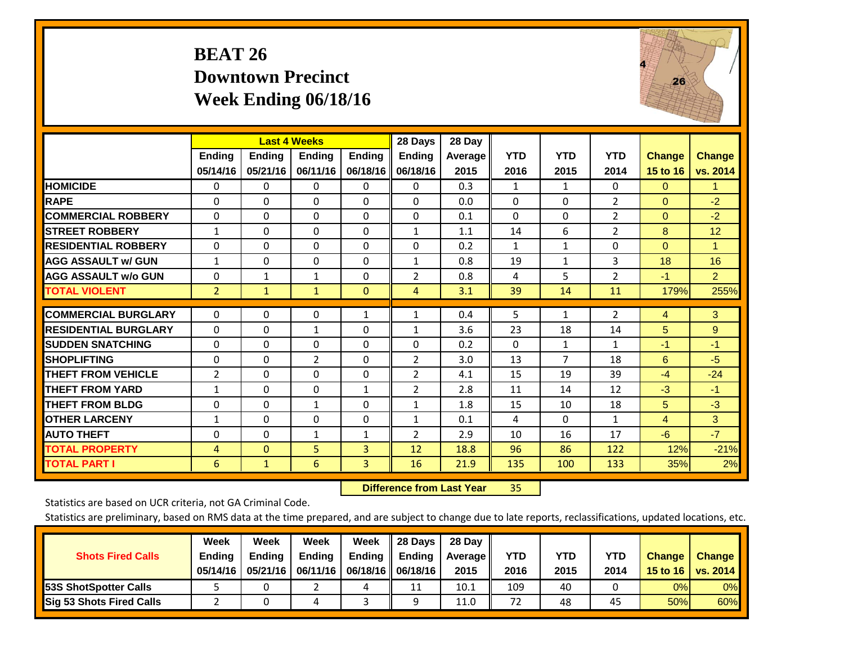# **BEAT 26 Downtown Precinct Week Ending 06/18/16**

![](_page_18_Picture_1.jpeg)

|                             |                | <b>Last 4 Weeks</b> |                |               | 28 Days        | 28 Day     |              |              |                |               |                      |
|-----------------------------|----------------|---------------------|----------------|---------------|----------------|------------|--------------|--------------|----------------|---------------|----------------------|
|                             | <b>Ending</b>  | <b>Ending</b>       | <b>Endina</b>  | <b>Ending</b> | <b>Endina</b>  | Average II | <b>YTD</b>   | <b>YTD</b>   | <b>YTD</b>     | <b>Change</b> | <b>Change</b>        |
|                             | 05/14/16       | 05/21/16            | 06/11/16       | 06/18/16      | 06/18/16       | 2015       | 2016         | 2015         | 2014           | 15 to 16      | vs. 2014             |
| <b>HOMICIDE</b>             | 0              | 0                   | $\Omega$       | 0             | 0              | 0.3        | 1            | 1            | 0              | $\mathbf{0}$  | $\blacktriangleleft$ |
| <b>RAPE</b>                 | 0              | $\Omega$            | $\Omega$       | $\Omega$      | $\Omega$       | 0.0        | $\Omega$     | $\Omega$     | $\overline{2}$ | $\Omega$      | $-2$                 |
| <b>COMMERCIAL ROBBERY</b>   | $\Omega$       | 0                   | $\Omega$       | $\mathbf{0}$  | $\Omega$       | 0.1        | $\Omega$     | $\Omega$     | $\overline{2}$ | $\mathbf{0}$  | $-2$                 |
| <b>ISTREET ROBBERY</b>      | $\mathbf{1}$   | $\Omega$            | $\Omega$       | $\Omega$      | $\mathbf{1}$   | 1.1        | 14           | 6            | 2              | 8             | 12                   |
| <b>RESIDENTIAL ROBBERY</b>  | 0              | 0                   | $\mathbf{0}$   | 0             | $\Omega$       | 0.2        | $\mathbf{1}$ | 1            | 0              | $\mathbf{0}$  | 1                    |
| <b>AGG ASSAULT w/ GUN</b>   | $\mathbf{1}$   | 0                   | $\Omega$       | $\mathbf{0}$  | 1              | 0.8        | 19           | $\mathbf{1}$ | 3              | 18            | 16                   |
| <b>AGG ASSAULT w/o GUN</b>  | $\Omega$       | $\mathbf{1}$        | $\mathbf{1}$   | $\Omega$      | $\overline{2}$ | 0.8        | 4            | 5            | $\overline{2}$ | $-1$          | $\overline{2}$       |
| <b>TOTAL VIOLENT</b>        | $\overline{2}$ | $\mathbf{1}$        | $\mathbf{1}$   | $\mathbf{0}$  | $\overline{4}$ | 3.1        | 39           | 14           | 11             | 179%          | 255%                 |
| <b>COMMERCIAL BURGLARY</b>  | $\Omega$       | $\Omega$            | $\Omega$       |               |                | 0.4        |              |              |                |               | 3                    |
|                             |                |                     |                | 1             | $\mathbf{1}$   |            | 5            | 1            | 2              | 4             |                      |
| <b>RESIDENTIAL BURGLARY</b> | 0              | 0                   | 1              | 0             | 1              | 3.6        | 23           | 18           | 14             | 5             | 9                    |
| <b>SUDDEN SNATCHING</b>     | 0              | 0                   | $\mathbf{0}$   | $\mathbf{0}$  | $\Omega$       | 0.2        | $\Omega$     | 1            | 1              | -1            | $-1$                 |
| <b>SHOPLIFTING</b>          | 0              | 0                   | $\overline{2}$ | 0             | $\overline{2}$ | 3.0        | 13           | 7            | 18             | 6             | $-5$                 |
| <b>THEFT FROM VEHICLE</b>   | $\overline{2}$ | 0                   | $\mathbf{0}$   | $\mathbf{0}$  | 2              | 4.1        | 15           | 19           | 39             | $-4$          | $-24$                |
| <b>THEFT FROM YARD</b>      | $\mathbf{1}$   | $\Omega$            | $\mathbf{0}$   | $\mathbf{1}$  | 2              | 2.8        | 11           | 14           | 12             | $-3$          | $-1$                 |
| <b>THEFT FROM BLDG</b>      | 0              | $\Omega$            | $\mathbf{1}$   | $\Omega$      | $\mathbf{1}$   | 1.8        | 15           | 10           | 18             | 5             | $-3$                 |
| <b>OTHER LARCENY</b>        | 1              | $\Omega$            | $\Omega$       | $\Omega$      | $\mathbf{1}$   | 0.1        | 4            | $\Omega$     | $\mathbf{1}$   | 4             | 3                    |
| <b>AUTO THEFT</b>           | $\Omega$       | $\Omega$            | 1              | 1             | 2              | 2.9        | 10           | 16           | 17             | $-6$          | $-7$                 |
| <b>TOTAL PROPERTY</b>       | 4              | $\Omega$            | 5              | 3             | 12             | 18.8       | 96           | 86           | 122            | 12%           | $-21%$               |
| <b>TOTAL PART I</b>         | 6              | $\mathbf{1}$        | 6              | 3             | 16             | 21.9       | 135          | 100          | 133            | 35%           | 2%                   |

 **Difference from Last Year**r 35

Statistics are based on UCR criteria, not GA Criminal Code.

| <b>Shots Fired Calls</b>        | Week<br><b>Ending</b><br>05/14/16 | Week<br><b>Endina</b><br>05/21/16 | <b>Week</b><br>Ending | Week<br>Ending<br>06/11/16   06/18/16   06/18/16 | 28 Days<br><b>Ending</b> | 28 Day<br>Average II<br>2015 | YTD<br>2016 | YTD<br>2015 | <b>YTD</b><br>2014 | <b>Change</b><br>15 to 16 | <b>Change</b><br>vs. 2014 |
|---------------------------------|-----------------------------------|-----------------------------------|-----------------------|--------------------------------------------------|--------------------------|------------------------------|-------------|-------------|--------------------|---------------------------|---------------------------|
| <b>153S ShotSpotter Calls</b>   |                                   |                                   |                       | 4                                                | 11                       | 10.1                         | 109         | 40          |                    | 0%                        | 0%                        |
| <b>Sig 53 Shots Fired Calls</b> |                                   |                                   |                       |                                                  | Ω                        | 11.0                         | 72          | 48          | 45                 | 50%                       | 60%                       |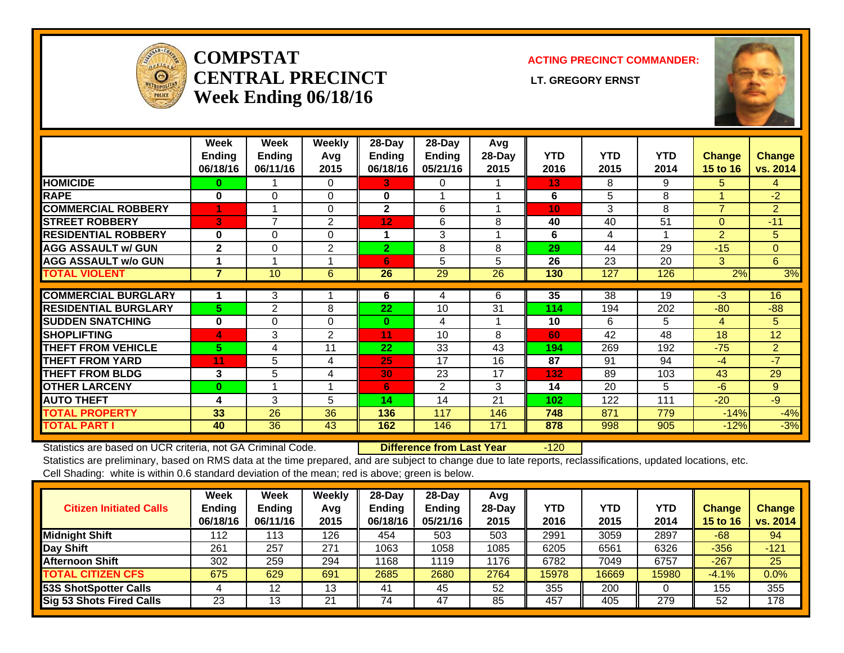![](_page_19_Picture_0.jpeg)

### **COMPSTATCENTRAL PRECINCT** LT. GREGORY ERNST **Week Ending 06/18/16**

### **ACTING PRECINCT COMMANDER:**

![](_page_19_Picture_4.jpeg)

|                             | Week           | Week           | <b>Weekly</b>  | 28-Day         | 28-Day        | Avg    |            |            |            |                 |               |
|-----------------------------|----------------|----------------|----------------|----------------|---------------|--------|------------|------------|------------|-----------------|---------------|
|                             | <b>Ending</b>  | <b>Ending</b>  | Avg            | <b>Ending</b>  | <b>Ending</b> | 28-Day | <b>YTD</b> | <b>YTD</b> | <b>YTD</b> | <b>Change</b>   | <b>Change</b> |
|                             | 06/18/16       | 06/11/16       | 2015           | 06/18/16       | 05/21/16      | 2015   | 2016       | 2015       | 2014       | <b>15 to 16</b> | vs. 2014      |
| <b>HOMICIDE</b>             | 0              |                | $\Omega$       | 3.             | 0             |        | 13         | 8          | 9          | 5.              | 4             |
| <b>RAPE</b>                 | 0              | $\Omega$       | $\Omega$       | 0              |               |        | 6          | 5          | 8          |                 | $-2$          |
| <b>COMMERCIAL ROBBERY</b>   | 1              |                | 0              | $\mathbf{2}$   | 6             |        | 10         | 3          | 8          | $\overline{7}$  | 2             |
| <b>STREET ROBBERY</b>       | 3              | $\overline{ }$ | $\overline{2}$ | 12             | 6             | 8      | 40         | 40         | 51         | $\Omega$        | $-11$         |
| <b>RESIDENTIAL ROBBERY</b>  | 0              | $\Omega$       | $\Omega$       | 1              | 3             |        | 6          | 4          |            | 2               | 5             |
| <b>AGG ASSAULT w/ GUN</b>   | $\mathbf{2}$   | $\Omega$       | 2              | $\overline{2}$ | 8             | 8      | 29         | 44         | 29         | $-15$           | $\mathbf{0}$  |
| <b>AGG ASSAULT w/o GUN</b>  |                |                |                | 6              | 5             | 5      | 26         | 23         | 20         | 3               | 6             |
| <b>TOTAL VIOLENT</b>        | $\overline{7}$ | 10             | 6              | 26             | 29            | 26     | 130        | 127        | 126        | 2%              | 3%            |
|                             |                |                |                |                |               |        |            |            |            |                 |               |
| <b>COMMERCIAL BURGLARY</b>  |                | 3              |                | 6              | 4             | 6      | 35         | 38         | 19         | $-3$            | 16            |
| <b>RESIDENTIAL BURGLARY</b> | 5              | 2              | 8              | 22             | 10            | 31     | 114        | 194        | 202        | $-80$           | $-88-$        |
| <b>SUDDEN SNATCHING</b>     | $\bf{0}$       | $\Omega$       | $\Omega$       | $\bf{0}$       | 4             |        | 10         | 6          | 5          | 4               | 5             |
| <b>SHOPLIFTING</b>          | 4              | 3              | 2              | 11             | 10            | 8      | 60         | 42         | 48         | 18              | 12            |
| <b>THEFT FROM VEHICLE</b>   | 5              | 4              | 11             | 22             | 33            | 43     | 194        | 269        | 192        | $-75$           | 2             |
| <b>THEFT FROM YARD</b>      | 11             | 5              | 4              | 25             | 17            | 16     | 87         | 91         | 94         | $-4$            | $-7$          |
| <b>THEFT FROM BLDG</b>      | 3              | 5              | 4              | 30             | 23            | 17     | 132        | 89         | 103        | 43              | 29            |
| <b>OTHER LARCENY</b>        | $\bf{0}$       |                |                | 6              | 2             | 3      | 14         | 20         | 5          | $-6$            | 9             |
| <b>AUTO THEFT</b>           | 4              | 3              | 5              | 14             | 14            | 21     | 102        | 122        | 111        | $-20$           | $-9$          |
| <b>TOTAL PROPERTY</b>       | 33             | 26             | 36             | 136            | 117           | 146    | 748        | 871        | 779        | $-14%$          | $-4%$         |
| <b>TOTAL PART I</b>         | 40             | 36             | 43             | 162            | 146           | 171    | 878        | 998        | 905        | $-12%$          | $-3%$         |

Statistics are based on UCR criteria, not GA Criminal Code. **Difference from Last Year** -120

| <b>Citizen Initiated Calls</b>  | Week<br><b>Ending</b><br>06/18/16 | <b>Week</b><br><b>Ending</b><br>06/11/16 | Weekly<br>Avg<br>2015 | $28$ -Day<br><b>Ending</b><br>06/18/16 | 28-Dav<br>Ending<br>05/21/16 | Avg<br>28-Dav<br>2015 | YTD<br>2016 | <b>YTD</b><br>2015 | <b>YTD</b><br>2014 | <b>Change</b><br><b>15 to 16</b> | <b>Change</b><br>vs. 2014 |
|---------------------------------|-----------------------------------|------------------------------------------|-----------------------|----------------------------------------|------------------------------|-----------------------|-------------|--------------------|--------------------|----------------------------------|---------------------------|
| <b>Midnight Shift</b>           | 112                               | 113                                      | 126                   | 454                                    | 503                          | 503                   | 2991        | 3059               | 2897               | $-68$                            | 94                        |
| Day Shift                       | 261                               | 257                                      | 271                   | 1063                                   | 1058                         | 1085                  | 6205        | 6561               | 6326               | $-356$                           | $-121$                    |
| <b>Afternoon Shift</b>          | 302                               | 259                                      | 294                   | 1168                                   | 1119                         | 1176                  | 6782        | 7049               | 6757               | $-267$                           | 25                        |
| <b>TOTAL CITIZEN CFS</b>        | 675                               | 629                                      | 691                   | 2685                                   | 2680                         | 2764                  | 15978       | 16669              | 15980              | $-4.1%$                          | 0.0%                      |
| <b>53S ShotSpotter Calls</b>    |                                   | 12                                       | 13                    | 41                                     | 45                           | 52                    | 355         | 200                |                    | 155                              | 355                       |
| <b>Sig 53 Shots Fired Calls</b> | 23                                | 13                                       | 21                    | 74                                     | 47                           | 85                    | 457         | 405                | 279                | 52                               | 178                       |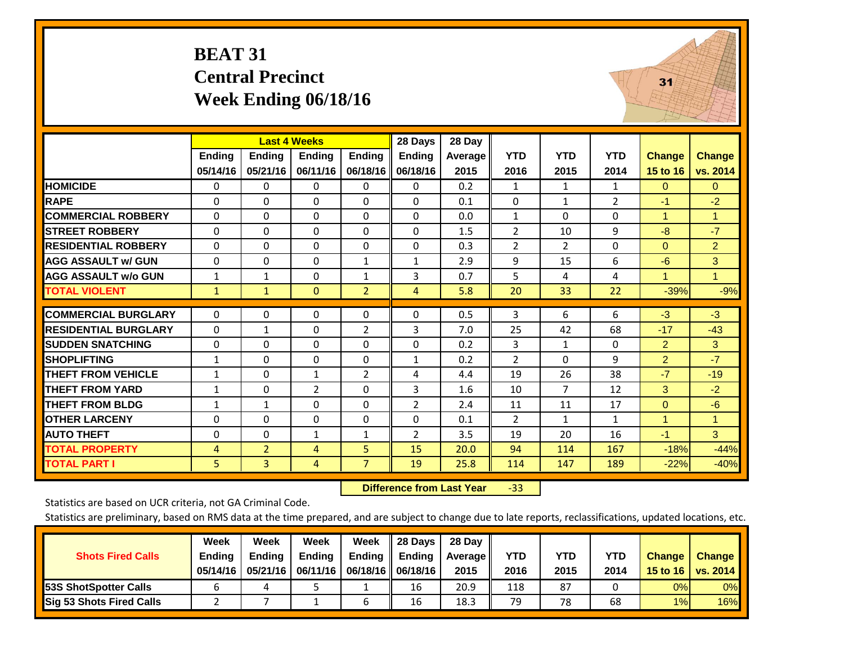### **BEAT 31 Central Precinct Week Ending 06/18/16**

![](_page_20_Picture_1.jpeg)

|                             |              | <b>Last 4 Weeks</b> |                |                | 28 Days        | 28 Day         |                |                |                |                |                |
|-----------------------------|--------------|---------------------|----------------|----------------|----------------|----------------|----------------|----------------|----------------|----------------|----------------|
|                             | Ending       | <b>Ending</b>       | <b>Ending</b>  | <b>Ending</b>  | <b>Endina</b>  | <b>Average</b> | <b>YTD</b>     | <b>YTD</b>     | <b>YTD</b>     | <b>Change</b>  | <b>Change</b>  |
|                             | 05/14/16     | 05/21/16            | 06/11/16       | 06/18/16       | 06/18/16       | 2015           | 2016           | 2015           | 2014           | 15 to 16       | vs. 2014       |
| <b>HOMICIDE</b>             | 0            | $\Omega$            | 0              | 0              | $\Omega$       | 0.2            | 1              | 1              | 1              | 0              | $\mathbf{0}$   |
| <b>RAPE</b>                 | $\Omega$     | 0                   | $\Omega$       | $\Omega$       | $\Omega$       | 0.1            | 0              | $\mathbf{1}$   | $\overline{2}$ | $-1$           | $-2$           |
| <b>COMMERCIAL ROBBERY</b>   | $\Omega$     | $\Omega$            | 0              | $\Omega$       | $\Omega$       | 0.0            | 1              | $\Omega$       | $\Omega$       | 1              | 1              |
| <b>STREET ROBBERY</b>       | $\Omega$     | $\Omega$            | $\Omega$       | $\mathbf{0}$   | $\Omega$       | 1.5            | $\overline{2}$ | 10             | 9              | $-8$           | $-7$           |
| <b>RESIDENTIAL ROBBERY</b>  | $\Omega$     | $\Omega$            | 0              | $\mathbf{0}$   | $\Omega$       | 0.3            | $\overline{2}$ | 2              | 0              | $\Omega$       | $\overline{2}$ |
| <b>AGG ASSAULT w/ GUN</b>   | $\Omega$     | $\Omega$            | $\Omega$       | $\mathbf{1}$   | $\mathbf{1}$   | 2.9            | 9              | 15             | 6              | $-6$           | 3              |
| <b>AGG ASSAULT w/o GUN</b>  | $\mathbf{1}$ | 1                   | 0              | $\mathbf{1}$   | 3              | 0.7            | 5              | 4              | 4              | 1              | 1              |
| <b>TOTAL VIOLENT</b>        | $\mathbf{1}$ | $\mathbf{1}$        | $\mathbf{0}$   | $\overline{2}$ | $\overline{4}$ | 5.8            | 20             | 33             | 22             | $-39%$         | $-9%$          |
|                             |              |                     |                |                |                |                |                |                |                |                |                |
| <b>COMMERCIAL BURGLARY</b>  | $\Omega$     | $\Omega$            | 0              | 0              | $\Omega$       | 0.5            | 3              | 6              | 6              | $-3$           | $-3$           |
| <b>RESIDENTIAL BURGLARY</b> | $\Omega$     | $\mathbf{1}$        | 0              | $\overline{2}$ | 3              | 7.0            | 25             | 42             | 68             | $-17$          | $-43$          |
| <b>SUDDEN SNATCHING</b>     | 0            | $\Omega$            | 0              | 0              | $\Omega$       | 0.2            | 3              | $\mathbf{1}$   | 0              | $\overline{2}$ | 3              |
| <b>SHOPLIFTING</b>          | $\mathbf{1}$ | $\Omega$            | 0              | 0              | $\mathbf{1}$   | 0.2            | $\overline{2}$ | $\Omega$       | 9              | $\overline{2}$ | $-7$           |
| <b>THEFT FROM VEHICLE</b>   | $\mathbf{1}$ | $\Omega$            | $\mathbf{1}$   | $\overline{2}$ | 4              | 4.4            | 19             | 26             | 38             | $-7$           | $-19$          |
| <b>THEFT FROM YARD</b>      | $\mathbf{1}$ | $\Omega$            | $\overline{2}$ | $\Omega$       | 3              | 1.6            | 10             | $\overline{7}$ | 12             | 3              | $-2$           |
| <b>THEFT FROM BLDG</b>      | $\mathbf{1}$ | $\mathbf{1}$        | 0              | $\mathbf{0}$   | 2              | 2.4            | 11             | 11             | 17             | $\Omega$       | $-6$           |
| <b>OTHER LARCENY</b>        | $\Omega$     | $\Omega$            | $\Omega$       | $\Omega$       | $\Omega$       | 0.1            | $\overline{2}$ | $\mathbf{1}$   | $\mathbf{1}$   | 1              | 1              |
| <b>AUTO THEFT</b>           | $\Omega$     | $\Omega$            | $\mathbf{1}$   | $\mathbf{1}$   | 2              | 3.5            | 19             | 20             | 16             | $-1$           | 3              |
| <b>TOTAL PROPERTY</b>       | 4            | $\overline{2}$      | 4              | 5              | 15             | 20.0           | 94             | 114            | 167            | $-18%$         | $-44%$         |
| <b>TOTAL PART I</b>         | 5            | $\overline{3}$      | 4              | $\overline{7}$ | 19             | 25.8           | 114            | 147            | 189            | $-22%$         | $-40%$         |

 **Difference from Last Year**‐33

Statistics are based on UCR criteria, not GA Criminal Code.

|                                 | Week          | Week          | <b>Week</b> | Week                 | 28 Days       | 28 Day            |      |      |            |               |               |
|---------------------------------|---------------|---------------|-------------|----------------------|---------------|-------------------|------|------|------------|---------------|---------------|
| <b>Shots Fired Calls</b>        | <b>Ending</b> | <b>Endina</b> | Ending      | Ending               | <b>Ending</b> | <b>Average</b> II | YTD  | YTD  | <b>YTD</b> | <b>Change</b> | <b>Change</b> |
|                                 | 05/14/16      | 05/21/16      | 06/11/16    | 06/18/16    06/18/16 |               | 2015              | 2016 | 2015 | 2014       | 15 to 16      | vs. 2014      |
| <b>153S ShotSpotter Calls</b>   |               |               |             |                      | 16            | 20.9              | 118  | 87   |            | 0%            | 0%            |
| <b>Sig 53 Shots Fired Calls</b> |               |               |             |                      | 16            | 18.3              | 79   | 78   | 68         | 1%            | 16%           |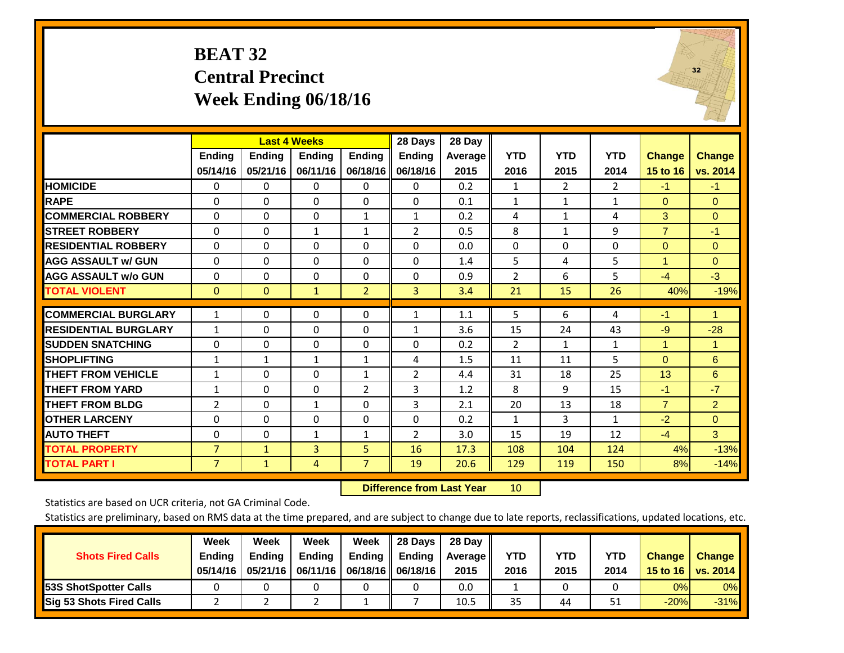### **BEAT 32 Central Precinct Week Ending 06/18/16**

![](_page_21_Picture_1.jpeg)

|                             |                |               | <b>Last 4 Weeks</b> |                | 28 Days        | 28 Day  |                |                |              |                |                      |
|-----------------------------|----------------|---------------|---------------------|----------------|----------------|---------|----------------|----------------|--------------|----------------|----------------------|
|                             | <b>Ending</b>  | <b>Ending</b> | Ending              | <b>Ending</b>  | <b>Ending</b>  | Average | <b>YTD</b>     | <b>YTD</b>     | <b>YTD</b>   | <b>Change</b>  | <b>Change</b>        |
|                             | 05/14/16       | 05/21/16      | 06/11/16            | 06/18/16       | 06/18/16       | 2015    | 2016           | 2015           | 2014         | 15 to 16       | vs. 2014             |
| <b>HOMICIDE</b>             | 0              | 0             | $\Omega$            | $\Omega$       | $\Omega$       | 0.2     | 1              | $\overline{2}$ | $\mathbf{2}$ | $-1$           | $-1$                 |
| <b>RAPE</b>                 | $\Omega$       | $\Omega$      | $\Omega$            | $\Omega$       | $\Omega$       | 0.1     | $\mathbf{1}$   | $\mathbf{1}$   | $\mathbf{1}$ | $\Omega$       | $\Omega$             |
| <b>COMMERCIAL ROBBERY</b>   | $\Omega$       | $\Omega$      | $\Omega$            | $\mathbf{1}$   | $\mathbf{1}$   | 0.2     | 4              | $\mathbf{1}$   | 4            | 3              | $\mathbf{0}$         |
| <b>STREET ROBBERY</b>       | $\Omega$       | $\mathbf{0}$  | $\mathbf{1}$        | $\mathbf{1}$   | 2              | 0.5     | 8              | $\mathbf{1}$   | 9            | $\overline{7}$ | $-1$                 |
| <b>RESIDENTIAL ROBBERY</b>  | $\Omega$       | $\Omega$      | 0                   | $\mathbf{0}$   | 0              | 0.0     | $\Omega$       | $\Omega$       | 0            | $\Omega$       | $\Omega$             |
| <b>AGG ASSAULT w/ GUN</b>   | $\Omega$       | $\Omega$      | 0                   | $\mathbf{0}$   | $\Omega$       | 1.4     | 5              | 4              | 5            | 1              | $\mathbf{0}$         |
| <b>AGG ASSAULT w/o GUN</b>  | 0              | $\Omega$      | $\Omega$            | $\mathbf 0$    | $\Omega$       | 0.9     | $\overline{2}$ | 6              | 5            | $-4$           | $-3$                 |
| <b>TOTAL VIOLENT</b>        | $\mathbf{0}$   | $\mathbf{0}$  | $\mathbf{1}$        | $\overline{2}$ | 3              | 3.4     | 21             | 15             | 26           | 40%            | $-19%$               |
|                             |                |               |                     |                |                |         |                |                |              |                |                      |
| <b>COMMERCIAL BURGLARY</b>  | $\mathbf{1}$   | 0             | 0                   | $\mathbf{0}$   | $\mathbf{1}$   | 1.1     | 5              | 6              | 4            | $-1$           | $\blacklozenge$      |
| <b>RESIDENTIAL BURGLARY</b> | 1              | 0             | 0                   | $\Omega$       | 1              | 3.6     | 15             | 24             | 43           | $-9$           | $-28$                |
| <b>SUDDEN SNATCHING</b>     | 0              | $\Omega$      | 0                   | $\mathbf{0}$   | $\Omega$       | 0.2     | 2              | $\mathbf{1}$   | $\mathbf{1}$ | 1              | $\blacktriangleleft$ |
| <b>SHOPLIFTING</b>          | $\mathbf{1}$   | 1             | $\mathbf{1}$        | $\mathbf{1}$   | 4              | 1.5     | 11             | 11             | 5            | $\mathbf{0}$   | 6                    |
| <b>THEFT FROM VEHICLE</b>   | $\mathbf{1}$   | $\Omega$      | 0                   | $\mathbf{1}$   | $\overline{2}$ | 4.4     | 31             | 18             | 25           | 13             | 6                    |
| <b>THEFT FROM YARD</b>      | $\mathbf{1}$   | $\Omega$      | $\Omega$            | 2              | 3              | 1.2     | 8              | 9              | 15           | $-1$           | $-7$                 |
| <b>THEFT FROM BLDG</b>      | 2              | $\Omega$      | $\mathbf{1}$        | $\mathbf{0}$   | 3              | 2.1     | 20             | 13             | 18           | $\overline{7}$ | $\overline{2}$       |
| <b>OTHER LARCENY</b>        | $\Omega$       | 0             | $\Omega$            | $\Omega$       | $\Omega$       | 0.2     | $\mathbf{1}$   | 3              | $\mathbf{1}$ | $-2$           | $\Omega$             |
| <b>AUTO THEFT</b>           | $\mathbf 0$    | $\Omega$      | $\mathbf{1}$        | $\mathbf{1}$   | $\overline{2}$ | 3.0     | 15             | 19             | 12           | $-4$           | 3                    |
| <b>TOTAL PROPERTY</b>       | $\overline{7}$ | 1             | 3                   | 5              | 16             | 17.3    | 108            | 104            | 124          | 4%             | $-13%$               |
| <b>TOTAL PART I</b>         | $\overline{7}$ | $\mathbf{1}$  | 4                   | $\overline{7}$ | 19             | 20.6    | 129            | 119            | 150          | 8%             | $-14%$               |

 **Difference from Last Year**r 10

Statistics are based on UCR criteria, not GA Criminal Code.

|                                 | Week          | Week          | Week          | Week          | 28 Days              | 28 Day         |      |      |      |               |               |
|---------------------------------|---------------|---------------|---------------|---------------|----------------------|----------------|------|------|------|---------------|---------------|
| <b>Shots Fired Calls</b>        | <b>Ending</b> | <b>Endina</b> | <b>Ending</b> | <b>Ending</b> | <b>Ending</b>        | <b>Average</b> | YTD  | YTD  | YTD  | <b>Change</b> | <b>Change</b> |
|                                 | 05/14/16      | 05/21/16      | 06/11/16      |               | 06/18/16    06/18/16 | 2015           | 2016 | 2015 | 2014 | 15 to 16      | vs. 2014      |
| <b>153S ShotSpotter Calls</b>   |               |               |               |               |                      | 0.0            |      |      |      | 0%            | $0\%$         |
| <b>Sig 53 Shots Fired Calls</b> |               |               |               |               |                      | 10.5           | 35   | 44   | 51   | $-20%$        | $-31%$        |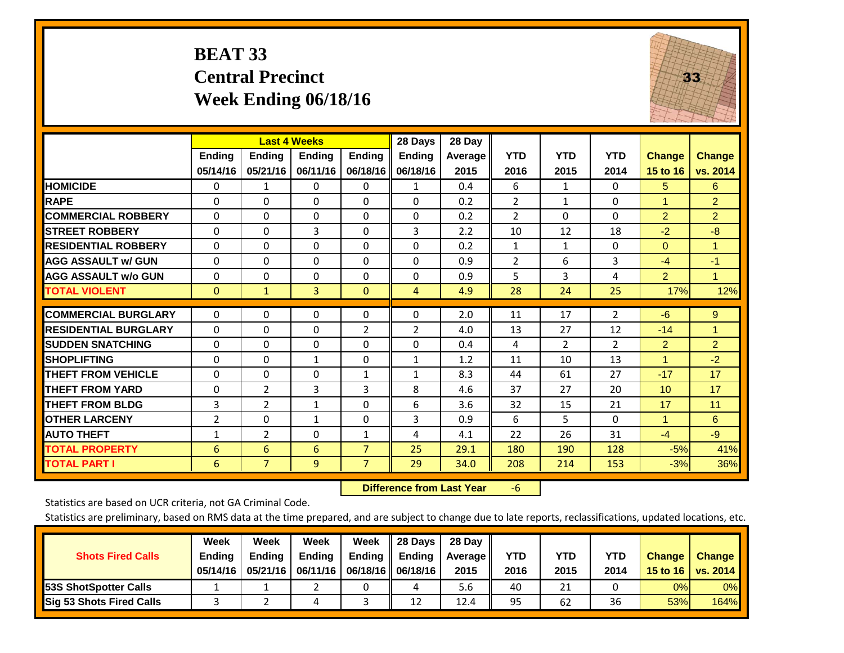# **BEAT 33 Central Precinct Week Ending 06/18/16**

![](_page_22_Picture_1.jpeg)

|                             |               | <b>Last 4 Weeks</b> |               |                | 28 Days        | 28 Day  |                |                |                |                      |                |
|-----------------------------|---------------|---------------------|---------------|----------------|----------------|---------|----------------|----------------|----------------|----------------------|----------------|
|                             | <b>Ending</b> | <b>Endina</b>       | <b>Endina</b> | <b>Ending</b>  | <b>Ending</b>  | Average | <b>YTD</b>     | <b>YTD</b>     | <b>YTD</b>     | <b>Change</b>        | <b>Change</b>  |
|                             | 05/14/16      | 05/21/16            | 06/11/16      | 06/18/16       | 06/18/16       | 2015    | 2016           | 2015           | 2014           | 15 to 16             | vs. 2014       |
| <b>HOMICIDE</b>             | $\Omega$      | 1                   | 0             | $\Omega$       | 1              | 0.4     | 6              | $\mathbf{1}$   | 0              | 5                    | 6              |
| <b>RAPE</b>                 | 0             | $\Omega$            | $\Omega$      | $\Omega$       | $\Omega$       | 0.2     | 2              | $\mathbf{1}$   | 0              | $\blacktriangleleft$ | $\overline{2}$ |
| <b>COMMERCIAL ROBBERY</b>   | $\Omega$      | $\Omega$            | $\Omega$      | $\Omega$       | $\Omega$       | 0.2     | $\overline{2}$ | $\Omega$       | 0              | $\overline{2}$       | $\overline{2}$ |
| <b>STREET ROBBERY</b>       | $\Omega$      | $\Omega$            | 3             | $\Omega$       | 3              | 2.2     | 10             | 12             | 18             | $-2$                 | $-8$           |
| <b>RESIDENTIAL ROBBERY</b>  | $\Omega$      | $\Omega$            | $\Omega$      | $\Omega$       | $\Omega$       | 0.2     | 1              | $\mathbf{1}$   | 0              | $\Omega$             | 1              |
| <b>AGG ASSAULT w/ GUN</b>   | $\Omega$      | $\Omega$            | $\Omega$      | $\Omega$       | $\Omega$       | 0.9     | $\overline{2}$ | 6              | 3              | $-4$                 | $-1$           |
| <b>AGG ASSAULT w/o GUN</b>  | $\Omega$      | $\Omega$            | $\Omega$      | $\mathbf{0}$   | $\Omega$       | 0.9     | 5              | 3              | 4              | $\overline{2}$       | $\mathbf{1}$   |
| <b>TOTAL VIOLENT</b>        | $\mathbf{0}$  | $\mathbf{1}$        | 3             | $\mathbf{0}$   | $\overline{4}$ | 4.9     | 28             | 24             | 25             | 17%                  | 12%            |
|                             |               |                     |               |                |                |         |                |                |                |                      |                |
| <b>COMMERCIAL BURGLARY</b>  | $\Omega$      | $\Omega$            | $\Omega$      | $\Omega$       | $\Omega$       | 2.0     | 11             | 17             | $\overline{2}$ | $-6$                 | 9              |
| <b>RESIDENTIAL BURGLARY</b> | $\Omega$      | $\Omega$            | $\Omega$      | $\overline{2}$ | 2              | 4.0     | 13             | 27             | 12             | $-14$                | 1              |
| <b>ISUDDEN SNATCHING</b>    | $\Omega$      | $\Omega$            | $\Omega$      | $\Omega$       | $\Omega$       | 0.4     | 4              | $\overline{2}$ | $\overline{2}$ | $\overline{2}$       | $\overline{2}$ |
| <b>SHOPLIFTING</b>          | 0             | 0                   | $\mathbf{1}$  | 0              | $\mathbf{1}$   | 1.2     | 11             | 10             | 13             | $\blacktriangleleft$ | $-2$           |
| <b>THEFT FROM VEHICLE</b>   | $\Omega$      | $\Omega$            | 0             | 1              | 1              | 8.3     | 44             | 61             | 27             | $-17$                | 17             |
| <b>THEFT FROM YARD</b>      | $\Omega$      | $\overline{2}$      | 3             | 3              | 8              | 4.6     | 37             | 27             | 20             | 10                   | 17             |
| <b>THEFT FROM BLDG</b>      | 3             | $\overline{2}$      | $\mathbf{1}$  | 0              | 6              | 3.6     | 32             | 15             | 21             | 17                   | 11             |
| <b>IOTHER LARCENY</b>       | 2             | $\Omega$            | $\mathbf{1}$  | $\mathbf 0$    | 3              | 0.9     | 6              | 5              | 0              | $\overline{1}$       | 6              |
| <b>AUTO THEFT</b>           | $\mathbf{1}$  | $\overline{2}$      | $\Omega$      | $\mathbf{1}$   | 4              | 4.1     | 22             | 26             | 31             | $-4$                 | $-9$           |
| <b>TOTAL PROPERTY</b>       | 6             | 6                   | 6             | 7              | 25             | 29.1    | 180            | 190            | 128            | $-5%$                | 41%            |
| <b>TOTAL PART I</b>         | 6             | $\overline{7}$      | 9             | $\overline{7}$ | 29             | 34.0    | 208            | 214            | 153            | $-3%$                | 36%            |

 **Difference from Last Year**‐6

Statistics are based on UCR criteria, not GA Criminal Code.

|                                 | Week          | Week          | Week          | Week | $\parallel$ 28 Days       | 28 Day     |            |            |            |               |               |
|---------------------------------|---------------|---------------|---------------|------|---------------------------|------------|------------|------------|------------|---------------|---------------|
| <b>Shots Fired Calls</b>        | <b>Ending</b> | <b>Endina</b> | <b>Ending</b> |      | Ending $\parallel$ Ending | Average II | <b>YTD</b> | <b>YTD</b> | <b>YTD</b> | <b>Change</b> | <b>Change</b> |
|                                 | 05/14/16      | 05/21/16      | 06/11/16      |      | 06/18/16    06/18/16      | 2015       | 2016       | 2015       | 2014       | 15 to 16      | vs. 2014      |
| <b>153S ShotSpotter Calls</b>   |               |               |               |      |                           | 5.6        | 40         | 21         |            | 0%            | $0\%$         |
| <b>Sig 53 Shots Fired Calls</b> |               |               |               |      | 12                        | 12.4       | 95         | 62         | 36         | 53%           | <b>164%</b>   |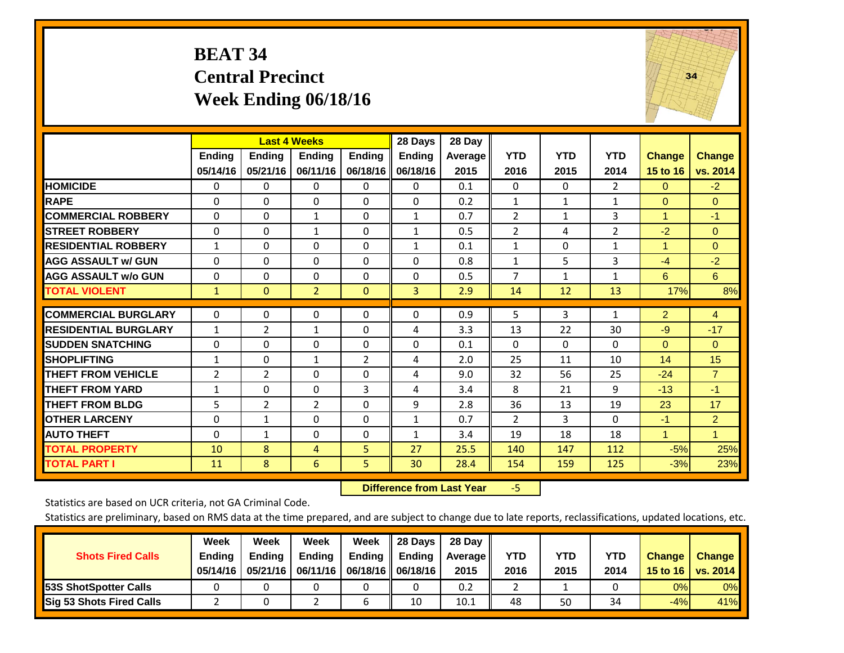### **BEAT 34 Central Precinct Week Ending 06/18/16**

![](_page_23_Picture_1.jpeg)

|                             |                | <b>Last 4 Weeks</b> |                |                | 28 Days       | 28 Day  |                |              |                |                |                |
|-----------------------------|----------------|---------------------|----------------|----------------|---------------|---------|----------------|--------------|----------------|----------------|----------------|
|                             | Ending         | <b>Ending</b>       | Ending         | Ending         | <b>Ending</b> | Average | <b>YTD</b>     | <b>YTD</b>   | <b>YTD</b>     | <b>Change</b>  | <b>Change</b>  |
|                             | 05/14/16       | 05/21/16            | 06/11/16       | 06/18/16       | 06/18/16      | 2015    | 2016           | 2015         | 2014           | 15 to 16       | vs. 2014       |
| <b>HOMICIDE</b>             | $\mathbf{0}$   | $\Omega$            | 0              | $\Omega$       | $\Omega$      | 0.1     | $\Omega$       | 0            | 2              | $\Omega$       | $-2$           |
| <b>RAPE</b>                 | $\Omega$       | $\Omega$            | $\Omega$       | 0              | $\Omega$      | 0.2     | 1              | 1            | $\mathbf{1}$   | $\Omega$       | $\Omega$       |
| <b>COMMERCIAL ROBBERY</b>   | $\Omega$       | $\Omega$            | $\mathbf{1}$   | $\Omega$       | $\mathbf{1}$  | 0.7     | 2              | 1            | 3              | $\overline{1}$ | $-1$           |
| <b>STREET ROBBERY</b>       | $\Omega$       | $\Omega$            | 1              | $\Omega$       | $\mathbf{1}$  | 0.5     | $\overline{2}$ | 4            | $\overline{2}$ | $-2$           | $\Omega$       |
| <b>RESIDENTIAL ROBBERY</b>  | $\mathbf{1}$   | $\Omega$            | $\Omega$       | $\Omega$       | $\mathbf{1}$  | 0.1     | $\mathbf{1}$   | $\Omega$     | $\mathbf{1}$   | $\overline{1}$ | $\mathbf{0}$   |
| <b>AGG ASSAULT w/ GUN</b>   | $\Omega$       | $\Omega$            | $\Omega$       | $\Omega$       | 0             | 0.8     | 1              | 5            | 3              | $-4$           | $-2$           |
| <b>AGG ASSAULT w/o GUN</b>  | $\Omega$       | $\Omega$            | $\Omega$       | $\Omega$       | $\Omega$      | 0.5     | 7              | $\mathbf{1}$ | $\mathbf{1}$   | 6              | 6              |
| <b>TOTAL VIOLENT</b>        | 1              | $\mathbf{0}$        | $\overline{2}$ | $\mathbf{0}$   | 3             | 2.9     | 14             | 12           | 13             | 17%            | 8%             |
|                             |                |                     |                |                |               |         |                |              |                |                |                |
| <b>COMMERCIAL BURGLARY</b>  | $\mathbf 0$    | $\Omega$            | 0              | 0              | $\Omega$      | 0.9     | 5              | 3            | 1              | $\overline{2}$ | $\overline{4}$ |
| <b>RESIDENTIAL BURGLARY</b> | 1              | $\overline{2}$      | 1              | $\Omega$       | 4             | 3.3     | 13             | 22           | 30             | $-9$           | $-17$          |
| <b>ISUDDEN SNATCHING</b>    | $\Omega$       | $\Omega$            | $\Omega$       | $\Omega$       | $\Omega$      | 0.1     | $\mathbf{0}$   | $\Omega$     | 0              | $\Omega$       | $\mathbf{0}$   |
| <b>SHOPLIFTING</b>          | 1              | $\Omega$            | $\mathbf{1}$   | $\overline{2}$ | 4             | 2.0     | 25             | 11           | 10             | 14             | 15             |
| <b>THEFT FROM VEHICLE</b>   | $\overline{2}$ | $\overline{2}$      | $\Omega$       | $\Omega$       | 4             | 9.0     | 32             | 56           | 25             | $-24$          | $\overline{7}$ |
| <b>THEFT FROM YARD</b>      | $\mathbf{1}$   | $\Omega$            | $\Omega$       | 3              | 4             | 3.4     | 8              | 21           | 9              | $-13$          | $-1$           |
| <b>THEFT FROM BLDG</b>      | 5              | 2                   | $\overline{2}$ | $\Omega$       | 9             | 2.8     | 36             | 13           | 19             | 23             | 17             |
| <b>OTHER LARCENY</b>        | 0              | 1                   | $\Omega$       | $\Omega$       | $\mathbf{1}$  | 0.7     | 2              | 3            | 0              | $-1$           | $\overline{2}$ |
| <b>AUTO THEFT</b>           | $\Omega$       | 1                   | $\Omega$       | $\Omega$       | 1             | 3.4     | 19             | 18           | 18             | $\overline{1}$ | $\mathbf{1}$   |
| <b>TOTAL PROPERTY</b>       | 10             | 8                   | 4              | 5.             | 27            | 25.5    | 140            | 147          | 112            | $-5%$          | 25%            |
| <b>TOTAL PART I</b>         | 11             | 8                   | 6              | 5              | 30            | 28.4    | 154            | 159          | 125            | $-3%$          | 23%            |

 **Difference from Last Year**‐5

Statistics are based on UCR criteria, not GA Criminal Code.

| <b>Shots Fired Calls</b>        | Week<br><b>Ending</b><br>05/14/16 | Week<br><b>Endina</b><br>05/21/16 | Week<br><b>Ending</b> | Week<br>Ending<br>06/11/16   06/18/16   06/18/16 | 28 Days<br><b>Ending</b> | 28 Day<br>Average II<br>2015 | YTD<br>2016 | YTD<br>2015 | <b>YTD</b><br>2014 | <b>Change</b><br>15 to $16$ | <b>Change</b><br>vs. 2014 |
|---------------------------------|-----------------------------------|-----------------------------------|-----------------------|--------------------------------------------------|--------------------------|------------------------------|-------------|-------------|--------------------|-----------------------------|---------------------------|
| <b>153S ShotSpotter Calls</b>   |                                   |                                   |                       |                                                  |                          | 0.2                          |             |             |                    | 0%                          | 0%                        |
| <b>Sig 53 Shots Fired Calls</b> |                                   |                                   |                       |                                                  | 10                       | 10.1                         | 48          | 50          | 34                 | $-4%$                       | 41%                       |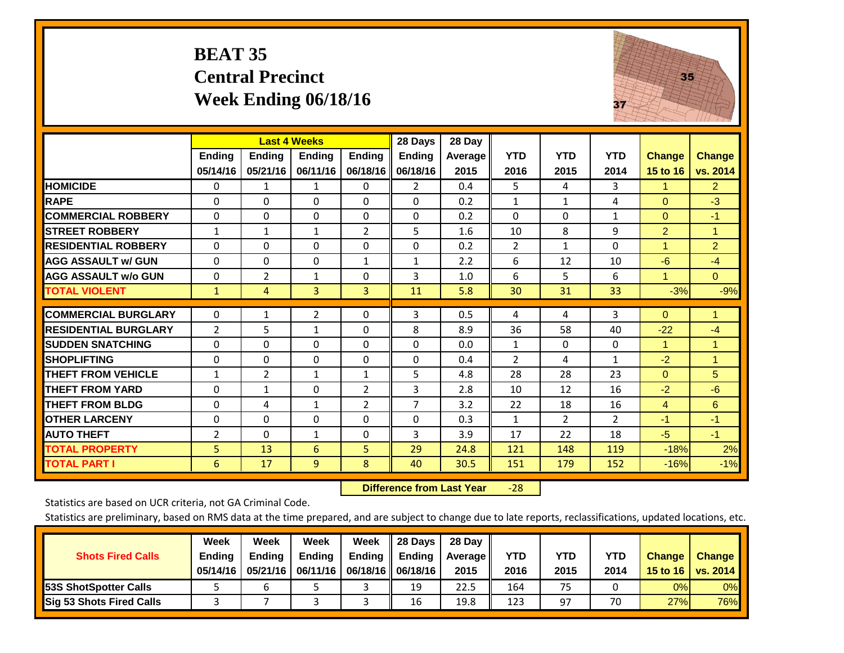# **BEAT 35 Central Precinct Week Ending 06/18/16**

![](_page_24_Picture_1.jpeg)

|                             |                |                | <b>Last 4 Weeks</b> |                | 28 Days        | 28 Day  |                |                |                |                      |                |
|-----------------------------|----------------|----------------|---------------------|----------------|----------------|---------|----------------|----------------|----------------|----------------------|----------------|
|                             | <b>Ending</b>  | <b>Ending</b>  | <b>Ending</b>       | <b>Endina</b>  | <b>Ending</b>  | Average | <b>YTD</b>     | <b>YTD</b>     | <b>YTD</b>     | <b>Change</b>        | <b>Change</b>  |
|                             | 05/14/16       | 05/21/16       | 06/11/16            | 06/18/16       | 06/18/16       | 2015    | 2016           | 2015           | 2014           | 15 to 16             | vs. 2014       |
| <b>HOMICIDE</b>             | 0              | 1              | 1                   | 0              | $\overline{2}$ | 0.4     | 5.             | 4              | 3              | 1.                   | $\overline{2}$ |
| <b>RAPE</b>                 | $\Omega$       | 0              | $\Omega$            | 0              | $\Omega$       | 0.2     | 1              | $\mathbf{1}$   | 4              | $\Omega$             | $-3$           |
| <b>COMMERCIAL ROBBERY</b>   | $\Omega$       | 0              | $\Omega$            | $\Omega$       | $\Omega$       | 0.2     | $\Omega$       | $\Omega$       | $\mathbf{1}$   | $\Omega$             | $-1$           |
| <b>STREET ROBBERY</b>       | $\mathbf{1}$   | 1              | 1                   | $\overline{2}$ | 5              | 1.6     | 10             | 8              | 9              | $\overline{2}$       | 1              |
| <b>RESIDENTIAL ROBBERY</b>  | $\Omega$       | $\Omega$       | $\mathbf{0}$        | $\Omega$       | $\Omega$       | 0.2     | $\overline{2}$ | $\mathbf{1}$   | $\Omega$       | $\blacktriangleleft$ | $\overline{2}$ |
| <b>AGG ASSAULT w/ GUN</b>   | $\Omega$       | $\Omega$       | $\Omega$            | $\mathbf{1}$   | $\mathbf{1}$   | 2.2     | 6              | 12             | 10             | $-6$                 | $-4$           |
| <b>AGG ASSAULT w/o GUN</b>  | $\Omega$       | 2              | $\mathbf{1}$        | $\Omega$       | 3              | 1.0     | 6              | 5              | 6              | 1                    | $\Omega$       |
| <b>TOTAL VIOLENT</b>        | $\mathbf{1}$   | 4              | 3                   | 3              | 11             | 5.8     | 30             | 31             | 33             | $-3%$                | $-9%$          |
| <b>COMMERCIAL BURGLARY</b>  | 0              | 1              | $\overline{2}$      | 0              | 3              | 0.5     | 4              | 4              | 3              | $\mathbf{0}$         | 1              |
| <b>RESIDENTIAL BURGLARY</b> | 2              | 5              | $\mathbf{1}$        | $\Omega$       | 8              | 8.9     | 36             | 58             | 40             | $-22$                | $-4$           |
|                             |                |                |                     |                |                |         |                |                |                | 1                    |                |
| <b>ISUDDEN SNATCHING</b>    | $\Omega$       | 0              | $\mathbf{0}$        | $\Omega$       | $\Omega$       | 0.0     | $\mathbf{1}$   | 0              | $\Omega$       |                      | 1              |
| <b>SHOPLIFTING</b>          | $\Omega$       | 0              | $\Omega$            | $\Omega$       | $\Omega$       | 0.4     | $\overline{2}$ | 4              | $\mathbf{1}$   | $-2$                 | 1              |
| <b>THEFT FROM VEHICLE</b>   | $\mathbf{1}$   | $\overline{2}$ | 1                   | 1              | 5              | 4.8     | 28             | 28             | 23             | $\Omega$             | 5              |
| <b>THEFT FROM YARD</b>      | $\Omega$       | $\mathbf{1}$   | $\Omega$            | $\overline{2}$ | 3              | 2.8     | 10             | 12             | 16             | $-2$                 | $-6$           |
| <b>THEFT FROM BLDG</b>      | 0              | 4              | $\mathbf{1}$        | $\overline{2}$ | 7              | 3.2     | 22             | 18             | 16             | 4                    | 6              |
| <b>OTHER LARCENY</b>        | $\Omega$       | $\Omega$       | $\Omega$            | $\Omega$       | $\Omega$       | 0.3     | 1              | $\overline{2}$ | $\overline{2}$ | $-1$                 | $-1$           |
| <b>AUTO THEFT</b>           | $\overline{2}$ | $\Omega$       | $\mathbf{1}$        | $\Omega$       | 3              | 3.9     | 17             | 22             | 18             | $-5$                 | $-1$           |
| <b>TOTAL PROPERTY</b>       | 5              | 13             | 6                   | 5              | 29             | 24.8    | 121            | 148            | 119            | $-18%$               | 2%             |
| <b>TOTAL PART I</b>         | 6              | 17             | 9                   | 8              | 40             | 30.5    | 151            | 179            | 152            | $-16%$               | $-1%$          |

 **Difference from Last Year**‐28

Statistics are based on UCR criteria, not GA Criminal Code.

|                                 | Week          | Week          | Week          | Week                 | $\parallel$ 28 Days       | 28 Day     |      |      |            |               |               |
|---------------------------------|---------------|---------------|---------------|----------------------|---------------------------|------------|------|------|------------|---------------|---------------|
| <b>Shots Fired Calls</b>        | <b>Ending</b> | <b>Endina</b> | <b>Ending</b> |                      | Ending $\parallel$ Ending | Average II | YTD  | YTD  | <b>YTD</b> | <b>Change</b> | <b>Change</b> |
|                                 | 05/14/16      | 05/21/16      | 06/11/16      | 06/18/16    06/18/16 |                           | 2015       | 2016 | 2015 | 2014       | 15 to 16      | vs. 2014      |
| <b>153S ShotSpotter Calls</b>   |               |               |               |                      | 19                        | 22.5       | 164  | 75   |            | 0%            | $0\%$         |
| <b>Sig 53 Shots Fired Calls</b> |               |               |               |                      | 16                        | 19.8       | 123  | 97   | 70         | 27%           | 76%           |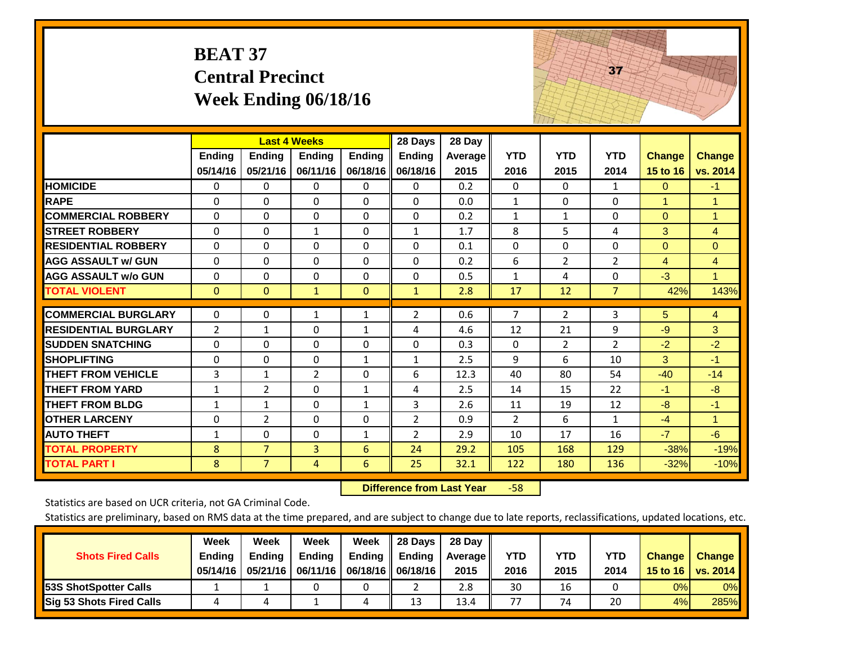|                             | <b>BEAT 37</b>     | <b>Central Precinct</b>                          | Week Ending 06/18/16 |                    |                                      |                           | 37                 |                    |                    |                           |                           |
|-----------------------------|--------------------|--------------------------------------------------|----------------------|--------------------|--------------------------------------|---------------------------|--------------------|--------------------|--------------------|---------------------------|---------------------------|
|                             | Ending<br>05/14/16 | <b>Last 4 Weeks</b><br><b>Ending</b><br>05/21/16 | Ending<br>06/11/16   | Ending<br>06/18/16 | 28 Days<br><b>Ending</b><br>06/18/16 | 28 Day<br>Average<br>2015 | <b>YTD</b><br>2016 | <b>YTD</b><br>2015 | <b>YTD</b><br>2014 | <b>Change</b><br>15 to 16 | <b>Change</b><br>vs. 2014 |
| <b>HOMICIDE</b>             | 0                  | 0                                                | $\Omega$             | 0                  | 0                                    | 0.2                       | $\mathbf{0}$       | $\Omega$           | $\mathbf{1}$       | $\mathbf{0}$              | $-1$                      |
| <b>RAPE</b>                 | $\Omega$           | 0                                                | $\overline{0}$       | $\Omega$           | $\Omega$                             | 0.0                       | $\mathbf{1}$       | $\Omega$           | $\Omega$           | $\mathbf{1}$              | $\mathbf{1}$              |
| <b>COMMERCIAL ROBBERY</b>   | $\Omega$           | $\Omega$                                         | $\mathbf 0$          | $\Omega$           | $\Omega$                             | 0.2                       | $\mathbf{1}$       | $\mathbf{1}$       | $\Omega$           | $\mathbf{0}$              | 1                         |
| <b>STREET ROBBERY</b>       | 0                  | $\Omega$                                         | $\mathbf{1}$         | 0                  | $\mathbf{1}$                         | 1.7                       | 8                  | 5                  | 4                  | 3                         | $\overline{4}$            |
| <b>RESIDENTIAL ROBBERY</b>  | $\Omega$           | 0                                                | $\overline{0}$       | $\Omega$           | $\Omega$                             | 0.1                       | $\mathbf{0}$       | 0                  | $\Omega$           | $\mathbf{0}$              | $\Omega$                  |
| <b>AGG ASSAULT w/ GUN</b>   | $\Omega$           | $\Omega$                                         | $\Omega$             | $\Omega$           | $\Omega$                             | 0.2                       | 6                  | $\overline{2}$     | $\overline{2}$     | $\overline{4}$            | $\overline{4}$            |
| <b>AGG ASSAULT w/o GUN</b>  | $\Omega$           | 0                                                | $\mathbf 0$          | $\Omega$           | 0                                    | 0.5                       | $\mathbf{1}$       | 4                  | $\mathbf 0$        | $-3$                      | $\mathbf{1}$              |
| <b>TOTAL VIOLENT</b>        | $\mathbf{0}$       | $\mathbf{0}$                                     | $\mathbf{1}$         | $\mathbf{0}$       | $\mathbf{1}$                         | 2.8                       | 17                 | 12                 | $\overline{7}$     | 42%                       | 143%                      |
| <b>COMMERCIAL BURGLARY</b>  | $\Omega$           | 0                                                | 1                    | $\mathbf{1}$       | $\overline{2}$                       | 0.6                       | 7                  | $\overline{2}$     | 3                  | 5                         | $\overline{4}$            |
| <b>RESIDENTIAL BURGLARY</b> | $\overline{2}$     | $\mathbf{1}$                                     | $\Omega$             | $\mathbf{1}$       | 4                                    | 4.6                       | 12                 | 21                 | 9                  | $-9$                      | 3                         |
| <b>SUDDEN SNATCHING</b>     | $\Omega$           | $\Omega$                                         | $\Omega$             | 0                  | $\Omega$                             | 0.3                       | $\mathbf{0}$       | $\overline{2}$     | $\overline{2}$     | $-2$                      | $-2$                      |
| <b>SHOPLIFTING</b>          | 0                  | 0                                                | $\mathbf{0}$         | $\mathbf{1}$       | $\mathbf{1}$                         | 2.5                       | 9                  | 6                  | 10                 | 3                         | $-1$                      |
| <b>THEFT FROM VEHICLE</b>   | 3                  | $\mathbf{1}$                                     | $\overline{2}$       | 0                  | 6                                    | 12.3                      | 40                 | 80                 | 54                 | $-40$                     | $-14$                     |
| <b>THEFT FROM YARD</b>      | $\mathbf{1}$       | $\overline{2}$                                   | $\mathbf 0$          | $\mathbf{1}$       | 4                                    | 2.5                       | 14                 | 15                 | 22                 | $-1$                      | $-8$                      |
| <b>THEFT FROM BLDG</b>      | $\mathbf{1}$       | $\mathbf{1}$                                     | $\mathbf 0$          | $\mathbf{1}$       | 3                                    | 2.6                       | 11                 | 19                 | 12                 | $-8$                      | $-1$                      |
| <b>OTHER LARCENY</b>        | $\Omega$           | $\overline{2}$                                   | $\Omega$             | $\Omega$           | $\overline{2}$                       | 0.9                       | $\overline{2}$     | 6                  | $\mathbf{1}$       | $-4$                      | $\mathbf{1}$              |
| <b>AUTO THEFT</b>           | $\mathbf{1}$       | 0                                                | $\Omega$             | $\mathbf{1}$       | $\overline{2}$                       | 2.9                       | 10                 | 17                 | 16                 | $-7$                      | $-6$                      |
| <b>TOTAL PROPERTY</b>       | 8                  | $\overline{7}$                                   | 3                    | 6                  | 24                                   | 29.2                      | 105                | 168                | 129                | $-38%$                    | $-19%$                    |
| <b>TOTAL PART I</b>         | 8                  | $\overline{7}$                                   | $\overline{4}$       | 6                  | 25                                   | 32.1                      | 122                | 180                | 136                | $-32%$                    | $-10%$                    |

 **Difference from Last Year**‐58 The state of the state of the state of

Statistics are based on UCR criteria, not GA Criminal Code.

| <b>Shots Fired Calls</b>        | Week<br><b>Ending</b><br>05/14/16 | Week<br><b>Endina</b><br>05/21/16 | Week<br>Ending | Week<br>Ending<br>06/11/16   06/18/16   06/18/16 | 28 Days<br><b>Ending</b> | 28 Day<br>Average II<br>2015 | YTD<br>2016 | YTD<br>2015 | <b>YTD</b><br>2014 | <b>Change</b><br>15 to 16 | <b>Change</b><br>vs. 2014 |
|---------------------------------|-----------------------------------|-----------------------------------|----------------|--------------------------------------------------|--------------------------|------------------------------|-------------|-------------|--------------------|---------------------------|---------------------------|
| <b>153S ShotSpotter Calls</b>   |                                   |                                   |                |                                                  |                          | 2.8                          | 30          | 16          |                    | 0%                        | 0%                        |
| <b>Sig 53 Shots Fired Calls</b> |                                   |                                   |                |                                                  | 13                       | 13.4                         | 77          | 74          | 20                 | 4%                        | 285%                      |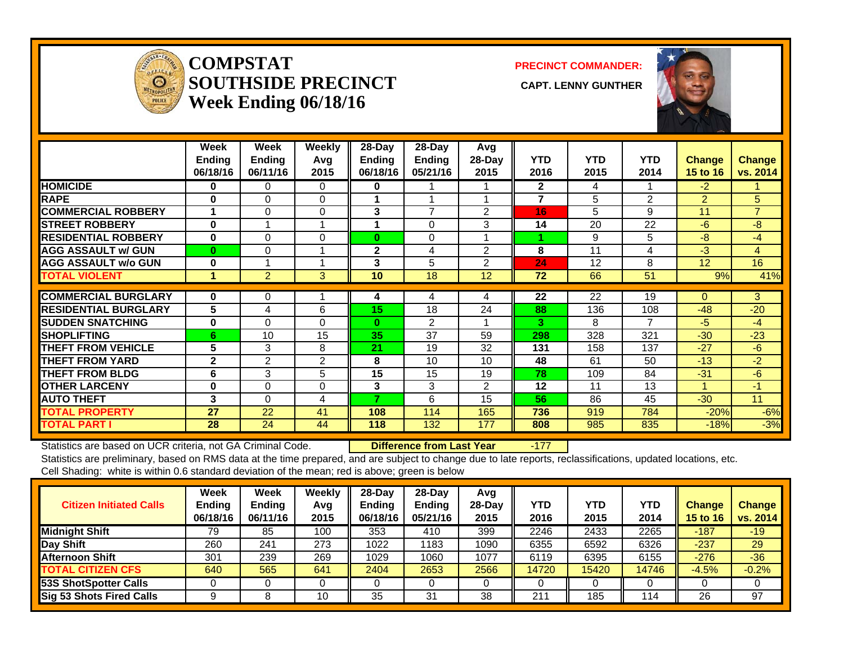![](_page_26_Picture_0.jpeg)

### **COMPSTATSOUTHSIDE PRECINCT** CAPT. LENNY GUNTHER **Week Ending 06/18/16**

**PRECINCT COMMANDER:**

![](_page_26_Picture_4.jpeg)

|                             | Week<br><b>Ending</b><br>06/18/16 | <b>Week</b><br><b>Ending</b><br>06/11/16 | Weekly<br>Avq<br>2015 | $28$ -Day<br><b>Ending</b><br>06/18/16 | $28-Day$<br><b>Ending</b><br>05/21/16 | Avg<br>$28$ -Day<br>2015 | <b>YTD</b><br>2016      | <b>YTD</b><br>2015 | <b>YTD</b><br>2014 | <b>Change</b><br>15 to 16 | <b>Change</b><br>vs. 2014 |
|-----------------------------|-----------------------------------|------------------------------------------|-----------------------|----------------------------------------|---------------------------------------|--------------------------|-------------------------|--------------------|--------------------|---------------------------|---------------------------|
| <b>HOMICIDE</b>             | 0                                 | 0                                        | 0                     | 0                                      |                                       |                          | $\mathbf{2}$            | 4                  | 1                  | $-2$                      |                           |
| <b>RAPE</b>                 | $\bf{0}$                          | $\Omega$                                 | $\Omega$              |                                        |                                       |                          | $\overline{\mathbf{z}}$ | 5                  | 2                  | $\overline{2}$            | 5                         |
| <b>ICOMMERCIAL ROBBERY</b>  |                                   | $\Omega$                                 | $\Omega$              | 3                                      | $\overline{7}$                        | $\overline{2}$           | 16                      | 5                  | 9                  | 11                        | $\overline{7}$            |
| <b>ISTREET ROBBERY</b>      | $\bf{0}$                          |                                          |                       |                                        | $\mathbf{0}$                          | 3                        | 14                      | 20                 | 22                 | $-6$                      | $-8$                      |
| <b>RESIDENTIAL ROBBERY</b>  | $\bf{0}$                          | $\Omega$                                 | 0                     | $\bf{0}$                               | 0                                     |                          |                         | 9                  | 5                  | $-8$                      | $-4$                      |
| <b>AGG ASSAULT w/ GUN</b>   | $\bf{0}$                          | $\Omega$                                 |                       | $\mathbf{2}$                           | 4                                     | $\overline{2}$           | 8                       | 11                 | 4                  | $-3$                      | 4                         |
| <b>AGG ASSAULT w/o GUN</b>  | $\bf{0}$                          |                                          |                       | 3                                      | 5                                     | $\mathcal{P}$            | 24                      | 12                 | 8                  | 12 <sup>2</sup>           | 16                        |
| <b>TOTAL VIOLENT</b>        | и                                 | $\overline{2}$                           | 3                     | 10                                     | 18                                    | 12                       | 72                      | 66                 | 51                 | 9%                        | 41%                       |
|                             |                                   |                                          |                       |                                        |                                       |                          |                         |                    |                    |                           |                           |
| <b>COMMERCIAL BURGLARY</b>  | 0                                 | 0                                        |                       | 4                                      | 4                                     | 4                        | 22                      | 22                 | 19                 | 0                         | 3                         |
| <b>RESIDENTIAL BURGLARY</b> | 5                                 | 4                                        | 6                     | 15                                     | 18                                    | 24                       | 88                      | 136                | 108                | $-48$                     | $-20$                     |
| <b>ISUDDEN SNATCHING</b>    | $\bf{0}$                          | $\Omega$                                 | $\Omega$              | $\bf{0}$                               | $\mathfrak{p}$                        |                          | 3                       | 8                  | $\overline{7}$     | $-5$                      | $-4$                      |
| <b>SHOPLIFTING</b>          | 6                                 | 10                                       | 15                    | 35                                     | 37                                    | 59                       | 298                     | 328                | 321                | $-30$                     | $-23$                     |
| <b>THEFT FROM VEHICLE</b>   | 5                                 | 3                                        | 8                     | 21                                     | 19                                    | 32                       | 131                     | 158                | 137                | $-27$                     | $-6$                      |
| <b>THEFT FROM YARD</b>      | $\mathbf{2}$                      | $\overline{2}$                           | $\overline{2}$        | 8                                      | 10                                    | 10                       | 48                      | 61                 | 50                 | $-13$                     | $-2$                      |
| <b>THEFT FROM BLDG</b>      | 6                                 | 3                                        | 5                     | 15                                     | 15                                    | 19                       | 78                      | 109                | 84                 | $-31$                     | $-6$                      |
| <b>OTHER LARCENY</b>        | $\bf{0}$                          | $\Omega$                                 | $\Omega$              | 3                                      | 3                                     | 2                        | 12                      | 11                 | 13                 | 4                         | $-1$                      |
| <b>AUTO THEFT</b>           | 3                                 | $\Omega$                                 | 4                     | ⇁                                      | 6                                     | 15                       | 56                      | 86                 | 45                 | $-30$                     | 11                        |
| <b>TOTAL PROPERTY</b>       | 27                                | 22                                       | 41                    | 108                                    | 114                                   | 165                      | 736                     | 919                | 784                | $-20%$                    | $-6%$                     |
| <b>TOTAL PART I</b>         | 28                                | 24                                       | 44                    | 118                                    | 132                                   | 177                      | 808                     | 985                | 835                | $-18%$                    | $-3%$                     |

Statistics are based on UCR criteria, not GA Criminal Code. **Difference from Last Year** -177 Statistics are preliminary, based on RMS data at the time prepared, and are subject to change due to late reports, reclassifications, updated locations, etc.

Cell Shading: white is within 0.6 standard deviation of the mean; red is above; green is below

| <b>Citizen Initiated Calls</b>  | Week<br><b>Ending</b><br>06/18/16 | <b>Week</b><br><b>Ending</b><br>06/11/16 | Weekly<br>Avg<br>2015 | $28$ -Dav<br>Ending<br>06/18/16 | $28$ -Day<br><b>Ending</b><br>05/21/16 | Avg<br>$28-Dav$<br>2015 | YTD<br>2016 | YTD<br>2015 | YTD<br>2014 | <b>Change</b><br>15 to 16 | <b>Change</b><br>vs. 2014 |
|---------------------------------|-----------------------------------|------------------------------------------|-----------------------|---------------------------------|----------------------------------------|-------------------------|-------------|-------------|-------------|---------------------------|---------------------------|
| <b>Midnight Shift</b>           | 79                                | 85                                       | 100                   | 353                             | 410                                    | 399                     | 2246        | 2433        | 2265        | $-187$                    | $-19/$                    |
| Day Shift                       | 260                               | 241                                      | 273                   | 1022                            | 1183                                   | 1090                    | 6355        | 6592        | 6326        | $-237$                    | 29                        |
| <b>Afternoon Shift</b>          | 301                               | 239                                      | 269                   | 1029                            | 1060                                   | 1077                    | 6119        | 6395        | 6155        | $-276$                    | $-36$                     |
| <b>TOTAL CITIZEN CFS</b>        | 640                               | 565                                      | 641                   | 2404                            | 2653                                   | 2566                    | 14720       | 15420       | 14746       | $-4.5%$                   | $-0.2%$                   |
| 53S ShotSpotter Calls           |                                   |                                          |                       |                                 |                                        |                         |             |             |             |                           |                           |
| <b>Sig 53 Shots Fired Calls</b> |                                   |                                          | 10                    | 35                              | 31                                     | 38                      | 211         | 185         | 114         | 26                        | 97                        |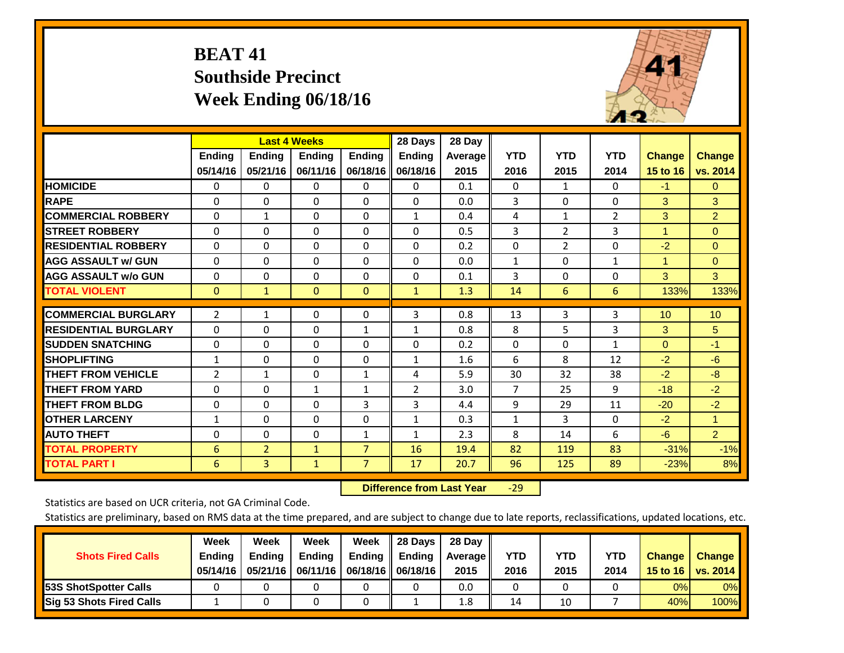# **BEAT 41 Southside Precinct Week Ending 06/18/16**

![](_page_27_Picture_1.jpeg)

|                             |                | <b>Last 4 Weeks</b> |               |                | 28 Days       | 28 Day  |                |                |                |               |                |
|-----------------------------|----------------|---------------------|---------------|----------------|---------------|---------|----------------|----------------|----------------|---------------|----------------|
|                             | Ending         | <b>Ending</b>       | <b>Ending</b> | <b>Ending</b>  | <b>Ending</b> | Average | <b>YTD</b>     | <b>YTD</b>     | <b>YTD</b>     | <b>Change</b> | <b>Change</b>  |
|                             | 05/14/16       | 05/21/16            | 06/11/16      | 06/18/16       | 06/18/16      | 2015    | 2016           | 2015           | 2014           | 15 to 16      | vs. 2014       |
| <b>HOMICIDE</b>             | $\Omega$       | $\mathbf{0}$        | 0             | 0              | $\Omega$      | 0.1     | $\mathbf{0}$   | 1              | 0              | $-1$          | $\mathbf{0}$   |
| <b>RAPE</b>                 | $\Omega$       | $\Omega$            | $\Omega$      | 0              | 0             | 0.0     | 3              | $\Omega$       | $\Omega$       | 3             | 3              |
| <b>COMMERCIAL ROBBERY</b>   | $\Omega$       | $\mathbf{1}$        | $\mathbf{0}$  | $\Omega$       | $\mathbf{1}$  | 0.4     | 4              | $\mathbf{1}$   | $\overline{2}$ | 3             | $\overline{2}$ |
| <b>ISTREET ROBBERY</b>      | $\mathbf 0$    | $\Omega$            | $\Omega$      | $\Omega$       | 0             | 0.5     | 3              | 2              | 3              | 1             | $\mathbf{0}$   |
| <b>RESIDENTIAL ROBBERY</b>  | $\Omega$       | $\Omega$            | $\Omega$      | $\Omega$       | $\Omega$      | 0.2     | $\mathbf{0}$   | $\overline{2}$ | 0              | $-2$          | $\mathbf{0}$   |
| <b>AGG ASSAULT w/ GUN</b>   | $\Omega$       | $\Omega$            | $\Omega$      | $\Omega$       | 0             | 0.0     | $\mathbf{1}$   | $\Omega$       | $\mathbf{1}$   | 1             | $\mathbf{0}$   |
| <b>AGG ASSAULT w/o GUN</b>  | $\Omega$       | $\Omega$            | $\Omega$      | 0              | $\Omega$      | 0.1     | 3              | $\Omega$       | 0              | 3             | 3              |
| <b>TOTAL VIOLENT</b>        | $\mathbf{0}$   | $\mathbf{1}$        | $\mathbf{0}$  | $\mathbf{0}$   | $\mathbf{1}$  | 1.3     | 14             | 6              | 6              | 133%          | 133%           |
|                             |                |                     |               |                |               |         |                |                |                |               |                |
| <b>COMMERCIAL BURGLARY</b>  | $\overline{2}$ | $\mathbf{1}$        | $\Omega$      | $\Omega$       | 3             | 0.8     | 13             | 3              | 3              | 10            | 10             |
| <b>RESIDENTIAL BURGLARY</b> | $\Omega$       | $\Omega$            | $\Omega$      | $\mathbf{1}$   | $\mathbf{1}$  | 0.8     | 8              | 5              | 3              | 3             | 5              |
| <b>SUDDEN SNATCHING</b>     | 0              | $\Omega$            | $\Omega$      | $\Omega$       | 0             | 0.2     | $\Omega$       | $\Omega$       | $\mathbf{1}$   | $\mathbf{0}$  | $-1$           |
| <b>SHOPLIFTING</b>          | 1              | $\Omega$            | $\Omega$      | 0              | 1             | 1.6     | 6              | 8              | 12             | $-2$          | $-6$           |
| <b>THEFT FROM VEHICLE</b>   | $\overline{2}$ | $\mathbf{1}$        | $\Omega$      | $\mathbf{1}$   | 4             | 5.9     | 30             | 32             | 38             | $-2$          | $-8$           |
| <b>THEFT FROM YARD</b>      | $\Omega$       | $\Omega$            | $\mathbf{1}$  | $\mathbf{1}$   | 2             | 3.0     | $\overline{7}$ | 25             | 9              | $-18$         | $-2$           |
| <b>THEFT FROM BLDG</b>      | 0              | $\Omega$            | $\Omega$      | 3              | 3             | 4.4     | 9              | 29             | 11             | $-20$         | $-2$           |
| <b>OTHER LARCENY</b>        | $\mathbf{1}$   | $\Omega$            | $\Omega$      | $\Omega$       | $\mathbf{1}$  | 0.3     | $\mathbf{1}$   | 3              | 0              | $-2$          | 1              |
| <b>AUTO THEFT</b>           | $\Omega$       | $\Omega$            | $\Omega$      | $\mathbf{1}$   | 1             | 2.3     | 8              | 14             | 6              | $-6$          | 2 <sup>1</sup> |
| <b>TOTAL PROPERTY</b>       | 6              | $\overline{2}$      | $\mathbf{1}$  | $\overline{7}$ | 16            | 19.4    | 82             | 119            | 83             | $-31%$        | $-1%$          |
| <b>TOTAL PART I</b>         | 6              | $\overline{3}$      | $\mathbf{1}$  | $\overline{7}$ | 17            | 20.7    | 96             | 125            | 89             | $-23%$        | 8%             |

 **Difference from Last Year**‐29

Statistics are based on UCR criteria, not GA Criminal Code.

| <b>Shots Fired Calls</b>        | Week<br><b>Ending</b><br>05/14/16 | Week<br><b>Ending</b><br>05/21/16 | Week<br>Ending | Week<br>Ending | 28 Days<br><b>Ending</b><br>06/11/16   06/18/16    06/18/16 | 28 Day<br><b>Average</b> II<br>2015 | YTD<br>2016 | YTD<br>2015 | <b>YTD</b><br>2014 | <b>Change</b><br>15 to 16 $\vert$ | <b>Change</b><br><b>vs. 2014</b> |
|---------------------------------|-----------------------------------|-----------------------------------|----------------|----------------|-------------------------------------------------------------|-------------------------------------|-------------|-------------|--------------------|-----------------------------------|----------------------------------|
| <b>53S ShotSpotter Calls</b>    |                                   |                                   |                |                |                                                             | 0.0                                 |             |             |                    | 0%                                | 0%                               |
| <b>Sig 53 Shots Fired Calls</b> |                                   |                                   |                |                |                                                             | 1.8                                 | 14          | 10          |                    | 40%                               | 100%                             |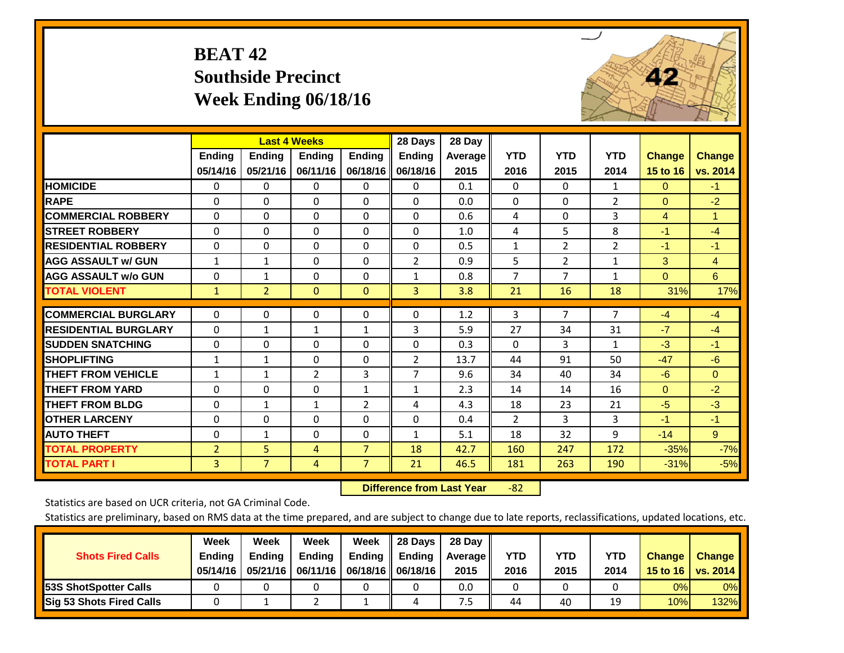# **BEAT 42 Southside Precinct Week Ending 06/18/16**

![](_page_28_Picture_1.jpeg)

|                             |                | <b>Last 4 Weeks</b> |               |                | 28 Days        | 28 Day  |                |                |                |                |                |
|-----------------------------|----------------|---------------------|---------------|----------------|----------------|---------|----------------|----------------|----------------|----------------|----------------|
|                             | Ending         | <b>Ending</b>       | <b>Endina</b> | <b>Ending</b>  | <b>Ending</b>  | Average | <b>YTD</b>     | <b>YTD</b>     | <b>YTD</b>     | <b>Change</b>  | <b>Change</b>  |
|                             | 05/14/16       | 05/21/16            | 06/11/16      | 06/18/16       | 06/18/16       | 2015    | 2016           | 2015           | 2014           | 15 to 16       | vs. 2014       |
| <b>HOMICIDE</b>             | $\Omega$       | 0                   | 0             | 0              | $\Omega$       | 0.1     | $\mathbf{0}$   | $\Omega$       | $\mathbf{1}$   | $\mathbf{0}$   | $-1$           |
| <b>RAPE</b>                 | $\Omega$       | 0                   | $\Omega$      | $\Omega$       | 0              | 0.0     | $\Omega$       | $\Omega$       | $\overline{2}$ | $\Omega$       | $-2$           |
| <b>COMMERCIAL ROBBERY</b>   | $\Omega$       | $\Omega$            | $\Omega$      | 0              | $\Omega$       | 0.6     | 4              | $\Omega$       | 3              | $\overline{4}$ | $\mathbf{1}$   |
| <b>STREET ROBBERY</b>       | $\mathbf 0$    | $\Omega$            | $\Omega$      | $\Omega$       | 0              | 1.0     | 4              | 5              | 8              | $-1$           | $-4$           |
| <b>RESIDENTIAL ROBBERY</b>  | $\Omega$       | $\Omega$            | $\Omega$      | $\Omega$       | $\Omega$       | 0.5     | $\mathbf{1}$   | 2              | $\overline{2}$ | $-1$           | $-1$           |
| <b>AGG ASSAULT w/ GUN</b>   | $\mathbf{1}$   | $\mathbf{1}$        | $\Omega$      | $\Omega$       | $\overline{2}$ | 0.9     | 5              | $\overline{2}$ | $\mathbf{1}$   | 3              | $\overline{4}$ |
| <b>AGG ASSAULT w/o GUN</b>  | $\Omega$       | $\mathbf{1}$        | $\Omega$      | 0              | $\mathbf{1}$   | 0.8     | $\overline{7}$ | 7              | $\mathbf{1}$   | $\Omega$       | 6              |
| <b>TOTAL VIOLENT</b>        | $\mathbf{1}$   | $\overline{2}$      | $\mathbf{0}$  | $\mathbf{0}$   | 3              | 3.8     | 21             | 16             | 18             | 31%            | 17%            |
| <b>COMMERCIAL BURGLARY</b>  |                |                     |               |                |                |         |                | 7              | $\overline{7}$ |                |                |
|                             | $\Omega$       | $\Omega$            | 0             | 0              | 0              | 1.2     | 3              |                |                | $-4$           | $-4$           |
| <b>RESIDENTIAL BURGLARY</b> | $\Omega$       | $\mathbf{1}$        | $\mathbf{1}$  | $\mathbf{1}$   | 3              | 5.9     | 27             | 34             | 31             | $-7$           | $-4$           |
| <b>SUDDEN SNATCHING</b>     | $\Omega$       | $\Omega$            | $\Omega$      | $\Omega$       | 0              | 0.3     | $\Omega$       | 3              | $\mathbf{1}$   | $-3$           | $-1$           |
| <b>SHOPLIFTING</b>          | $\mathbf{1}$   | $\mathbf{1}$        | $\Omega$      | $\Omega$       | $\overline{2}$ | 13.7    | 44             | 91             | 50             | $-47$          | $-6$           |
| <b>THEFT FROM VEHICLE</b>   | $\mathbf{1}$   | $\mathbf{1}$        | 2             | 3              | $\overline{7}$ | 9.6     | 34             | 40             | 34             | $-6$           | $\mathbf{0}$   |
| <b>THEFT FROM YARD</b>      | $\Omega$       | $\Omega$            | 0             | $\mathbf{1}$   | $\mathbf{1}$   | 2.3     | 14             | 14             | 16             | $\Omega$       | $-2$           |
| <b>THEFT FROM BLDG</b>      | $\Omega$       | $\mathbf{1}$        | 1             | 2              | 4              | 4.3     | 18             | 23             | 21             | $-5$           | $-3$           |
| <b>OTHER LARCENY</b>        | 0              | $\Omega$            | $\Omega$      | $\Omega$       | 0              | 0.4     | 2              | 3              | 3              | $-1$           | $-1$           |
| <b>AUTO THEFT</b>           | $\Omega$       | $\mathbf{1}$        | $\Omega$      | $\Omega$       | $\mathbf{1}$   | 5.1     | 18             | 32             | 9              | $-14$          | 9 <sup>°</sup> |
| <b>TOTAL PROPERTY</b>       | $\overline{2}$ | 5                   | 4             | $\overline{7}$ | 18             | 42.7    | 160            | 247            | 172            | $-35%$         | $-7%$          |
| <b>TOTAL PART I</b>         | 3              | $\overline{7}$      | 4             | $\overline{7}$ | 21             | 46.5    | 181            | 263            | 190            | $-31%$         | $-5%$          |

 **Difference from Last Year**r -82

Statistics are based on UCR criteria, not GA Criminal Code.

| <b>Shots Fired Calls</b>        | Week<br><b>Ending</b><br>05/14/16 | Week<br><b>Endina</b><br>05/21/16 | Week<br>Ending | Week<br>Ending<br>06/11/16   06/18/16   06/18/16 | 28 Days<br><b>Ending</b> | 28 Day<br>Average II<br>2015 | YTD<br>2016 | YTD<br>2015 | YTD<br>2014 | <b>Change</b><br>15 to $16$ | <b>Change</b><br>vs. 2014 |
|---------------------------------|-----------------------------------|-----------------------------------|----------------|--------------------------------------------------|--------------------------|------------------------------|-------------|-------------|-------------|-----------------------------|---------------------------|
| <b>153S ShotSpotter Calls</b>   |                                   |                                   |                |                                                  |                          | 0.0                          |             |             |             | 0%                          | 0%                        |
| <b>Sig 53 Shots Fired Calls</b> |                                   |                                   |                |                                                  |                          | ט.                           | 44          | 40          | 19          | 10%                         | 132%                      |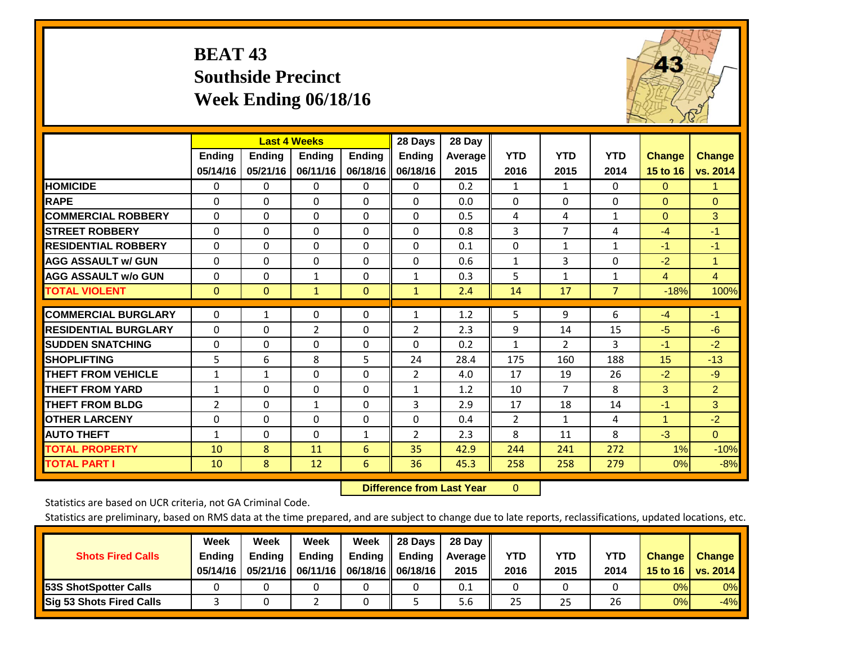# **BEAT 43 Southside Precinct Week Ending 06/18/16**

![](_page_29_Picture_1.jpeg)

|                             |                |                | <b>Last 4 Weeks</b> |               | 28 Days        | 28 Day  |                |                |              |               |                |
|-----------------------------|----------------|----------------|---------------------|---------------|----------------|---------|----------------|----------------|--------------|---------------|----------------|
|                             | <b>Ending</b>  | <b>Ending</b>  | <b>Ending</b>       | <b>Endina</b> | <b>Ending</b>  | Average | <b>YTD</b>     | <b>YTD</b>     | <b>YTD</b>   | <b>Change</b> | <b>Change</b>  |
|                             | 05/14/16       | 05/21/16       | 06/11/16            | 06/18/16      | 06/18/16       | 2015    | 2016           | 2015           | 2014         | 15 to 16      | vs. 2014       |
| <b>HOMICIDE</b>             | 0              | 0              | 0                   | 0             | 0              | 0.2     | $\mathbf{1}$   | $\mathbf{1}$   | 0            | $\Omega$      | 1.             |
| <b>RAPE</b>                 | $\Omega$       | 0              | $\Omega$            | 0             | $\Omega$       | 0.0     | 0              | 0              | $\Omega$     | $\Omega$      | $\Omega$       |
| <b>COMMERCIAL ROBBERY</b>   | $\Omega$       | 0              | $\Omega$            | $\Omega$      | $\Omega$       | 0.5     | 4              | 4              | $\mathbf{1}$ | $\Omega$      | 3              |
| <b>STREET ROBBERY</b>       | 0              | $\Omega$       | 0                   | $\Omega$      | $\Omega$       | 0.8     | 3              | $\overline{7}$ | 4            | $-4$          | $-1$           |
| <b>RESIDENTIAL ROBBERY</b>  | $\Omega$       | $\Omega$       | $\mathbf{0}$        | $\Omega$      | $\Omega$       | 0.1     | $\mathbf{0}$   | $\mathbf{1}$   | $\mathbf{1}$ | $-1$          | $-1$           |
| <b>AGG ASSAULT w/ GUN</b>   | $\Omega$       | 0              | $\Omega$            | $\Omega$      | $\Omega$       | 0.6     | $\mathbf{1}$   | 3              | $\Omega$     | $-2$          | 1.             |
| <b>AGG ASSAULT w/o GUN</b>  | $\Omega$       | 0              | 1                   | $\Omega$      | $\mathbf{1}$   | 0.3     | 5              | $\mathbf{1}$   | $\mathbf{1}$ | 4             | $\overline{4}$ |
| <b>TOTAL VIOLENT</b>        | $\mathbf 0$    | $\overline{0}$ | $\mathbf{1}$        | $\mathbf{0}$  | $\mathbf{1}$   | 2.4     | 14             | 17             | 7            | $-18%$        | 100%           |
| <b>COMMERCIAL BURGLARY</b>  | 0              | 1              | 0                   | 0             |                | 1.2     | 5              | 9              | 6            | $-4$          | $-1$           |
|                             |                |                |                     |               | 1              |         |                |                |              |               |                |
| <b>RESIDENTIAL BURGLARY</b> | $\Omega$       | 0              | $\overline{2}$      | $\Omega$      | $\overline{2}$ | 2.3     | 9              | 14             | 15           | $-5$          | $-6$           |
| <b>ISUDDEN SNATCHING</b>    | $\Omega$       | 0              | $\mathbf{0}$        | $\Omega$      | $\Omega$       | 0.2     | $\mathbf{1}$   | $\overline{2}$ | 3            | $-1$          | $-2$           |
| <b>SHOPLIFTING</b>          | 5              | 6              | 8                   | 5             | 24             | 28.4    | 175            | 160            | 188          | 15            | $-13$          |
| <b>THEFT FROM VEHICLE</b>   | $\mathbf{1}$   | 1              | $\mathbf 0$         | $\Omega$      | 2              | 4.0     | 17             | 19             | 26           | $-2$          | $-9$           |
| <b>THEFT FROM YARD</b>      | $\mathbf{1}$   | $\Omega$       | $\Omega$            | $\Omega$      | $\mathbf{1}$   | 1.2     | 10             | $\overline{7}$ | 8            | 3             | $\overline{2}$ |
| <b>THEFT FROM BLDG</b>      | $\overline{2}$ | $\Omega$       | $\mathbf{1}$        | $\Omega$      | 3              | 2.9     | 17             | 18             | 14           | $-1$          | 3              |
| <b>OTHER LARCENY</b>        | $\Omega$       | $\Omega$       | $\Omega$            | $\Omega$      | $\Omega$       | 0.4     | $\overline{2}$ | $\mathbf{1}$   | 4            | 1             | $-2$           |
| <b>AUTO THEFT</b>           | $\mathbf{1}$   | $\Omega$       | $\Omega$            | 1             | 2              | 2.3     | 8              | 11             | 8            | $-3$          | $\Omega$       |
| <b>TOTAL PROPERTY</b>       | 10             | 8              | 11                  | 6             | 35             | 42.9    | 244            | 241            | 272          | $1\%$         | $-10%$         |
| <b>TOTAL PART I</b>         | 10             | 8              | 12                  | 6             | 36             | 45.3    | 258            | 258            | 279          | 0%            | $-8%$          |

 **Difference from Last Year**r 0

Statistics are based on UCR criteria, not GA Criminal Code.

| <b>Shots Fired Calls</b>        | Week<br><b>Ending</b><br>05/14/16 | Week<br><b>Endina</b><br>05/21/16 | Week<br><b>Ending</b> | Week<br>Ending | 28 Days<br><b>Ending</b><br>06/11/16   06/18/16   06/18/16 | 28 Day<br>Average II<br>2015 | YTD<br>2016 | YTD<br>2015 | YTD<br>2014 | <b>Change</b><br>15 to 16 $\vert$ | <b>Change</b><br>vs. 2014 |
|---------------------------------|-----------------------------------|-----------------------------------|-----------------------|----------------|------------------------------------------------------------|------------------------------|-------------|-------------|-------------|-----------------------------------|---------------------------|
| <b>153S ShotSpotter Calls</b>   |                                   |                                   |                       |                |                                                            | 0.1                          |             |             |             | 0%                                | 0%                        |
| <b>Sig 53 Shots Fired Calls</b> |                                   |                                   |                       |                |                                                            | 5.6                          | 25          | 25          | 26          | 0%                                | $-4%$                     |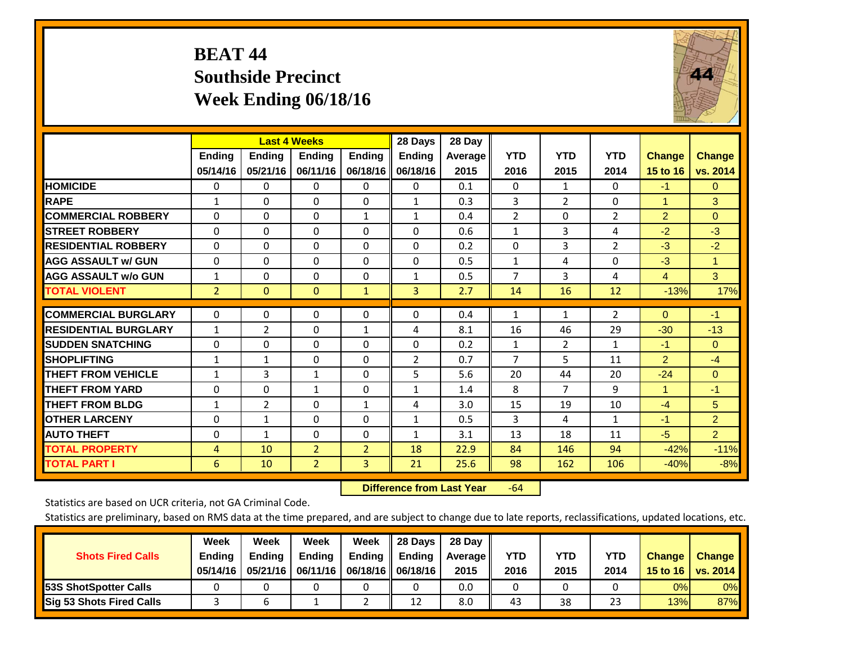# **BEAT 44 Southside Precinct Week Ending 06/18/16**

![](_page_30_Picture_1.jpeg)

|                             |                | <b>Last 4 Weeks</b> |                |                | 28 Days        | 28 Day  |                |                |                |                |                |
|-----------------------------|----------------|---------------------|----------------|----------------|----------------|---------|----------------|----------------|----------------|----------------|----------------|
|                             | Ending         | <b>Ending</b>       | Ending         | <b>Ending</b>  | <b>Ending</b>  | Average | <b>YTD</b>     | <b>YTD</b>     | <b>YTD</b>     | <b>Change</b>  | <b>Change</b>  |
|                             | 05/14/16       | 05/21/16            | 06/11/16       | 06/18/16       | 06/18/16       | 2015    | 2016           | 2015           | 2014           | 15 to 16       | vs. 2014       |
| <b>HOMICIDE</b>             | $\Omega$       | 0                   | 0              | $\Omega$       | 0              | 0.1     | $\Omega$       | $\mathbf{1}$   | 0              | $-1$           | $\mathbf{0}$   |
| <b>RAPE</b>                 | $\mathbf{1}$   | $\Omega$            | $\Omega$       | $\Omega$       | $\mathbf{1}$   | 0.3     | 3              | $\overline{2}$ | 0              | $\overline{1}$ | 3              |
| <b>COMMERCIAL ROBBERY</b>   | $\Omega$       | 0                   | $\Omega$       | 1              | 1              | 0.4     | $\overline{2}$ | $\Omega$       | $\overline{2}$ | 2              | $\Omega$       |
| <b>STREET ROBBERY</b>       | $\Omega$       | $\Omega$            | $\Omega$       | $\Omega$       | $\Omega$       | 0.6     | $\mathbf{1}$   | $\overline{3}$ | 4              | $-2$           | $-3$           |
| <b>RESIDENTIAL ROBBERY</b>  | $\Omega$       | $\Omega$            | $\Omega$       | $\mathbf{0}$   | $\Omega$       | 0.2     | $\mathbf{0}$   | 3              | $\overline{2}$ | $-3$           | $-2$           |
| <b>AGG ASSAULT w/ GUN</b>   | $\Omega$       | $\Omega$            | $\Omega$       | $\Omega$       | $\Omega$       | 0.5     | $\mathbf{1}$   | 4              | 0              | $-3$           | $\mathbf{1}$   |
| <b>AGG ASSAULT w/o GUN</b>  | $\mathbf{1}$   | $\Omega$            | $\Omega$       | 0              | $\mathbf{1}$   | 0.5     | $\overline{7}$ | 3              | 4              | 4              | 3              |
| <b>TOTAL VIOLENT</b>        | $\overline{2}$ | $\Omega$            | $\Omega$       | $\mathbf{1}$   | 3              | 2.7     | 14             | 16             | 12             | $-13%$         | 17%            |
|                             |                |                     |                |                |                |         |                |                |                |                |                |
| <b>COMMERCIAL BURGLARY</b>  | 0              | $\Omega$            | 0              | 0              | 0              | 0.4     | 1              | $\mathbf{1}$   | $\overline{2}$ | $\Omega$       | $-1$           |
| <b>RESIDENTIAL BURGLARY</b> | $\mathbf{1}$   | 2                   | $\Omega$       | $\mathbf{1}$   | 4              | 8.1     | 16             | 46             | 29             | $-30$          | $-13$          |
| <b>ISUDDEN SNATCHING</b>    | 0              | 0                   | $\Omega$       | $\mathbf{0}$   | $\Omega$       | 0.2     | $\mathbf{1}$   | $\overline{2}$ | $\mathbf{1}$   | $-1$           | $\mathbf{0}$   |
| <b>SHOPLIFTING</b>          | $\mathbf{1}$   | $\mathbf{1}$        | $\Omega$       | $\Omega$       | $\overline{2}$ | 0.7     | $\overline{7}$ | 5              | 11             | $\overline{2}$ | $-4$           |
| <b>THEFT FROM VEHICLE</b>   | $\mathbf{1}$   | 3                   | $\mathbf{1}$   | $\mathbf{0}$   | 5              | 5.6     | 20             | 44             | 20             | $-24$          | $\Omega$       |
| <b>THEFT FROM YARD</b>      | $\Omega$       | $\Omega$            | $\mathbf{1}$   | $\mathbf{0}$   | 1              | 1.4     | 8              | 7              | 9              | $\mathbf{1}$   | $-1$           |
| <b>THEFT FROM BLDG</b>      | $\mathbf{1}$   | $\overline{2}$      | $\Omega$       | 1              | 4              | 3.0     | 15             | 19             | 10             | $-4$           | 5              |
| <b>OTHER LARCENY</b>        | 0              | 1                   | $\Omega$       | $\Omega$       | $\mathbf{1}$   | 0.5     | 3              | 4              | 1              | $-1$           | $\overline{2}$ |
| <b>AUTO THEFT</b>           | $\Omega$       | $\mathbf{1}$        | $\Omega$       | $\Omega$       | $\mathbf{1}$   | 3.1     | 13             | 18             | 11             | $-5$           | $\overline{2}$ |
| <b>TOTAL PROPERTY</b>       | 4              | 10                  | $\overline{2}$ | $\overline{2}$ | 18             | 22.9    | 84             | 146            | 94             | $-42%$         | $-11%$         |
| <b>TOTAL PART I</b>         | 6              | 10                  | $\overline{2}$ | 3              | 21             | 25.6    | 98             | 162            | 106            | $-40%$         | $-8%$          |

 **Difference from Last Year**r -64

Statistics are based on UCR criteria, not GA Criminal Code.

| <b>Shots Fired Calls</b>        | Week<br><b>Ending</b><br>05/14/16 | Week<br><b>Endina</b><br>05/21/16 | Week<br><b>Ending</b> | Week<br>Ending<br>06/11/16   06/18/16   06/18/16 | 28 Days<br><b>Ending</b> | 28 Day<br>Average II<br>2015 | YTD<br>2016 | YTD<br>2015 | YTD<br>2014 | <b>Change</b><br>15 to $16$ | <b>Change</b><br>vs. 2014 |
|---------------------------------|-----------------------------------|-----------------------------------|-----------------------|--------------------------------------------------|--------------------------|------------------------------|-------------|-------------|-------------|-----------------------------|---------------------------|
| <b>153S ShotSpotter Calls</b>   |                                   |                                   |                       |                                                  |                          | 0.0                          |             |             |             | 0%                          | 0%                        |
| <b>Sig 53 Shots Fired Calls</b> |                                   |                                   |                       |                                                  | 12                       | 8.0                          | 43          | 38          | 23          | 13%                         | 87%                       |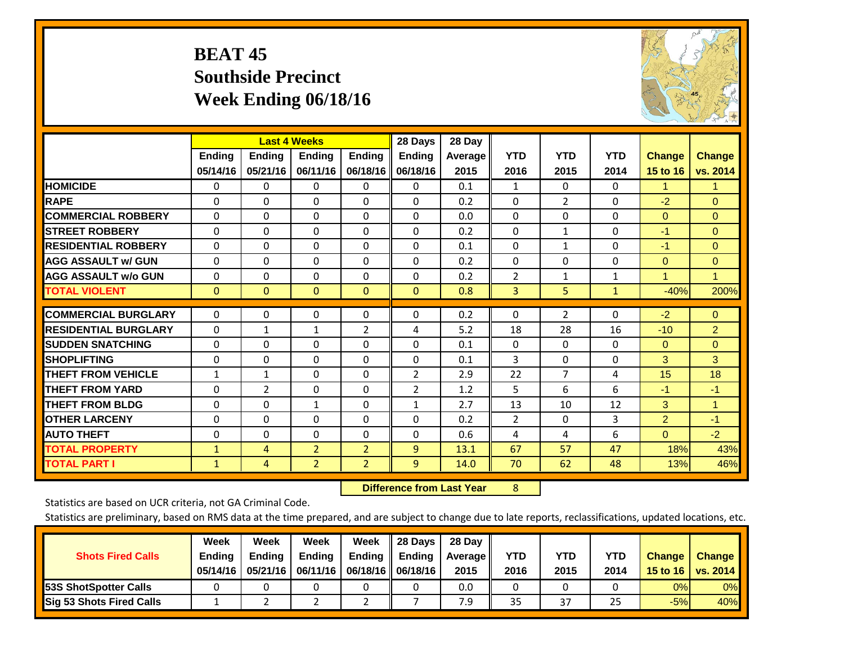# **BEAT 45 Southside Precinct Week Ending 06/18/16**

![](_page_31_Picture_1.jpeg)

|                             |               | <b>Last 4 Weeks</b> |                |                | 28 Days       | 28 Day  |                |                |              |                |                |
|-----------------------------|---------------|---------------------|----------------|----------------|---------------|---------|----------------|----------------|--------------|----------------|----------------|
|                             | <b>Ending</b> | <b>Ending</b>       | <b>Ending</b>  | <b>Ending</b>  | <b>Ending</b> | Average | <b>YTD</b>     | <b>YTD</b>     | <b>YTD</b>   | <b>Change</b>  | <b>Change</b>  |
|                             | 05/14/16      | 05/21/16            | 06/11/16       | 06/18/16       | 06/18/16      | 2015    | 2016           | 2015           | 2014         | 15 to 16       | vs. 2014       |
| <b>HOMICIDE</b>             | 0             | 0                   | 0              | $\Omega$       | $\Omega$      | 0.1     | 1              | 0              | 0            | 1.             | 1.             |
| <b>RAPE</b>                 | $\Omega$      | 0                   | $\Omega$       | 0              | 0             | 0.2     | $\Omega$       | $\overline{2}$ | 0            | $-2$           | $\Omega$       |
| <b>COMMERCIAL ROBBERY</b>   | $\Omega$      | $\Omega$            | $\mathbf{0}$   | $\Omega$       | $\Omega$      | 0.0     | $\Omega$       | $\Omega$       | $\Omega$     | $\mathbf{0}$   | $\Omega$       |
| <b>STREET ROBBERY</b>       | $\Omega$      | $\Omega$            | $\Omega$       | $\Omega$       | 0             | 0.2     | $\mathbf{0}$   | $\mathbf{1}$   | $\Omega$     | $-1$           | $\Omega$       |
| <b>RESIDENTIAL ROBBERY</b>  | $\Omega$      | $\Omega$            | 0              | $\Omega$       | $\Omega$      | 0.1     | $\mathbf{0}$   | 1              | 0            | $-1$           | $\Omega$       |
| <b>AGG ASSAULT w/ GUN</b>   | $\Omega$      | $\Omega$            | $\Omega$       | $\Omega$       | 0             | 0.2     | $\Omega$       | 0              | 0            | $\mathbf{0}$   | $\mathbf{0}$   |
| <b>AGG ASSAULT w/o GUN</b>  | 0             | $\Omega$            | $\Omega$       | $\Omega$       | $\Omega$      | 0.2     | $\overline{2}$ | 1              | $\mathbf{1}$ | 1              | $\mathbf{1}$   |
| <b>TOTAL VIOLENT</b>        | $\mathbf{0}$  | $\mathbf{0}$        | $\mathbf{0}$   | $\mathbf{0}$   | $\mathbf{0}$  | 0.8     | 3              | 5              | 1            | $-40%$         | 200%           |
|                             |               |                     |                |                |               |         |                |                |              |                |                |
| <b>COMMERCIAL BURGLARY</b>  | $\Omega$      | 0                   | $\mathbf{0}$   | 0              | $\Omega$      | 0.2     | 0              | $\overline{2}$ | 0            | $-2$           | $\mathbf{0}$   |
| <b>RESIDENTIAL BURGLARY</b> | $\Omega$      | 1                   | 1              | 2              | 4             | 5.2     | 18             | 28             | 16           | $-10$          | $\overline{2}$ |
| <b>SUDDEN SNATCHING</b>     | $\Omega$      | 0                   | $\Omega$       | 0              | 0             | 0.1     | $\Omega$       | $\Omega$       | 0            | $\mathbf{0}$   | $\Omega$       |
| <b>SHOPLIFTING</b>          | $\Omega$      | $\Omega$            | $\Omega$       | 0              | 0             | 0.1     | 3              | 0              | 0            | 3              | 3              |
| <b>THEFT FROM VEHICLE</b>   | 1             | $\mathbf{1}$        | $\Omega$       | 0              | 2             | 2.9     | 22             | $\overline{7}$ | 4            | 15             | 18             |
| <b>THEFT FROM YARD</b>      | $\Omega$      | 2                   | $\Omega$       | $\Omega$       | 2             | 1.2     | 5              | 6              | 6            | $-1$           | $-1$           |
| <b>THEFT FROM BLDG</b>      | 0             | 0                   | 1              | 0              | $\mathbf{1}$  | 2.7     | 13             | 10             | 12           | 3              | $\mathbf{1}$   |
| <b>OTHER LARCENY</b>        | $\Omega$      | $\Omega$            | $\Omega$       | 0              | $\Omega$      | 0.2     | $\overline{2}$ | 0              | 3            | $\overline{2}$ | $-1$           |
| <b>AUTO THEFT</b>           | 0             | $\Omega$            | $\Omega$       | $\Omega$       | $\Omega$      | 0.6     | 4              | 4              | 6            | $\overline{0}$ | $-2$           |
| <b>TOTAL PROPERTY</b>       | $\mathbf{1}$  | 4                   | $\overline{2}$ | $\overline{2}$ | 9             | 13.1    | 67             | 57             | 47           | 18%            | 43%            |
| <b>TOTAL PART I</b>         | $\mathbf{1}$  | 4                   | $\overline{2}$ | $\overline{2}$ | 9             | 14.0    | 70             | 62             | 48           | 13%            | 46%            |

 **Difference from Last Year**r 8

Statistics are based on UCR criteria, not GA Criminal Code.

| <b>Shots Fired Calls</b>        | Week<br><b>Ending</b><br>05/14/16 | Week<br><b>Endina</b><br>05/21/16 | Week<br><b>Ending</b> | Week<br>Ending<br>06/11/16   06/18/16    06/18/16 | 28 Days<br><b>Ending</b> | 28 Day<br>Average II<br>2015 | YTD<br>2016 | YTD<br>2015 | YTD<br>2014 | <b>Change</b><br>15 to 16 $\vert$ | <b>Change</b><br>vs. 2014 |
|---------------------------------|-----------------------------------|-----------------------------------|-----------------------|---------------------------------------------------|--------------------------|------------------------------|-------------|-------------|-------------|-----------------------------------|---------------------------|
| <b>153S ShotSpotter Calls</b>   |                                   |                                   |                       |                                                   |                          | 0.0                          |             |             |             | 0%                                | 0%                        |
| <b>Sig 53 Shots Fired Calls</b> |                                   |                                   |                       |                                                   |                          | 7.9                          | 35          | 37          | 25          | $-5%$                             | 40%                       |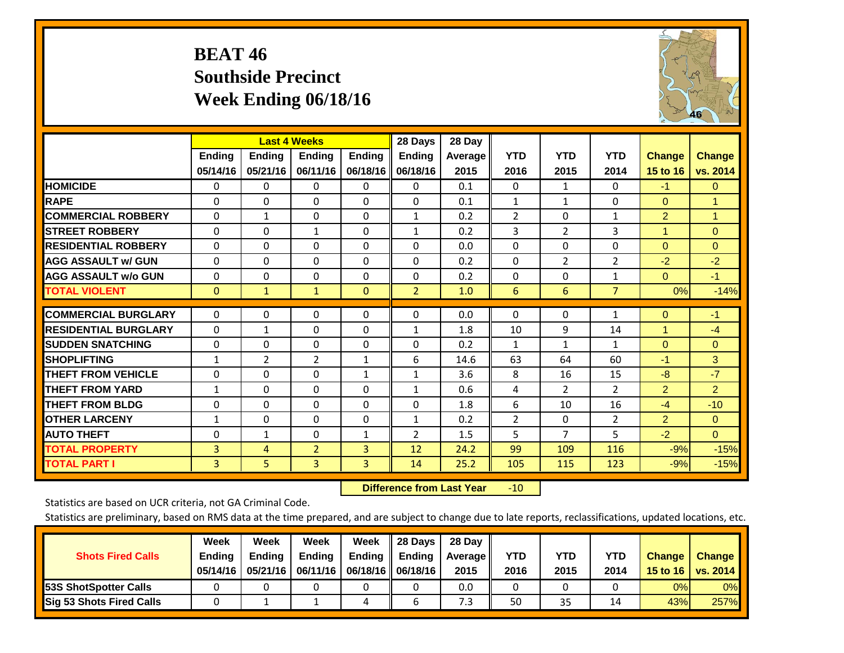# **BEAT 46 Southside Precinct Week Ending 06/18/16**

![](_page_32_Picture_1.jpeg)

|                             |               |                | <b>Last 4 Weeks</b> |               | 28 Days        | 28 Day  |                |                |                |                |                      |
|-----------------------------|---------------|----------------|---------------------|---------------|----------------|---------|----------------|----------------|----------------|----------------|----------------------|
|                             | <b>Ending</b> | <b>Ending</b>  | <b>Endina</b>       | <b>Endina</b> | <b>Ending</b>  | Average | <b>YTD</b>     | <b>YTD</b>     | <b>YTD</b>     | <b>Change</b>  | <b>Change</b>        |
|                             | 05/14/16      | 05/21/16       | 06/11/16            | 06/18/16      | 06/18/16       | 2015    | 2016           | 2015           | 2014           | 15 to 16       | vs. 2014             |
| <b>HOMICIDE</b>             | $\Omega$      | $\mathbf{0}$   | $\mathbf{0}$        | $\mathbf 0$   | $\mathbf 0$    | 0.1     | $\Omega$       | 1              | 0              | $-1$           | $\overline{0}$       |
| <b>RAPE</b>                 | $\Omega$      | $\Omega$       | $\Omega$            | $\mathbf{0}$  | $\Omega$       | 0.1     | $\mathbf{1}$   | $\mathbf{1}$   | 0              | $\Omega$       | 1                    |
| <b>COMMERCIAL ROBBERY</b>   | $\Omega$      | $\mathbf{1}$   | 0                   | $\mathbf{0}$  | $\mathbf{1}$   | 0.2     | $\overline{2}$ | $\Omega$       | $\mathbf{1}$   | $\overline{2}$ | $\blacktriangleleft$ |
| <b>STREET ROBBERY</b>       | $\Omega$      | $\Omega$       | $\mathbf{1}$        | $\mathbf{0}$  | $\mathbf{1}$   | 0.2     | 3              | $\overline{2}$ | 3              | 1              | $\overline{0}$       |
| <b>RESIDENTIAL ROBBERY</b>  | $\Omega$      | 0              | 0                   | $\mathbf{0}$  | $\Omega$       | 0.0     | $\Omega$       | $\Omega$       | 0              | $\Omega$       | $\mathbf{0}$         |
| <b>AGG ASSAULT w/ GUN</b>   | 0             | $\Omega$       | 0                   | $\mathbf{0}$  | $\Omega$       | 0.2     | $\Omega$       | $\overline{2}$ | 2              | $-2$           | $-2$                 |
| <b>AGG ASSAULT w/o GUN</b>  | 0             | 0              | $\Omega$            | $\mathbf{0}$  | $\Omega$       | 0.2     | $\Omega$       | $\Omega$       | 1              | $\Omega$       | $-1$                 |
| <b>TOTAL VIOLENT</b>        | $\mathbf{0}$  | $\mathbf{1}$   | $\mathbf{1}$        | $\mathbf{0}$  | $\overline{2}$ | 1.0     | 6              | 6              | $\overline{7}$ | 0%             | $-14%$               |
|                             |               |                |                     |               |                |         |                |                |                |                |                      |
| <b>COMMERCIAL BURGLARY</b>  | $\Omega$      | 0              | 0                   | $\mathbf{0}$  | $\Omega$       | 0.0     | $\mathbf{0}$   | $\Omega$       | $\mathbf{1}$   | $\Omega$       | $-1$                 |
| <b>RESIDENTIAL BURGLARY</b> | $\Omega$      | $\mathbf{1}$   | $\Omega$            | $\mathbf{0}$  | 1              | 1.8     | 10             | 9              | 14             |                | $-4$                 |
| <b>SUDDEN SNATCHING</b>     | $\Omega$      | $\Omega$       | $\Omega$            | $\Omega$      | $\Omega$       | 0.2     | $\mathbf{1}$   | 1              | $\mathbf{1}$   | $\Omega$       | $\mathbf{0}$         |
| <b>SHOPLIFTING</b>          | $\mathbf{1}$  | $\overline{2}$ | $\overline{2}$      | 1             | 6              | 14.6    | 63             | 64             | 60             | $-1$           | 3                    |
| <b>THEFT FROM VEHICLE</b>   | $\Omega$      | $\Omega$       | $\Omega$            | $\mathbf{1}$  | $\mathbf{1}$   | 3.6     | 8              | 16             | 15             | -8             | $-7$                 |
| <b>THEFT FROM YARD</b>      | 1             | 0              | 0                   | $\mathbf{0}$  | $\mathbf{1}$   | 0.6     | 4              | $\overline{2}$ | $\overline{2}$ | $\overline{2}$ | $\overline{2}$       |
| <b>THEFT FROM BLDG</b>      | $\Omega$      | $\Omega$       | $\Omega$            | $\mathbf{0}$  | $\mathbf{0}$   | 1.8     | 6              | 10             | 16             | $-4$           | $-10$                |
| <b>OTHER LARCENY</b>        | 1             | 0              | 0                   | $\mathbf{0}$  | $\mathbf{1}$   | 0.2     | 2              | $\Omega$       | $\overline{2}$ | $\overline{2}$ | $\Omega$             |
| <b>AUTO THEFT</b>           | 0             | $\mathbf{1}$   | $\Omega$            | 1             | $\overline{2}$ | 1.5     | 5              | 7              | 5              | $-2$           | $\Omega$             |
| <b>TOTAL PROPERTY</b>       | 3             | 4              | $\overline{2}$      | 3             | 12             | 24.2    | 99             | 109            | 116            | $-9%$          | $-15%$               |
| <b>TOTAL PART I</b>         | 3             | 5              | 3                   | 3             | 14             | 25.2    | 105            | 115            | 123            | $-9%$          | $-15%$               |

 **Difference from Last Year**r -10

Statistics are based on UCR criteria, not GA Criminal Code.

| <b>Shots Fired Calls</b>        | Week<br><b>Ending</b><br>05/14/16 | Week<br><b>Endina</b><br>05/21/16 | Week<br><b>Ending</b> | Week<br>Ending<br>06/11/16   06/18/16   06/18/16 | 28 Days<br><b>Ending</b> | 28 Day<br>Average II<br>2015 | YTD<br>2016 | YTD<br>2015 | YTD<br>2014 | <b>Change</b><br>15 to $16$ | <b>Change</b><br>vs. 2014 |
|---------------------------------|-----------------------------------|-----------------------------------|-----------------------|--------------------------------------------------|--------------------------|------------------------------|-------------|-------------|-------------|-----------------------------|---------------------------|
| <b>153S ShotSpotter Calls</b>   |                                   |                                   |                       |                                                  |                          | 0.0                          |             |             |             | 0%                          | 0%                        |
| <b>Sig 53 Shots Fired Calls</b> |                                   |                                   |                       | ,                                                |                          | 7.3                          | 50          | 35          |             | 43%                         | 257%                      |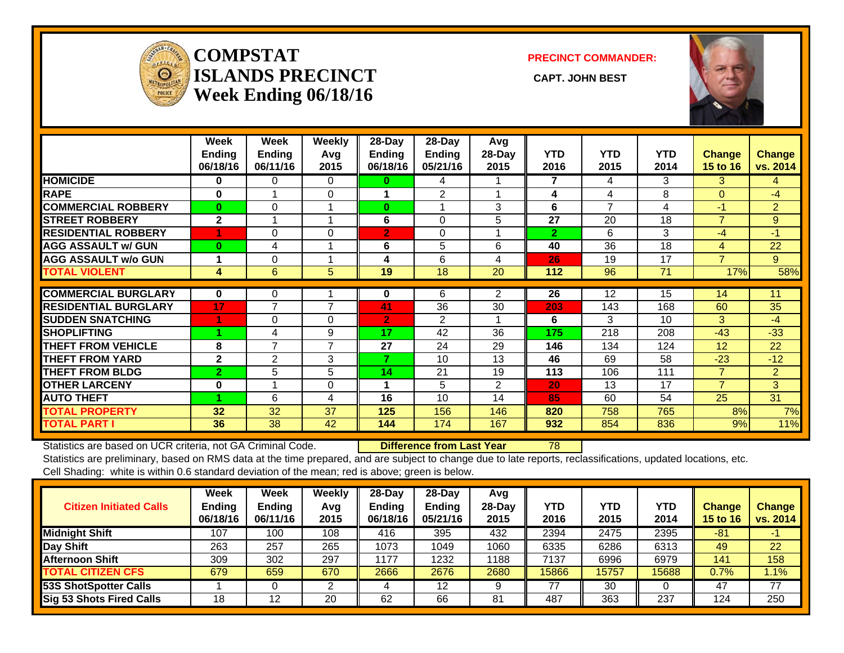![](_page_33_Picture_0.jpeg)

### **COMPSTATISLANDS PRECINCT** CAPT. JOHN BEST **Week Ending 06/18/16**

**PRECINCT COMMANDER:**

![](_page_33_Picture_4.jpeg)

|                             | Week           | Week           | Weekly         | 28-Day         | 28-Day         | Avg            |                |                   |            |                 |                |
|-----------------------------|----------------|----------------|----------------|----------------|----------------|----------------|----------------|-------------------|------------|-----------------|----------------|
|                             | <b>Ending</b>  | <b>Endina</b>  | Avg            | <b>Ending</b>  | <b>Ending</b>  | 28-Day         | <b>YTD</b>     | <b>YTD</b>        | <b>YTD</b> | Change          | <b>Change</b>  |
|                             | 06/18/16       | 06/11/16       | 2015           | 06/18/16       | 05/21/16       | 2015           | 2016           | 2015              | 2014       | <b>15 to 16</b> | vs. 2014       |
| <b>HOMICIDE</b>             | $\bf{0}$       | $\Omega$       | $\Omega$       | 0              | 4              |                | $\overline{7}$ | 4                 | 3          | 3               | $\overline{4}$ |
| <b>RAPE</b>                 | $\bf{0}$       |                | $\Omega$       |                | $\overline{2}$ |                | 4              | 4                 | 8          | $\Omega$        | $-4$           |
| <b>COMMERCIAL ROBBERY</b>   | $\mathbf{0}$   | $\Omega$       |                | $\bf{0}$       |                | 3              | 6              | 7                 | 4          | $-1$            | $\overline{2}$ |
| <b>STREET ROBBERY</b>       | $\mathbf{2}$   |                |                | 6              | $\Omega$       | 5              | 27             | 20                | 18         | $\overline{7}$  | 9              |
| <b>RESIDENTIAL ROBBERY</b>  |                | 0              | $\Omega$       | $\overline{2}$ | $\Omega$       |                | $\overline{2}$ | 6                 | 3          | $-4$            | $-1$           |
| <b>AGG ASSAULT w/ GUN</b>   | $\bf{0}$       | 4              |                | 6              | 5              | 6              | 40             | 36                | 18         | 4               | 22             |
| <b>AGG ASSAULT w/o GUN</b>  |                | 0              |                | 4              | 6              | 4              | 26             | 19                | 17         | 7               | 9              |
| <b>TOTAL VIOLENT</b>        | 4              | 6              | 5              | 19             | 18             | 20             | 112            | 96                | 71         | 17%             | 58%            |
|                             |                |                |                |                |                |                |                |                   |            |                 |                |
| <b>COMMERCIAL BURGLARY</b>  | $\mathbf{0}$   | 0              |                | 0              | 6              | $\overline{2}$ | 26             | $12 \overline{ }$ | 15         | 14              | 11             |
| <b>RESIDENTIAL BURGLARY</b> | 17             | $\overline{7}$ | $\overline{7}$ | 41             | 36             | 30             | 203            | 143               | 168        | 60              | 35             |
| <b>SUDDEN SNATCHING</b>     |                | 0              | $\Omega$       | $\overline{2}$ | 2              |                | 6              | 3                 | 10         | 3               | $-4$           |
| <b>SHOPLIFTING</b>          | 4              | 4              | 9              | 17             | 42             | 36             | 175            | 218               | 208        | $-43$           | $-33$          |
| <b>THEFT FROM VEHICLE</b>   | 8              | $\overline{7}$ | $\overline{7}$ | 27             | 24             | 29             | 146            | 134               | 124        | 12              | 22             |
| <b>THEFT FROM YARD</b>      | $\mathbf{2}$   | 2              | 3              | 7              | 10             | 13             | 46             | 69                | 58         | $-23$           | $-12$          |
| <b>THEFT FROM BLDG</b>      | $\overline{2}$ | 5              | 5              | 14             | 21             | 19             | 113            | 106               | 111        | $\overline{7}$  | $\overline{2}$ |
| <b>OTHER LARCENY</b>        | $\bf{0}$       |                | $\Omega$       |                | 5              | $\overline{2}$ | 20             | 13                | 17         | $\overline{7}$  | 3              |
| <b>AUTO THEFT</b>           |                | 6              | 4              | 16             | 10             | 14             | 85             | 60                | 54         | 25              | 31             |
| <b>TOTAL PROPERTY</b>       | 32             | 32             | 37             | 125            | 156            | 146            | 820            | 758               | 765        | 8%              | 7%             |
| <b>TOTAL PART I</b>         | 36             | 38             | 42             | 144            | 174            | 167            | 932            | 854               | 836        | 9%              | 11%            |

Statistics are based on UCR criteria, not GA Criminal Code. **Difference from Last Year** 78 Statistics are preliminary, based on RMS data at the time prepared, and are subject to change due to late reports, reclassifications, updated locations, etc. Cell Shading: white is within 0.6 standard deviation of the mean; red is above; green is below.

| <b>Citizen Initiated Calls</b>  | Week<br><b>Ending</b><br>06/18/16 | Week<br><b>Ending</b><br>06/11/16 | <b>Weekly</b><br>Avg<br>2015 | 28-Day<br><b>Ending</b><br>06/18/16 | $28-Day$<br>Ending<br>05/21/16 | Avg<br>$28-Dav$<br>2015 | <b>YTD</b><br>2016 | YTD<br>2015 | <b>YTD</b><br>2014 | <b>Change</b><br><b>15 to 16</b> | <b>Change</b><br>vs. 2014 |
|---------------------------------|-----------------------------------|-----------------------------------|------------------------------|-------------------------------------|--------------------------------|-------------------------|--------------------|-------------|--------------------|----------------------------------|---------------------------|
| <b>Midnight Shift</b>           | 107                               | 100                               | 108                          | 416                                 | 395                            | 432                     | 2394               | 2475        | 2395               | $-81$                            | ÷                         |
| Day Shift                       | 263                               | 257                               | 265                          | 1073                                | 1049                           | 1060                    | 6335               | 6286        | 6313               | 49                               | 22                        |
| <b>Afternoon Shift</b>          | 309                               | 302                               | 297                          | 1177                                | 1232                           | 1188                    | 7137               | 6996        | 6979               | 141                              | 158                       |
| <b>TOTAL CITIZEN CFS</b>        | 679                               | 659                               | 670                          | 2666                                | 2676                           | 2680                    | 15866              | 15757       | 15688              | 0.7%                             | $1.1\%$                   |
| <b>53S ShotSpotter Calls</b>    |                                   |                                   |                              |                                     | 12                             | $\Omega$                | 77                 | 30          |                    | 47                               | 77                        |
| <b>Sig 53 Shots Fired Calls</b> | 18                                | 12                                | 20                           | 62                                  | 66                             | 81                      | 487                | 363         | 237                | 124                              | 250                       |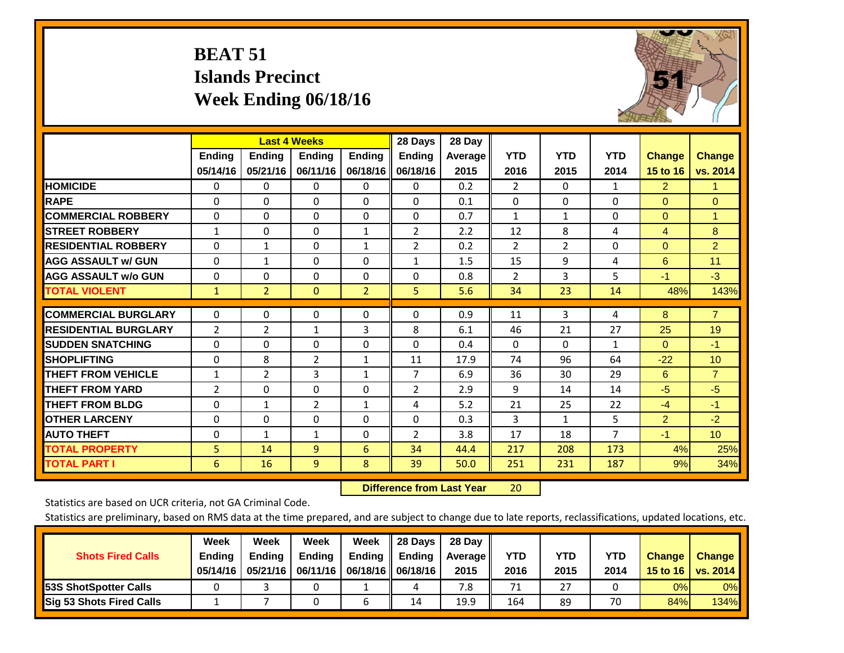# **BEAT 51 Islands Precinct Week Ending 06/18/16**

![](_page_34_Picture_1.jpeg)

|                             |                | <b>Last 4 Weeks</b> |                |                | 28 Days        | 28 Day  |                |                |                |                |                 |
|-----------------------------|----------------|---------------------|----------------|----------------|----------------|---------|----------------|----------------|----------------|----------------|-----------------|
|                             | Ending         | Ending              | <b>Endina</b>  | Ending         | Ending         | Average | <b>YTD</b>     | <b>YTD</b>     | <b>YTD</b>     | <b>Change</b>  | <b>Change</b>   |
|                             | 05/14/16       | 05/21/16            | 06/11/16       | 06/18/16       | 06/18/16       | 2015    | 2016           | 2015           | 2014           | 15 to 16       | vs. 2014        |
| <b>HOMICIDE</b>             | 0              | $\Omega$            | $\Omega$       | 0              | 0              | 0.2     | $\overline{2}$ | 0              | 1              | $\overline{2}$ | 1.              |
| <b>RAPE</b>                 | 0              | 0                   | $\Omega$       | 0              | $\Omega$       | 0.1     | $\Omega$       | $\Omega$       | 0              | $\Omega$       | $\Omega$        |
| <b>COMMERCIAL ROBBERY</b>   | $\Omega$       | $\Omega$            | $\mathbf{0}$   | 0              | 0              | 0.7     | 1              | 1              | $\Omega$       | $\mathbf{0}$   | $\mathbf{1}$    |
| <b>ISTREET ROBBERY</b>      | $\mathbf{1}$   | $\Omega$            | $\Omega$       | $\mathbf{1}$   | 2              | 2.2     | 12             | 8              | 4              | 4              | 8               |
| <b>RESIDENTIAL ROBBERY</b>  | $\Omega$       | 1                   | $\Omega$       | 1              | 2              | 0.2     | $\overline{2}$ | $\overline{2}$ | $\Omega$       | $\mathbf{0}$   | $\overline{2}$  |
| <b>AGG ASSAULT w/ GUN</b>   | $\Omega$       | $\mathbf{1}$        | $\Omega$       | $\Omega$       | $\mathbf{1}$   | 1.5     | 15             | 9              | 4              | 6              | 11              |
| <b>AGG ASSAULT w/o GUN</b>  | 0              | $\Omega$            | $\mathbf{0}$   | $\Omega$       | $\Omega$       | 0.8     | $\overline{2}$ | 3              | 5              | $-1$           | $-3$            |
| <b>TOTAL VIOLENT</b>        | $\mathbf{1}$   | $\overline{2}$      | $\mathbf{0}$   | $\overline{2}$ | 5.             | 5.6     | 34             | 23             | 14             | 48%            | 143%            |
| <b>COMMERCIAL BURGLARY</b>  | $\Omega$       | $\Omega$            | $\Omega$       | $\Omega$       | 0              | 0.9     | 11             | 3              | 4              | 8              | $\overline{7}$  |
|                             |                |                     |                |                |                |         |                |                |                |                |                 |
| <b>RESIDENTIAL BURGLARY</b> | 2              | 2                   | 1              | 3              | 8              | 6.1     | 46             | 21             | 27             | 25             | 19              |
| <b>SUDDEN SNATCHING</b>     | $\Omega$       | $\Omega$            | $\Omega$       | 0              | 0              | 0.4     | $\Omega$       | $\Omega$       | 1              | $\mathbf{0}$   | $-1$            |
| <b>SHOPLIFTING</b>          | $\Omega$       | 8                   | $\overline{2}$ | $\mathbf{1}$   | 11             | 17.9    | 74             | 96             | 64             | $-22$          | 10              |
| <b>THEFT FROM VEHICLE</b>   | $\mathbf{1}$   | 2                   | 3              | $\mathbf{1}$   | $\overline{7}$ | 6.9     | 36             | 30             | 29             | 6              | $\overline{7}$  |
| <b>THEFT FROM YARD</b>      | $\overline{2}$ | $\Omega$            | 0              | 0              | 2              | 2.9     | 9              | 14             | 14             | $-5$           | $-5$            |
| <b>THEFT FROM BLDG</b>      | $\Omega$       | $\mathbf{1}$        | $\overline{2}$ | 1              | 4              | 5.2     | 21             | 25             | 22             | $-4$           | $-1$            |
| <b>OTHER LARCENY</b>        | $\Omega$       | $\Omega$            | $\Omega$       | 0              | $\Omega$       | 0.3     | 3              | $\mathbf{1}$   | 5              | $\overline{2}$ | $-2$            |
| <b>AUTO THEFT</b>           | 0              | $\mathbf{1}$        | 1              | 0              | 2              | 3.8     | 17             | 18             | $\overline{7}$ | $-1$           | 10 <sup>°</sup> |
| <b>TOTAL PROPERTY</b>       | 5              | 14                  | 9              | 6              | 34             | 44.4    | 217            | 208            | 173            | 4%             | 25%             |
| <b>TOTAL PART I</b>         | 6              | 16                  | 9              | 8              | 39             | 50.0    | 251            | 231            | 187            | 9%             | 34%             |

 **Difference from Last Year**r 20

Statistics are based on UCR criteria, not GA Criminal Code.

| <b>Shots Fired Calls</b>        | Week<br><b>Ending</b><br>05/14/16 | Week<br><b>Endina</b><br>05/21/16 | <b>Week</b><br>Ending | Week<br>Ending<br>06/11/16   06/18/16   06/18/16 | 28 Days<br><b>Ending</b> | 28 Day<br>Average II<br>2015 | YTD<br>2016 | YTD<br>2015 | YTD<br>2014 | <b>Change</b><br>15 to 16 | <b>Change</b><br>vs. 2014 |
|---------------------------------|-----------------------------------|-----------------------------------|-----------------------|--------------------------------------------------|--------------------------|------------------------------|-------------|-------------|-------------|---------------------------|---------------------------|
| <b>153S ShotSpotter Calls</b>   |                                   |                                   |                       |                                                  | 4                        | 7.8                          | 71          | 27          |             | 0%                        | 0%                        |
| <b>Sig 53 Shots Fired Calls</b> |                                   |                                   |                       |                                                  | 14                       | 19.9                         | 164         | 89          | 70          | 84%                       | 134%                      |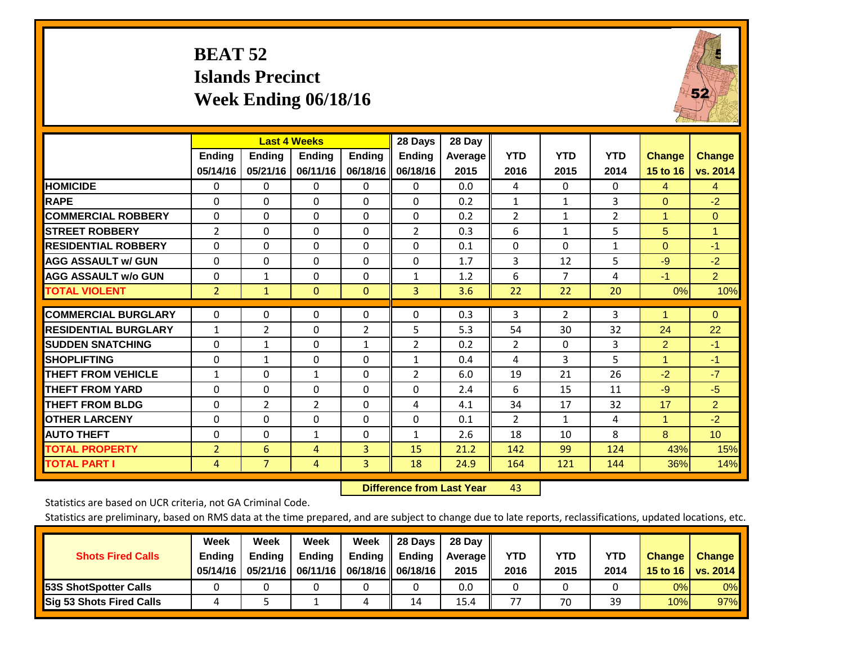# **BEAT 52 Islands Precinct Week Ending 06/18/16**

![](_page_35_Picture_1.jpeg)

|                             |                    |                           | <b>Last 4 Weeks</b>       |                           | 28 Days                   | 28 Day          |                    |                    |                    |                                  |                           |
|-----------------------------|--------------------|---------------------------|---------------------------|---------------------------|---------------------------|-----------------|--------------------|--------------------|--------------------|----------------------------------|---------------------------|
|                             | Ending<br>05/14/16 | <b>Endina</b><br>05/21/16 | <b>Endina</b><br>06/11/16 | <b>Endina</b><br>06/18/16 | <b>Endina</b><br>06/18/16 | Average<br>2015 | <b>YTD</b><br>2016 | <b>YTD</b><br>2015 | <b>YTD</b><br>2014 | <b>Change</b><br><b>15 to 16</b> | <b>Change</b><br>vs. 2014 |
| <b>HOMICIDE</b>             | 0                  | 0                         | 0                         | 0                         | 0                         | 0.0             | 4                  | $\Omega$           | 0                  | 4                                | $\overline{4}$            |
| <b>RAPE</b>                 | $\Omega$           | 0                         | $\Omega$                  | $\Omega$                  | $\Omega$                  | 0.2             | 1                  | 1                  | 3                  | $\Omega$                         | $-2$                      |
| <b>COMMERCIAL ROBBERY</b>   | $\Omega$           | 0                         | $\Omega$                  | $\Omega$                  | $\Omega$                  | 0.2             | $\overline{2}$     | $\mathbf{1}$       | 2                  | 1                                | $\mathbf{0}$              |
| <b>STREET ROBBERY</b>       | 2                  | $\Omega$                  | $\Omega$                  | $\mathbf{0}$              | $\overline{2}$            | 0.3             | 6                  | $\mathbf{1}$       | 5                  | 5                                | 1                         |
| <b>RESIDENTIAL ROBBERY</b>  | $\Omega$           | 0                         | 0                         | $\Omega$                  | $\Omega$                  | 0.1             | $\mathbf{0}$       | $\Omega$           | 1                  | $\Omega$                         | $-1$                      |
| <b>AGG ASSAULT w/ GUN</b>   | $\Omega$           | 0                         | $\Omega$                  | $\Omega$                  | $\Omega$                  | 1.7             | 3                  | 12                 | 5                  | $-9$                             | $-2$                      |
| <b>AGG ASSAULT w/o GUN</b>  | 0                  | 1                         | 0                         | 0                         | $\mathbf{1}$              | 1.2             | 6                  | $\overline{7}$     | 4                  | $-1$                             | $\overline{2}$            |
| <b>TOTAL VIOLENT</b>        | $\overline{2}$     | $\mathbf{1}$              | $\mathbf{0}$              | $\mathbf{0}$              | 3                         | 3.6             | 22                 | 22                 | 20                 | 0%                               | 10%                       |
| <b>COMMERCIAL BURGLARY</b>  | $\Omega$           | $\Omega$                  | 0                         | $\mathbf{0}$              | $\Omega$                  | 0.3             | 3                  | $\overline{2}$     | 3                  | 1                                | $\Omega$                  |
| <b>RESIDENTIAL BURGLARY</b> | $\mathbf{1}$       | $\overline{2}$            | 0                         | $\overline{2}$            | 5                         | 5.3             | 54                 | 30                 | 32                 | 24                               | 22                        |
| <b>ISUDDEN SNATCHING</b>    | $\Omega$           | 1                         | $\Omega$                  | 1                         | 2                         | 0.2             | $\overline{2}$     | $\Omega$           | 3                  | $\overline{2}$                   | $-1$                      |
| <b>SHOPLIFTING</b>          | $\Omega$           | $\mathbf{1}$              | $\Omega$                  | $\Omega$                  | $\mathbf{1}$              | 0.4             | 4                  | 3                  | 5                  | 1                                | $-1$                      |
| <b>THEFT FROM VEHICLE</b>   | $\mathbf{1}$       | 0                         | $\mathbf{1}$              | $\mathbf{0}$              | $\overline{2}$            | 6.0             | 19                 | 21                 | 26                 | $-2$                             | $-7$                      |
| <b>THEFT FROM YARD</b>      | $\Omega$           | $\Omega$                  | 0                         | $\Omega$                  | $\Omega$                  | 2.4             | 6                  | 15                 | 11                 | $-9$                             | $-5$                      |
| <b>THEFT FROM BLDG</b>      | 0                  | 2                         | $\overline{2}$            | $\mathbf{0}$              | 4                         | 4.1             | 34                 | 17                 | 32                 | 17                               | $\overline{2}$            |
| <b>OTHER LARCENY</b>        | 0                  | 0                         | $\Omega$                  | $\Omega$                  | $\Omega$                  | 0.1             | 2                  | $\mathbf{1}$       | 4                  | 1                                | $-2$                      |
| <b>AUTO THEFT</b>           | 0                  | 0                         | $\mathbf{1}$              | 0                         | $\mathbf{1}$              | 2.6             | 18                 | 10                 | 8                  | 8                                | 10                        |
| <b>TOTAL PROPERTY</b>       | $\overline{2}$     | 6                         | 4                         | 3                         | 15                        | 21.2            | 142                | 99                 | 124                | 43%                              | 15%                       |
| <b>TOTAL PART I</b>         | 4                  | $\overline{7}$            | 4                         | $\overline{3}$            | 18                        | 24.9            | 164                | 121                | 144                | 36%                              | 14%                       |

 **Difference from Last Yearr** 43

Statistics are based on UCR criteria, not GA Criminal Code.

| <b>Shots Fired Calls</b>        | Week<br><b>Ending</b><br>05/14/16 | Week<br><b>Endina</b><br>05/21/16 | Week<br><b>Ending</b> | Week<br>Ending<br>06/11/16   06/18/16   06/18/16 | 28 Days<br><b>Ending</b> | 28 Day<br>Average II<br>2015 | YTD<br>2016 | YTD<br>2015 | YTD<br>2014 | <b>Change</b><br>15 to 16 $\vert$ | <b>Change</b><br>vs. 2014 |
|---------------------------------|-----------------------------------|-----------------------------------|-----------------------|--------------------------------------------------|--------------------------|------------------------------|-------------|-------------|-------------|-----------------------------------|---------------------------|
| <b>153S ShotSpotter Calls</b>   |                                   |                                   |                       |                                                  |                          | 0.0                          |             |             |             | 0%                                | 0%                        |
| <b>Sig 53 Shots Fired Calls</b> |                                   |                                   |                       |                                                  | 14                       | 15.4                         | 77          | 70          | 39          | 10%                               | 97%                       |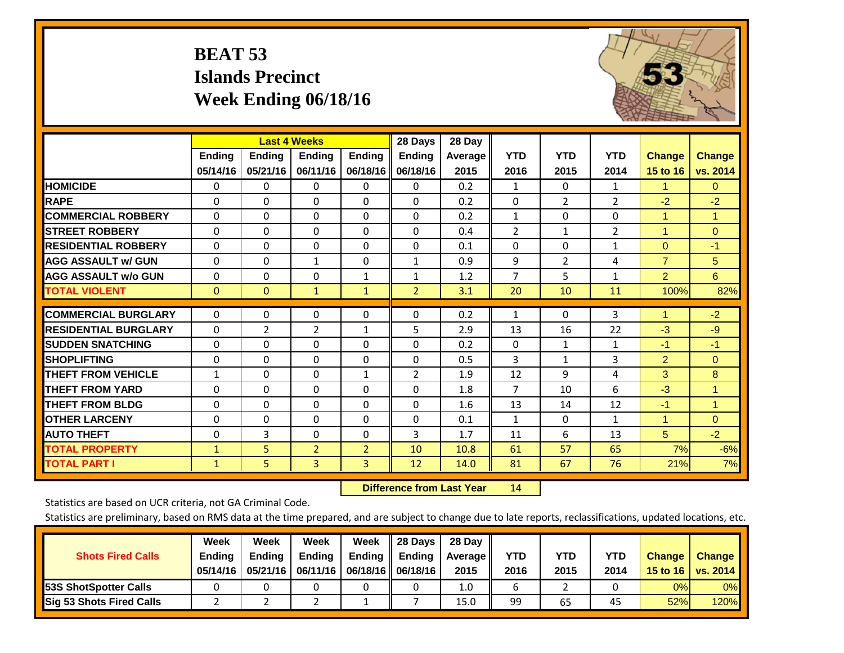# **BEAT 53 Islands Precinct Week Ending 06/18/16**

![](_page_36_Picture_1.jpeg)

|                             |              | <b>Last 4 Weeks</b> |                |                | 28 Days        | 28 Day  |                |                |                |                |               |
|-----------------------------|--------------|---------------------|----------------|----------------|----------------|---------|----------------|----------------|----------------|----------------|---------------|
|                             | Ending       | <b>Ending</b>       | <b>Ending</b>  | Ending         | <b>Ending</b>  | Average | <b>YTD</b>     | <b>YTD</b>     | <b>YTD</b>     | <b>Change</b>  | <b>Change</b> |
|                             | 05/14/16     | 05/21/16            | 06/11/16       | 06/18/16       | 06/18/16       | 2015    | 2016           | 2015           | 2014           | 15 to 16       | vs. 2014      |
| <b>HOMICIDE</b>             | $\mathbf{0}$ | 0                   | 0              | $\Omega$       | 0              | 0.2     | $\mathbf{1}$   | $\Omega$       | $\mathbf{1}$   | 1.             | $\Omega$      |
| <b>RAPE</b>                 | $\Omega$     | 0                   | $\Omega$       | $\Omega$       | 0              | 0.2     | $\Omega$       | $\overline{2}$ | $\overline{2}$ | $-2$           | $-2$          |
| <b>COMMERCIAL ROBBERY</b>   | $\Omega$     | $\Omega$            | 0              | $\Omega$       | $\Omega$       | 0.2     | $\mathbf{1}$   | $\Omega$       | $\Omega$       | $\mathbf{1}$   | $\mathbf{1}$  |
| <b>STREET ROBBERY</b>       | $\Omega$     | $\Omega$            | $\Omega$       | $\Omega$       | $\Omega$       | 0.4     | $\overline{2}$ | $\mathbf{1}$   | $\overline{2}$ | 1              | $\mathbf{0}$  |
| <b>RESIDENTIAL ROBBERY</b>  | $\Omega$     | $\Omega$            | 0              | $\Omega$       | $\Omega$       | 0.1     | $\Omega$       | $\Omega$       | $\mathbf{1}$   | $\Omega$       | $-1$          |
| <b>AGG ASSAULT w/ GUN</b>   | $\Omega$     | 0                   | 1              | $\Omega$       | $\mathbf{1}$   | 0.9     | 9              | 2              | 4              | $\overline{7}$ | 5             |
| <b>AGG ASSAULT w/o GUN</b>  | 0            | $\Omega$            | 0              | 1              | $\mathbf{1}$   | 1.2     | 7              | 5              | $\mathbf{1}$   | $\overline{2}$ | 6             |
| <b>TOTAL VIOLENT</b>        | $\mathbf{0}$ | $\mathbf{0}$        | $\mathbf{1}$   | $\mathbf{1}$   | $\overline{2}$ | 3.1     | 20             | 10             | 11             | 100%           | 82%           |
|                             |              |                     |                |                |                |         |                |                |                |                |               |
| <b>COMMERCIAL BURGLARY</b>  | $\mathbf 0$  | $\mathbf{0}$        | 0              | 0              | $\Omega$       | 0.2     | 1              | $\Omega$       | 3              | 1              | $-2$          |
| <b>RESIDENTIAL BURGLARY</b> | $\Omega$     | 2                   | $\overline{2}$ | 1              | 5              | 2.9     | 13             | 16             | 22             | $-3$           | $-9$          |
| <b>SUDDEN SNATCHING</b>     | 0            | $\Omega$            | $\Omega$       | $\Omega$       | $\Omega$       | 0.2     | $\Omega$       | 1              | $\mathbf{1}$   | $-1$           | $-1$          |
| <b>SHOPLIFTING</b>          | $\Omega$     | 0                   | $\Omega$       | $\Omega$       | $\Omega$       | 0.5     | 3              | $\mathbf{1}$   | 3              | $\overline{2}$ | $\mathbf{0}$  |
| <b>THEFT FROM VEHICLE</b>   | $\mathbf{1}$ | $\Omega$            | $\Omega$       | 1              | $\overline{2}$ | 1.9     | 12             | 9              | 4              | 3              | 8             |
| <b>THEFT FROM YARD</b>      | 0            | 0                   | $\Omega$       | $\Omega$       | $\Omega$       | 1.8     | 7              | 10             | 6              | $-3$           | 1             |
| <b>THEFT FROM BLDG</b>      | 0            | 0                   | $\Omega$       | 0              | $\Omega$       | 1.6     | 13             | 14             | 12             | $-1$           | 1             |
| <b>OTHER LARCENY</b>        | $\Omega$     | 0                   | $\Omega$       | $\Omega$       | $\Omega$       | 0.1     | $\mathbf{1}$   | $\Omega$       | $\mathbf{1}$   | 1              | $\mathbf{0}$  |
| <b>AUTO THEFT</b>           | $\mathbf 0$  | $\overline{3}$      | $\Omega$       | $\Omega$       | 3              | 1.7     | 11             | 6              | 13             | 5              | $-2$          |
| <b>TOTAL PROPERTY</b>       | 1            | 5                   | $\overline{2}$ | $\overline{2}$ | 10             | 10.8    | 61             | 57             | 65             | 7%             | $-6%$         |
| <b>TOTAL PART I</b>         | $\mathbf{1}$ | 5.                  | 3              | 3              | 12             | 14.0    | 81             | 67             | 76             | 21%            | 7%            |

 **Difference from Last Year**r 14

Statistics are based on UCR criteria, not GA Criminal Code.

| <b>Shots Fired Calls</b>        | Week<br><b>Ending</b><br>05/14/16 | Week<br><b>Endina</b><br>05/21/16 | Week<br><b>Ending</b> | Week<br>Ending<br>06/11/16   06/18/16   06/18/16 | 28 Days<br><b>Ending</b> | 28 Day<br>Average II<br>2015 | YTD<br>2016 | YTD<br>2015 | <b>YTD</b><br>2014 | <b>Change</b><br>15 to 16 $\vert$ | <b>Change</b><br>vs. 2014 |
|---------------------------------|-----------------------------------|-----------------------------------|-----------------------|--------------------------------------------------|--------------------------|------------------------------|-------------|-------------|--------------------|-----------------------------------|---------------------------|
| <b>153S ShotSpotter Calls</b>   |                                   |                                   |                       |                                                  |                          | 1.0                          |             |             |                    | 0%                                | 0%                        |
| <b>Sig 53 Shots Fired Calls</b> |                                   |                                   |                       |                                                  |                          | 15.0                         | 99          | 65          | 45                 | 52%                               | 120%                      |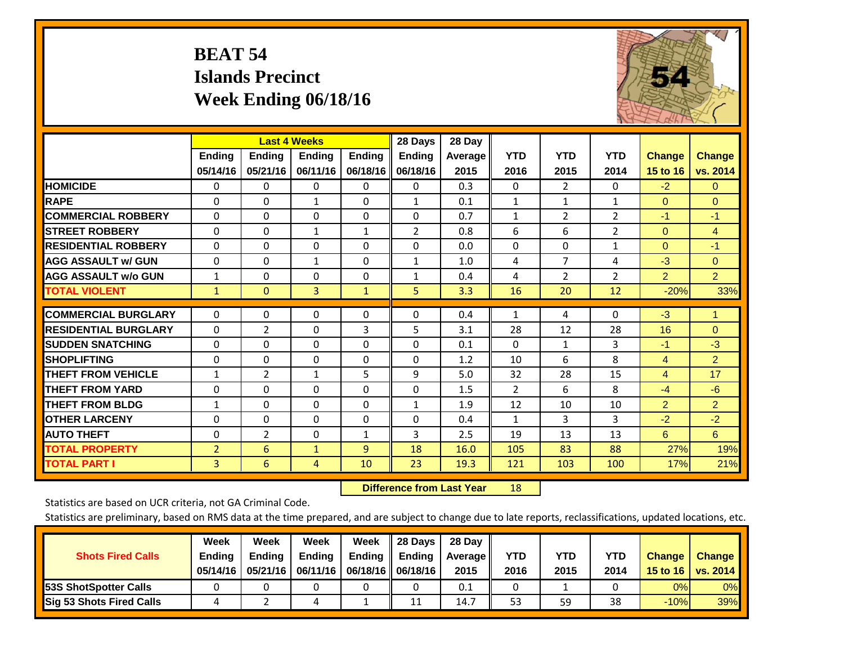# **BEAT 54 Islands Precinct Week Ending 06/18/16**

![](_page_37_Picture_1.jpeg)

|                             |                | <b>Last 4 Weeks</b> |                |               | 28 Days       | 28 Day  |                |                |                |                |                |
|-----------------------------|----------------|---------------------|----------------|---------------|---------------|---------|----------------|----------------|----------------|----------------|----------------|
|                             | <b>Ending</b>  | <b>Ending</b>       | <b>Ending</b>  | <b>Ending</b> | <b>Ending</b> | Average | <b>YTD</b>     | <b>YTD</b>     | <b>YTD</b>     | <b>Change</b>  | <b>Change</b>  |
|                             | 05/14/16       | 05/21/16            | 06/11/16       | 06/18/16      | 06/18/16      | 2015    | 2016           | 2015           | 2014           | 15 to 16       | vs. 2014       |
| <b>HOMICIDE</b>             | 0              | $\mathbf{0}$        | $\Omega$       | $\Omega$      | $\mathbf{0}$  | 0.3     | $\mathbf{0}$   | $\overline{2}$ | $\Omega$       | $-2$           | $\mathbf{0}$   |
| <b>RAPE</b>                 | $\Omega$       | $\Omega$            | $\mathbf{1}$   | 0             | $\mathbf{1}$  | 0.1     | $\mathbf{1}$   | 1              | 1              | $\mathbf{0}$   | $\Omega$       |
| <b>COMMERCIAL ROBBERY</b>   | $\Omega$       | $\Omega$            | $\Omega$       | $\Omega$      | $\Omega$      | 0.7     | 1              | $\overline{2}$ | $\overline{2}$ | $-1$           | $-1$           |
| <b>STREET ROBBERY</b>       | $\Omega$       | $\Omega$            | 1              | $\mathbf{1}$  | 2             | 0.8     | 6              | 6              | $\overline{2}$ | $\mathbf{0}$   | $\overline{4}$ |
| <b>RESIDENTIAL ROBBERY</b>  | $\Omega$       | $\Omega$            | $\Omega$       | 0             | $\Omega$      | 0.0     | $\Omega$       | 0              | $\mathbf{1}$   | $\Omega$       | $-1$           |
| <b>AGG ASSAULT w/ GUN</b>   | $\Omega$       | $\Omega$            | $\mathbf{1}$   | 0             | $\mathbf{1}$  | 1.0     | 4              | $\overline{7}$ | 4              | $-3$           | $\Omega$       |
| <b>AGG ASSAULT w/o GUN</b>  | $\mathbf{1}$   | $\Omega$            | $\Omega$       | 0             | $\mathbf{1}$  | 0.4     | 4              | $\overline{2}$ | $\overline{2}$ | $\overline{2}$ | $\overline{2}$ |
| <b>TOTAL VIOLENT</b>        | $\mathbf{1}$   | $\mathbf{0}$        | $\overline{3}$ | $\mathbf{1}$  | 5             | 3.3     | 16             | 20             | 12             | $-20%$         | 33%            |
|                             |                |                     |                |               |               |         |                |                |                |                |                |
| <b>COMMERCIAL BURGLARY</b>  | $\mathbf 0$    | $\Omega$            | $\Omega$       | $\Omega$      | $\Omega$      | 0.4     | $\mathbf{1}$   | 4              | $\Omega$       | $-3$           | 1              |
| <b>RESIDENTIAL BURGLARY</b> | $\Omega$       | 2                   | $\Omega$       | 3             | 5             | 3.1     | 28             | 12             | 28             | 16             | $\Omega$       |
| <b>ISUDDEN SNATCHING</b>    | $\Omega$       | $\Omega$            | $\mathbf{0}$   | $\Omega$      | $\Omega$      | 0.1     | $\mathbf{0}$   | $\mathbf{1}$   | 3              | $-1$           | $-3$           |
| <b>SHOPLIFTING</b>          | $\Omega$       | $\Omega$            | $\Omega$       | $\Omega$      | $\Omega$      | 1.2     | 10             | 6              | 8              | $\overline{4}$ | $\overline{2}$ |
| <b>THEFT FROM VEHICLE</b>   | $\mathbf{1}$   | 2                   | $\mathbf{1}$   | 5             | 9             | 5.0     | 32             | 28             | 15             | $\overline{4}$ | 17             |
| <b>THEFT FROM YARD</b>      | $\Omega$       | $\Omega$            | $\Omega$       | $\Omega$      | $\Omega$      | 1.5     | $\overline{2}$ | 6              | 8              | $-4$           | $-6$           |
| <b>THEFT FROM BLDG</b>      | $\mathbf{1}$   | $\Omega$            | $\Omega$       | 0             | 1             | 1.9     | 12             | 10             | 10             | $\overline{2}$ | $\overline{2}$ |
| <b>OTHER LARCENY</b>        | $\Omega$       | $\Omega$            | $\Omega$       | 0             | $\Omega$      | 0.4     | 1              | 3              | 3              | $-2$           | $-2$           |
| <b>AUTO THEFT</b>           | 0              | $\overline{2}$      | $\Omega$       | $\mathbf{1}$  | 3             | 2.5     | 19             | 13             | 13             | 6              | 6              |
| <b>TOTAL PROPERTY</b>       | $\overline{2}$ | 6                   | $\mathbf{1}$   | 9             | 18            | 16.0    | 105            | 83             | 88             | 27%            | 19%            |
| <b>TOTAL PART I</b>         | 3              | 6                   | 4              | 10            | 23            | 19.3    | 121            | 103            | 100            | 17%            | 21%            |

 **Difference from Last Year**r 18

Statistics are based on UCR criteria, not GA Criminal Code.

| <b>Shots Fired Calls</b>        | Week<br><b>Ending</b><br>05/14/16 | Week<br><b>Endina</b><br>05/21/16 | Week<br><b>Ending</b> | Week<br>Ending | 28 Days<br><b>Ending</b><br>06/11/16   06/18/16   06/18/16 | 28 Day<br>Average II<br>2015 | YTD<br>2016 | YTD<br>2015 | YTD<br>2014 | <b>Change</b><br>15 to $16$ | <b>Change</b><br>vs. 2014 |
|---------------------------------|-----------------------------------|-----------------------------------|-----------------------|----------------|------------------------------------------------------------|------------------------------|-------------|-------------|-------------|-----------------------------|---------------------------|
| <b>153S ShotSpotter Calls</b>   |                                   |                                   |                       |                |                                                            | 0.1                          |             |             |             | 0%                          | 0%                        |
| <b>Sig 53 Shots Fired Calls</b> |                                   |                                   |                       |                | 11                                                         | 14.7                         | 53          | 59          | 38          | $-10%$                      | 39%                       |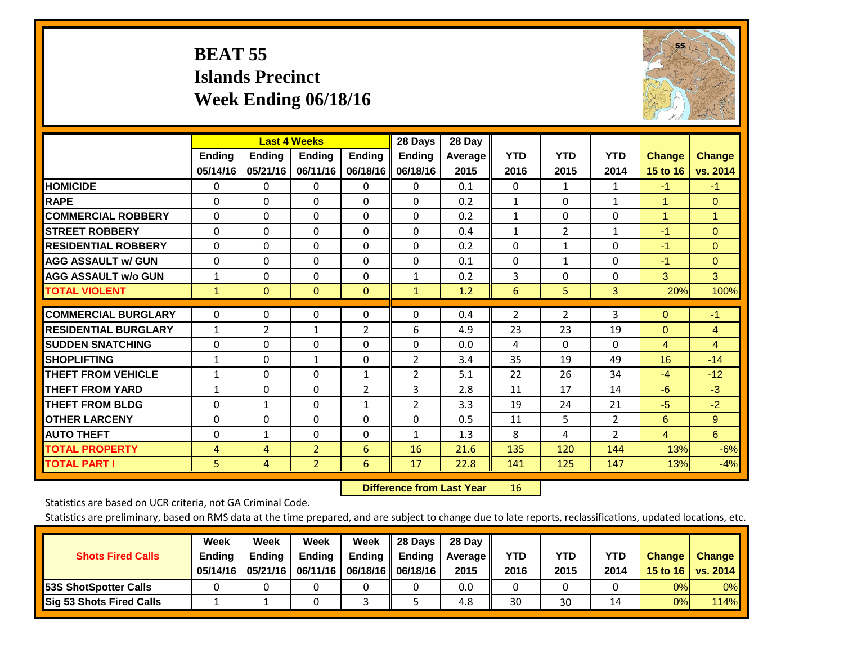# **BEAT 55 Islands Precinct Week Ending 06/18/16**

![](_page_38_Picture_1.jpeg)

|                             |              | <b>Last 4 Weeks</b> |                |                | 28 Days        | 28 Day  |                |              |                |                |                |
|-----------------------------|--------------|---------------------|----------------|----------------|----------------|---------|----------------|--------------|----------------|----------------|----------------|
|                             | Ending       | <b>Ending</b>       | Ending         | <b>Ending</b>  | <b>Ending</b>  | Average | <b>YTD</b>     | <b>YTD</b>   | <b>YTD</b>     | <b>Change</b>  | <b>Change</b>  |
|                             | 05/14/16     | 05/21/16            | 06/11/16       | 06/18/16       | 06/18/16       | 2015    | 2016           | 2015         | 2014           | 15 to 16       | vs. 2014       |
| <b>HOMICIDE</b>             | $\mathbf{0}$ | 0                   | 0              | $\Omega$       | $\Omega$       | 0.1     | $\Omega$       | $\mathbf{1}$ | $\mathbf{1}$   | $-1$           | $-1$           |
| <b>RAPE</b>                 | $\Omega$     | $\Omega$            | $\Omega$       | 0              | $\Omega$       | 0.2     | 1              | 0            | $\mathbf{1}$   | 1              | $\Omega$       |
| <b>COMMERCIAL ROBBERY</b>   | $\Omega$     | $\Omega$            | $\Omega$       | $\Omega$       | $\Omega$       | 0.2     | $\mathbf{1}$   | $\Omega$     | $\Omega$       | $\overline{1}$ | 1              |
| <b>STREET ROBBERY</b>       | $\Omega$     | $\Omega$            | $\Omega$       | $\Omega$       | $\Omega$       | 0.4     | $\mathbf{1}$   | 2            | $\mathbf{1}$   | $-1$           | $\Omega$       |
| <b>RESIDENTIAL ROBBERY</b>  | 0            | $\Omega$            | $\Omega$       | $\Omega$       | $\Omega$       | 0.2     | $\mathbf{0}$   | $\mathbf{1}$ | 0              | $-1$           | $\mathbf{0}$   |
| <b>AGG ASSAULT w/ GUN</b>   | 0            | $\Omega$            | $\Omega$       | $\Omega$       | 0              | 0.1     | $\mathbf{0}$   | 1            | 0              | $-1$           | $\mathbf{0}$   |
| <b>AGG ASSAULT w/o GUN</b>  | $\mathbf{1}$ | $\Omega$            | $\Omega$       | $\Omega$       | $\mathbf{1}$   | 0.2     | 3              | $\Omega$     | 0              | 3              | 3              |
| <b>TOTAL VIOLENT</b>        | 1            | $\mathbf{0}$        | $\mathbf{0}$   | $\mathbf{0}$   | $\mathbf{1}$   | 1.2     | 6              | 5            | 3              | 20%            | 100%           |
|                             |              |                     |                |                |                |         |                |              |                |                |                |
| <b>COMMERCIAL BURGLARY</b>  | $\mathbf 0$  | $\Omega$            | 0              | 0              | $\Omega$       | 0.4     | $\overline{2}$ | 2            | 3              | $\mathbf{0}$   | $-1$           |
| <b>RESIDENTIAL BURGLARY</b> | 1            | $\overline{2}$      | 1              | $\overline{2}$ | 6              | 4.9     | 23             | 23           | 19             | $\Omega$       | $\overline{4}$ |
| <b>ISUDDEN SNATCHING</b>    | $\Omega$     | $\Omega$            | $\Omega$       | $\Omega$       | $\Omega$       | 0.0     | 4              | $\Omega$     | 0              | $\overline{4}$ | 4              |
| <b>SHOPLIFTING</b>          | 1            | $\Omega$            | $\mathbf{1}$   | 0              | $\overline{2}$ | 3.4     | 35             | 19           | 49             | 16             | $-14$          |
| <b>THEFT FROM VEHICLE</b>   | $\mathbf{1}$ | $\Omega$            | $\Omega$       | $\mathbf{1}$   | $\overline{2}$ | 5.1     | 22             | 26           | 34             | $-4$           | $-12$          |
| <b>THEFT FROM YARD</b>      | $\mathbf{1}$ | $\Omega$            | $\Omega$       | $\overline{2}$ | 3              | 2.8     | 11             | 17           | 14             | $-6$           | $-3$           |
| <b>THEFT FROM BLDG</b>      | $\Omega$     | $\mathbf{1}$        | $\Omega$       | $\mathbf{1}$   | $\overline{2}$ | 3.3     | 19             | 24           | 21             | $-5$           | $-2$           |
| <b>OTHER LARCENY</b>        | 0            | $\Omega$            | $\Omega$       | $\Omega$       | 0              | 0.5     | 11             | 5.           | 2              | 6              | 9              |
| <b>AUTO THEFT</b>           | 0            | $\mathbf{1}$        | $\Omega$       | $\Omega$       | 1              | 1.3     | 8              | 4            | $\overline{2}$ | $\overline{4}$ | 6              |
| <b>TOTAL PROPERTY</b>       | 4            | 4                   | $\overline{2}$ | 6              | 16             | 21.6    | 135            | 120          | 144            | 13%            | $-6%$          |
| <b>TOTAL PART I</b>         | 5            | 4                   | $\overline{2}$ | 6              | 17             | 22.8    | 141            | 125          | 147            | 13%            | $-4%$          |

 **Difference from Last Year**r 16

Statistics are based on UCR criteria, not GA Criminal Code.

| <b>Shots Fired Calls</b>        | Week<br><b>Ending</b><br>05/14/16 | Week<br><b>Endina</b><br>05/21/16 | Week<br><b>Ending</b> | Week<br>Ending<br>06/11/16   06/18/16   06/18/16 | 28 Days<br><b>Ending</b> | 28 Day<br>Average II<br>2015 | YTD<br>2016 | YTD<br>2015 | <b>YTD</b><br>2014 | <b>Change</b><br>15 to $16$ | <b>Change</b><br>vs. 2014 |
|---------------------------------|-----------------------------------|-----------------------------------|-----------------------|--------------------------------------------------|--------------------------|------------------------------|-------------|-------------|--------------------|-----------------------------|---------------------------|
| <b>153S ShotSpotter Calls</b>   |                                   |                                   |                       |                                                  |                          | 0.0                          |             |             |                    | 0%                          | 0%                        |
| <b>Sig 53 Shots Fired Calls</b> |                                   |                                   |                       |                                                  |                          | 4.8                          | 30          | 30          |                    | 0%                          | 114%                      |